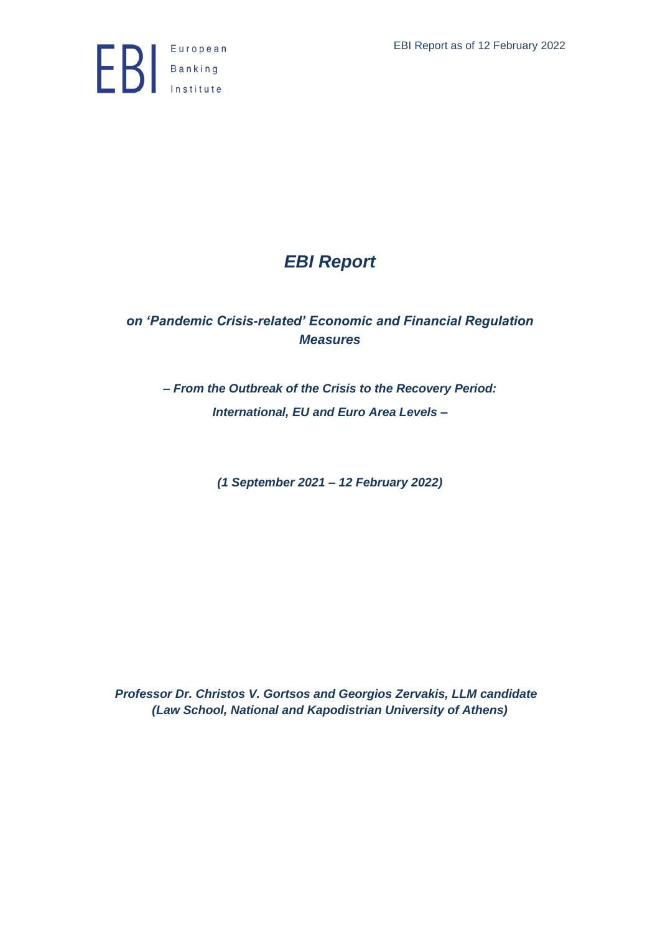

## *EBI Report*

## *on 'Pandemic Crisis-related' Economic and Financial Regulation Measures*

*– From the Outbreak of the Crisis to the Recovery Period: International, EU and Euro Area Levels –*

*(1 September 2021 – 12 February 2022)*

*Professor Dr. Christos V. Gortsos and Georgios Zervakis, LLM candidate (Law School, National and Kapodistrian University of Athens)*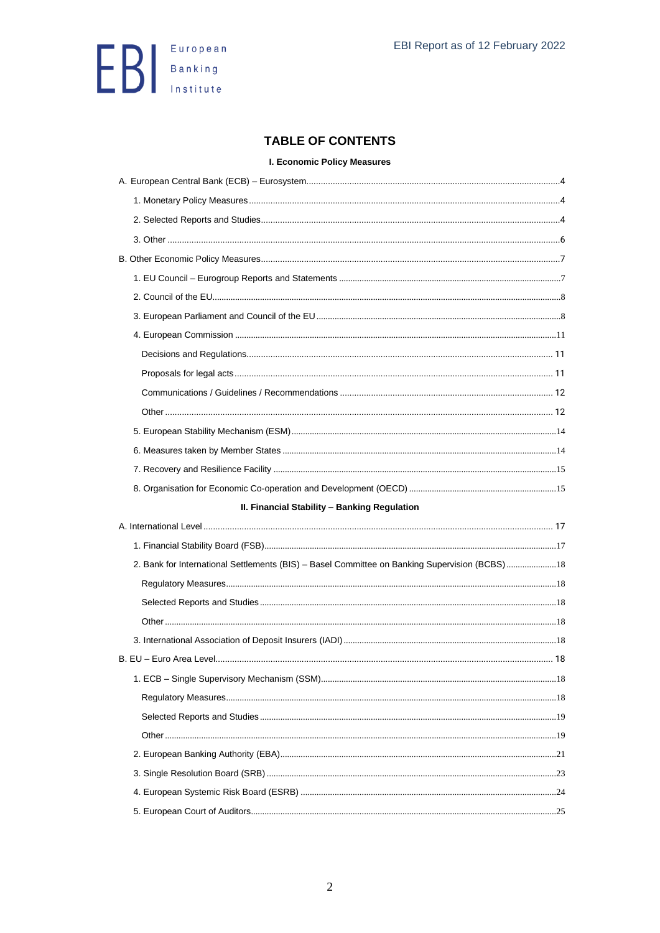

### **TABLE OF CONTENTS**

#### **I. Economic Policy Measures**

| II. Financial Stability - Banking Regulation                                                  |  |
|-----------------------------------------------------------------------------------------------|--|
|                                                                                               |  |
|                                                                                               |  |
| 2. Bank for International Settlements (BIS) - Basel Committee on Banking Supervision (BCBS)18 |  |
|                                                                                               |  |
|                                                                                               |  |
|                                                                                               |  |
|                                                                                               |  |
|                                                                                               |  |
|                                                                                               |  |
|                                                                                               |  |
|                                                                                               |  |
|                                                                                               |  |
|                                                                                               |  |
|                                                                                               |  |
|                                                                                               |  |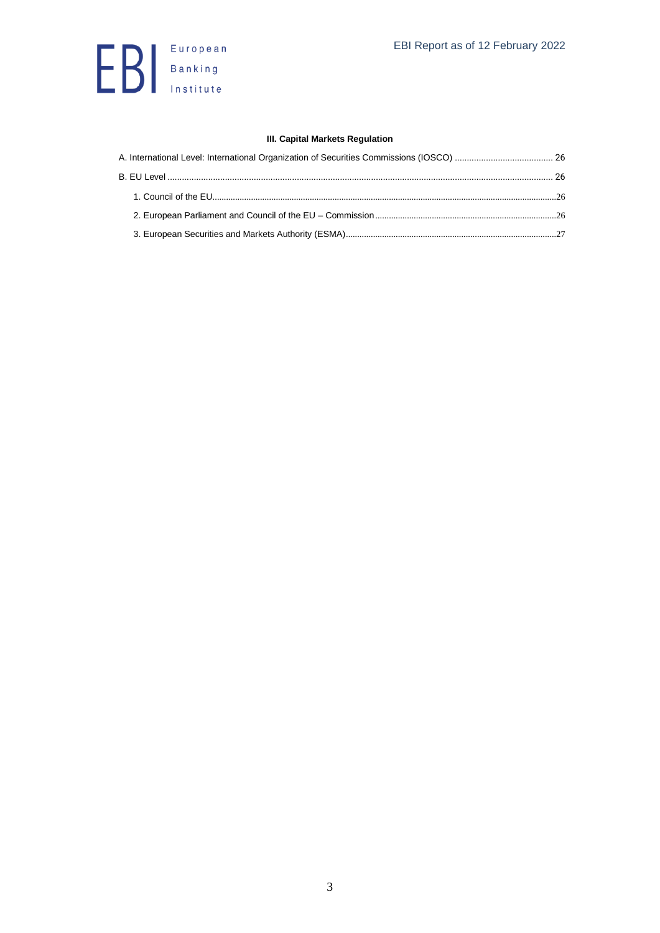

#### **[III. Capital Markets Regulation](#page-25-0)**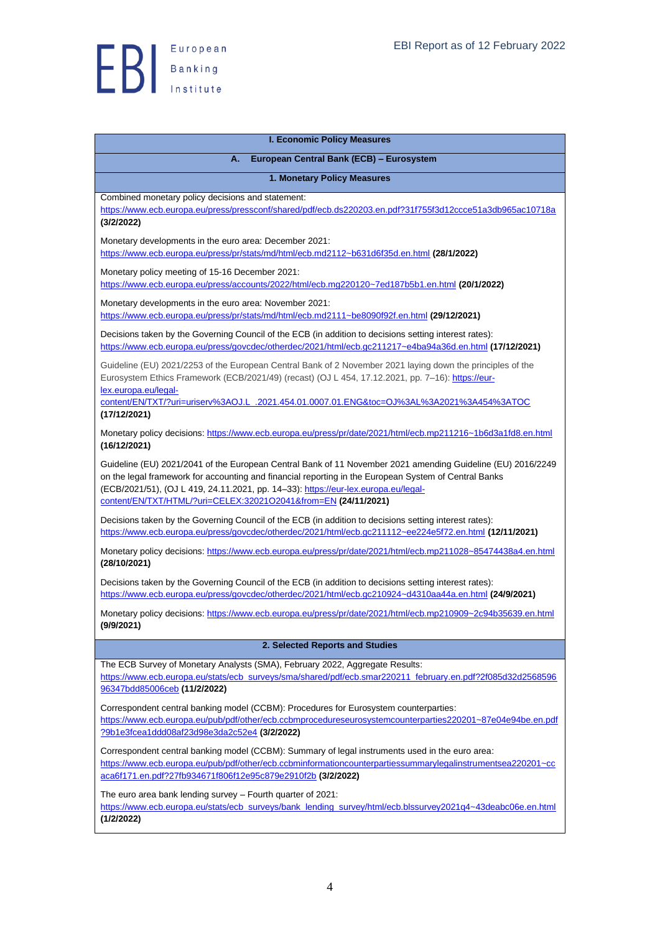

<span id="page-3-3"></span><span id="page-3-2"></span><span id="page-3-1"></span><span id="page-3-0"></span>

| <b>I. Economic Policy Measures</b>                                                                                                                                                                                                                                                                                                                                           |
|------------------------------------------------------------------------------------------------------------------------------------------------------------------------------------------------------------------------------------------------------------------------------------------------------------------------------------------------------------------------------|
| European Central Bank (ECB) - Eurosystem<br>А.                                                                                                                                                                                                                                                                                                                               |
| 1. Monetary Policy Measures                                                                                                                                                                                                                                                                                                                                                  |
| Combined monetary policy decisions and statement:<br>https://www.ecb.europa.eu/press/pressconf/shared/pdf/ecb.ds220203.en.pdf?31f755f3d12ccce51a3db965ac10718a<br>(3/2/2022)                                                                                                                                                                                                 |
| Monetary developments in the euro area: December 2021:<br>https://www.ecb.europa.eu/press/pr/stats/md/html/ecb.md2112~b631d6f35d.en.html (28/1/2022)                                                                                                                                                                                                                         |
| Monetary policy meeting of 15-16 December 2021:<br>https://www.ecb.europa.eu/press/accounts/2022/html/ecb.mg220120~7ed187b5b1.en.html (20/1/2022)                                                                                                                                                                                                                            |
| Monetary developments in the euro area: November 2021:<br>https://www.ecb.europa.eu/press/pr/stats/md/html/ecb.md2111~be8090f92f.en.html (29/12/2021)                                                                                                                                                                                                                        |
| Decisions taken by the Governing Council of the ECB (in addition to decisions setting interest rates):<br>https://www.ecb.europa.eu/press/govcdec/otherdec/2021/html/ecb.gc211217~e4ba94a36d.en.html (17/12/2021)                                                                                                                                                            |
| Guideline (EU) 2021/2253 of the European Central Bank of 2 November 2021 laying down the principles of the<br>Eurosystem Ethics Framework (ECB/2021/49) (recast) (OJ L 454, 17.12.2021, pp. 7-16): https://eur-<br>lex.europa.eu/legal-                                                                                                                                      |
| content/EN/TXT/?uri=uriserv%3AOJ.L .2021.454.01.0007.01.ENG&toc=OJ%3AL%3A2021%3A454%3ATOC<br>(17/12/2021)                                                                                                                                                                                                                                                                    |
| Monetary policy decisions: https://www.ecb.europa.eu/press/pr/date/2021/html/ecb.mp211216~1b6d3a1fd8.en.html<br>(16/12/2021)                                                                                                                                                                                                                                                 |
| Guideline (EU) 2021/2041 of the European Central Bank of 11 November 2021 amending Guideline (EU) 2016/2249<br>on the legal framework for accounting and financial reporting in the European System of Central Banks<br>(ECB/2021/51), (OJ L 419, 24.11.2021, pp. 14-33): https://eur-lex.europa.eu/legal-<br>content/EN/TXT/HTML/?uri=CELEX:32021O2041&from=EN (24/11/2021) |
| Decisions taken by the Governing Council of the ECB (in addition to decisions setting interest rates):<br>https://www.ecb.europa.eu/press/govcdec/otherdec/2021/html/ecb.gc2111112~ee224e5f72.en.html (12/11/2021)                                                                                                                                                           |
| Monetary policy decisions: https://www.ecb.europa.eu/press/pr/date/2021/html/ecb.mp211028~85474438a4.en.html<br>(28/10/2021)                                                                                                                                                                                                                                                 |
| Decisions taken by the Governing Council of the ECB (in addition to decisions setting interest rates):<br>https://www.ecb.europa.eu/press/govcdec/otherdec/2021/html/ecb.gc210924~d4310aa44a.en.html (24/9/2021)                                                                                                                                                             |
| Monetary policy decisions: https://www.ecb.europa.eu/press/pr/date/2021/html/ecb.mp210909~2c94b35639.en.html<br>(9/9/2021)                                                                                                                                                                                                                                                   |
| 2. Selected Reports and Studies                                                                                                                                                                                                                                                                                                                                              |
| The ECB Survey of Monetary Analysts (SMA), February 2022, Aggregate Results:<br>https://www.ecb.europa.eu/stats/ecb_surveys/sma/shared/pdf/ecb.smar220211_february.en.pdf?2f085d32d2568596<br>96347bdd85006ceb (11/2/2022)                                                                                                                                                   |
| Correspondent central banking model (CCBM): Procedures for Eurosystem counterparties:<br>https://www.ecb.europa.eu/pub/pdf/other/ecb.ccbmprocedureseurosystemcounterparties220201~87e04e94be.en.pdf<br>?9b1e3fcea1ddd08af23d98e3da2c52e4 (3/2/2022)                                                                                                                          |
| Correspondent central banking model (CCBM): Summary of legal instruments used in the euro area:<br>https://www.ecb.europa.eu/pub/pdf/other/ecb.ccbminformationcounterpartiessummarylegalinstrumentsea220201~cc<br>aca6f171.en.pdf?27fb934671f806f12e95c879e2910f2b (3/2/2022)                                                                                                |
| The euro area bank lending survey - Fourth quarter of 2021:<br>https://www.ecb.europa.eu/stats/ecb_surveys/bank_lending_survey/html/ecb.blssurvey2021q4~43deabc06e.en.html<br>(1/2/2022)                                                                                                                                                                                     |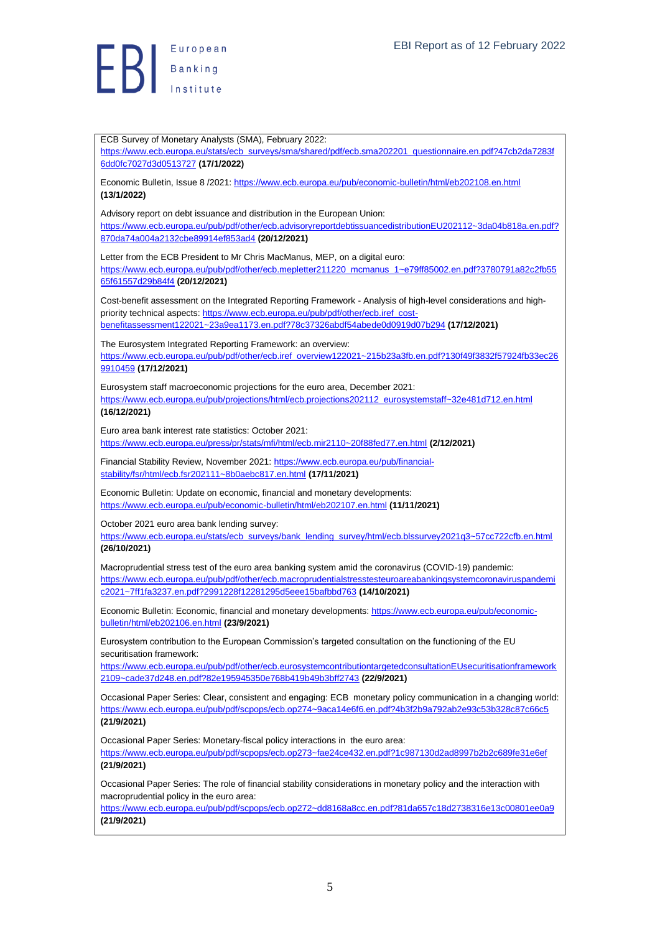**B**<br>B<br>B<br>B<br>Anatitute

ECB Survey of Monetary Analysts (SMA), February 2022: [https://www.ecb.europa.eu/stats/ecb\\_surveys/sma/shared/pdf/ecb.sma202201\\_questionnaire.en.pdf?47cb2da7283f](https://www.ecb.europa.eu/stats/ecb_surveys/sma/shared/pdf/ecb.sma202201_questionnaire.en.pdf?47cb2da7283f6dd0fc7027d3d0513727) [6dd0fc7027d3d0513727](https://www.ecb.europa.eu/stats/ecb_surveys/sma/shared/pdf/ecb.sma202201_questionnaire.en.pdf?47cb2da7283f6dd0fc7027d3d0513727) **(17/1/2022)** Economic Bulletin, Issue 8 /2021[: https://www.ecb.europa.eu/pub/economic-bulletin/html/eb202108.en.html](https://www.ecb.europa.eu/pub/economic-bulletin/html/eb202108.en.html) **(13/1/2022)** Advisory report on debt issuance and distribution in the European Union: [https://www.ecb.europa.eu/pub/pdf/other/ecb.advisoryreportdebtissuancedistributionEU202112~3da04b818a.en.pdf?](https://www.ecb.europa.eu/pub/pdf/other/ecb.advisoryreportdebtissuancedistributionEU202112~3da04b818a.en.pdf?870da74a004a2132cbe89914ef853ad4) [870da74a004a2132cbe89914ef853ad4](https://www.ecb.europa.eu/pub/pdf/other/ecb.advisoryreportdebtissuancedistributionEU202112~3da04b818a.en.pdf?870da74a004a2132cbe89914ef853ad4) **(20/12/2021)** Letter from the ECB President to Mr Chris MacManus, MEP, on a digital euro: [https://www.ecb.europa.eu/pub/pdf/other/ecb.mepletter211220\\_mcmanus\\_1~e79ff85002.en.pdf?3780791a82c2fb55](https://www.ecb.europa.eu/pub/pdf/other/ecb.mepletter211220_mcmanus_1~e79ff85002.en.pdf?3780791a82c2fb5565f61557d29b84f4) [65f61557d29b84f4](https://www.ecb.europa.eu/pub/pdf/other/ecb.mepletter211220_mcmanus_1~e79ff85002.en.pdf?3780791a82c2fb5565f61557d29b84f4) **(20/12/2021)** Cost-benefit assessment on the Integrated Reporting Framework - Analysis of high-level considerations and highpriority technical aspects[: https://www.ecb.europa.eu/pub/pdf/other/ecb.iref\\_cost](https://www.ecb.europa.eu/pub/pdf/other/ecb.iref_cost-benefitassessment122021~23a9ea1173.en.pdf?78c37326abdf54abede0d0919d07b294)[benefitassessment122021~23a9ea1173.en.pdf?78c37326abdf54abede0d0919d07b294](https://www.ecb.europa.eu/pub/pdf/other/ecb.iref_cost-benefitassessment122021~23a9ea1173.en.pdf?78c37326abdf54abede0d0919d07b294) **(17/12/2021)** The Eurosystem Integrated Reporting Framework: an overview: [https://www.ecb.europa.eu/pub/pdf/other/ecb.iref\\_overview122021~215b23a3fb.en.pdf?130f49f3832f57924fb33ec26](https://www.ecb.europa.eu/pub/pdf/other/ecb.iref_overview122021~215b23a3fb.en.pdf?130f49f3832f57924fb33ec269910459) [9910459](https://www.ecb.europa.eu/pub/pdf/other/ecb.iref_overview122021~215b23a3fb.en.pdf?130f49f3832f57924fb33ec269910459) **(17/12/2021)** Eurosystem staff macroeconomic projections for the euro area, December 2021: [https://www.ecb.europa.eu/pub/projections/html/ecb.projections202112\\_eurosystemstaff~32e481d712.en.html](https://www.ecb.europa.eu/pub/projections/html/ecb.projections202112_eurosystemstaff~32e481d712.en.html) **(16/12/2021)** Euro area bank interest rate statistics: October 2021: <https://www.ecb.europa.eu/press/pr/stats/mfi/html/ecb.mir2110~20f88fed77.en.html> **(2/12/2021)** Financial Stability Review, November 2021: [https://www.ecb.europa.eu/pub/financial](https://www.ecb.europa.eu/pub/financial-stability/fsr/html/ecb.fsr202111~8b0aebc817.en.html)[stability/fsr/html/ecb.fsr202111~8b0aebc817.en.html](https://www.ecb.europa.eu/pub/financial-stability/fsr/html/ecb.fsr202111~8b0aebc817.en.html) **(17/11/2021)** Economic Bulletin: Update on economic, financial and monetary developments: <https://www.ecb.europa.eu/pub/economic-bulletin/html/eb202107.en.html> **(11/11/2021)** October 2021 euro area bank lending survey: [https://www.ecb.europa.eu/stats/ecb\\_surveys/bank\\_lending\\_survey/html/ecb.blssurvey2021q3~57cc722cfb.en.html](https://www.ecb.europa.eu/stats/ecb_surveys/bank_lending_survey/html/ecb.blssurvey2021q3~57cc722cfb.en.html) **(26/10/2021)** Macroprudential stress test of the euro area banking system amid the coronavirus (COVID-19) pandemic: [https://www.ecb.europa.eu/pub/pdf/other/ecb.macroprudentialstresstesteuroareabankingsystemcoronaviruspandemi](https://www.ecb.europa.eu/pub/pdf/other/ecb.macroprudentialstresstesteuroareabankingsystemcoronaviruspandemic2021~7ff1fa3237.en.pdf?2991228f12281295d5eee15bafbbd763) [c2021~7ff1fa3237.en.pdf?2991228f12281295d5eee15bafbbd763](https://www.ecb.europa.eu/pub/pdf/other/ecb.macroprudentialstresstesteuroareabankingsystemcoronaviruspandemic2021~7ff1fa3237.en.pdf?2991228f12281295d5eee15bafbbd763) **(14/10/2021)** Economic Bulletin: Economic, financial and monetary developments: [https://www.ecb.europa.eu/pub/economic](https://www.ecb.europa.eu/pub/economic-bulletin/html/eb202106.en.html)[bulletin/html/eb202106.en.html](https://www.ecb.europa.eu/pub/economic-bulletin/html/eb202106.en.html) **(23/9/2021)** Eurosystem contribution to the European Commission's targeted consultation on the functioning of the EU securitisation framework: [https://www.ecb.europa.eu/pub/pdf/other/ecb.eurosystemcontributiontargetedconsultationEUsecuritisationframework](https://www.ecb.europa.eu/pub/pdf/other/ecb.eurosystemcontributiontargetedconsultationEUsecuritisationframework2109~cade37d248.en.pdf?82e195945350e768b419b49b3bff2743) [2109~cade37d248.en.pdf?82e195945350e768b419b49b3bff2743](https://www.ecb.europa.eu/pub/pdf/other/ecb.eurosystemcontributiontargetedconsultationEUsecuritisationframework2109~cade37d248.en.pdf?82e195945350e768b419b49b3bff2743) **(22/9/2021)** Occasional Paper Series: Clear, consistent and engaging: ECB monetary policy communication in a changing world: <https://www.ecb.europa.eu/pub/pdf/scpops/ecb.op274~9aca14e6f6.en.pdf?4b3f2b9a792ab2e93c53b328c87c66c5> **(21/9/2021)** Occasional Paper Series: Monetary-fiscal policy interactions in the euro area: <https://www.ecb.europa.eu/pub/pdf/scpops/ecb.op273~fae24ce432.en.pdf?1c987130d2ad8997b2b2c689fe31e6ef> **(21/9/2021)** Occasional Paper Series: The role of financial stability considerations in monetary policy and the interaction with macroprudential policy in the euro area: <https://www.ecb.europa.eu/pub/pdf/scpops/ecb.op272~dd8168a8cc.en.pdf?81da657c18d2738316e13c00801ee0a9> **(21/9/2021)**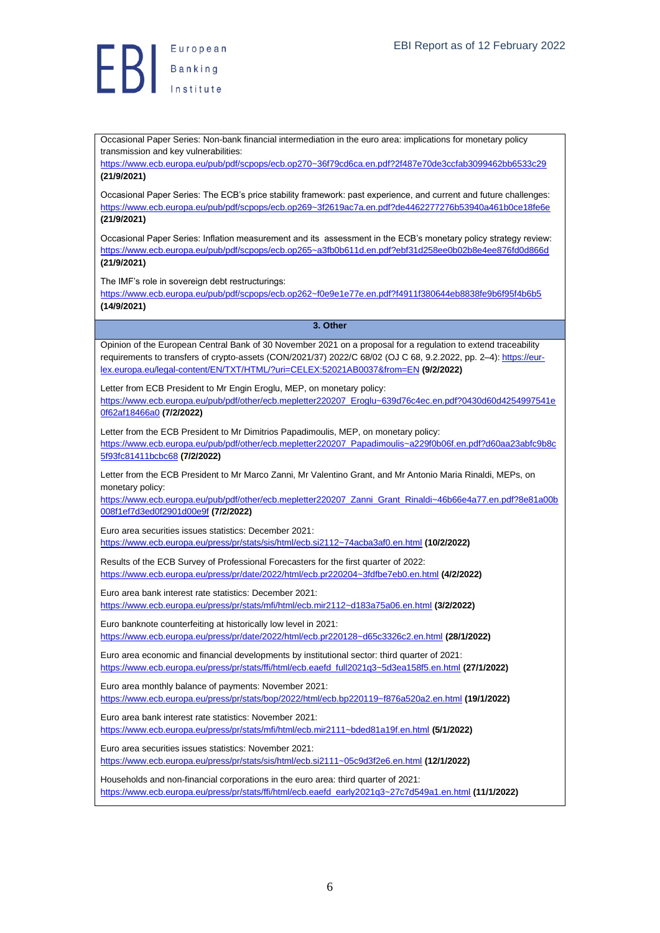

Occasional Paper Series: Non-bank financial intermediation in the euro area: implications for monetary policy transmission and key vulnerabilities:

<https://www.ecb.europa.eu/pub/pdf/scpops/ecb.op270~36f79cd6ca.en.pdf?2f487e70de3ccfab3099462bb6533c29> **(21/9/2021)**

Occasional Paper Series: The ECB's price stability framework: past experience, and current and future challenges: <https://www.ecb.europa.eu/pub/pdf/scpops/ecb.op269~3f2619ac7a.en.pdf?de4462277276b53940a461b0ce18fe6e> **(21/9/2021)**

Occasional Paper Series: Inflation measurement and its assessment in the ECB's monetary policy strategy review: <https://www.ecb.europa.eu/pub/pdf/scpops/ecb.op265~a3fb0b611d.en.pdf?ebf31d258ee0b02b8e4ee876fd0d866d> **(21/9/2021)**

The IMF's role in sovereign debt restructurings:

<https://www.ecb.europa.eu/pub/pdf/scpops/ecb.op262~f0e9e1e77e.en.pdf?f4911f380644eb8838fe9b6f95f4b6b5> **(14/9/2021)**

#### **3. Other**

<span id="page-5-0"></span>Opinion of the European Central Bank of 30 November 2021 on a proposal for a regulation to extend traceability requirements to transfers of crypto-assets (CON/2021/37) 2022/C 68/02 (OJ C 68, 9.2.2022, pp. 2-4)[: https://eur](https://eur-lex.europa.eu/legal-content/EN/TXT/HTML/?uri=CELEX:52021AB0037&from=EN)[lex.europa.eu/legal-content/EN/TXT/HTML/?uri=CELEX:52021AB0037&from=EN](https://eur-lex.europa.eu/legal-content/EN/TXT/HTML/?uri=CELEX:52021AB0037&from=EN) **(9/2/2022)**

Letter from ECB President to Mr Engin Eroglu, MEP, on monetary policy:

[https://www.ecb.europa.eu/pub/pdf/other/ecb.mepletter220207\\_Eroglu~639d76c4ec.en.pdf?0430d60d4254997541e](https://www.ecb.europa.eu/pub/pdf/other/ecb.mepletter220207_Eroglu~639d76c4ec.en.pdf?0430d60d4254997541e0f62af18466a0) [0f62af18466a0](https://www.ecb.europa.eu/pub/pdf/other/ecb.mepletter220207_Eroglu~639d76c4ec.en.pdf?0430d60d4254997541e0f62af18466a0) **(7/2/2022)**

Letter from the ECB President to Mr Dimitrios Papadimoulis, MEP, on monetary policy: [https://www.ecb.europa.eu/pub/pdf/other/ecb.mepletter220207\\_Papadimoulis~a229f0b06f.en.pdf?d60aa23abfc9b8c](https://www.ecb.europa.eu/pub/pdf/other/ecb.mepletter220207_Papadimoulis~a229f0b06f.en.pdf?d60aa23abfc9b8c5f93fc81411bcbc68) [5f93fc81411bcbc68](https://www.ecb.europa.eu/pub/pdf/other/ecb.mepletter220207_Papadimoulis~a229f0b06f.en.pdf?d60aa23abfc9b8c5f93fc81411bcbc68) **(7/2/2022)**

Letter from the ECB President to Mr Marco Zanni, Mr Valentino Grant, and Mr Antonio Maria Rinaldi, MEPs, on monetary policy:

[https://www.ecb.europa.eu/pub/pdf/other/ecb.mepletter220207\\_Zanni\\_Grant\\_Rinaldi~46b66e4a77.en.pdf?8e81a00b](https://www.ecb.europa.eu/pub/pdf/other/ecb.mepletter220207_Zanni_Grant_Rinaldi~46b66e4a77.en.pdf?8e81a00b008f1ef7d3ed0f2901d00e9f) [008f1ef7d3ed0f2901d00e9f](https://www.ecb.europa.eu/pub/pdf/other/ecb.mepletter220207_Zanni_Grant_Rinaldi~46b66e4a77.en.pdf?8e81a00b008f1ef7d3ed0f2901d00e9f) **(7/2/2022)**

Euro area securities issues statistics: December 2021: <https://www.ecb.europa.eu/press/pr/stats/sis/html/ecb.si2112~74acba3af0.en.html> **(10/2/2022)**

Results of the ECB Survey of Professional Forecasters for the first quarter of 2022: <https://www.ecb.europa.eu/press/pr/date/2022/html/ecb.pr220204~3fdfbe7eb0.en.html> **(4/2/2022)**

Euro area bank interest rate statistics: December 2021:

<https://www.ecb.europa.eu/press/pr/stats/mfi/html/ecb.mir2112~d183a75a06.en.html> **(3/2/2022)**

Euro banknote counterfeiting at historically low level in 2021: <https://www.ecb.europa.eu/press/pr/date/2022/html/ecb.pr220128~d65c3326c2.en.html> **(28/1/2022)**

Euro area economic and financial developments by institutional sector: third quarter of 2021: [https://www.ecb.europa.eu/press/pr/stats/ffi/html/ecb.eaefd\\_full2021q3~5d3ea158f5.en.html](https://www.ecb.europa.eu/press/pr/stats/ffi/html/ecb.eaefd_full2021q3~5d3ea158f5.en.html) **(27/1/2022)**

Euro area monthly balance of payments: November 2021: <https://www.ecb.europa.eu/press/pr/stats/bop/2022/html/ecb.bp220119~f876a520a2.en.html> **(19/1/2022)**

Euro area bank interest rate statistics: November 2021: <https://www.ecb.europa.eu/press/pr/stats/mfi/html/ecb.mir2111~bded81a19f.en.html> **(5/1/2022)**

Euro area securities issues statistics: November 2021:

<https://www.ecb.europa.eu/press/pr/stats/sis/html/ecb.si2111~05c9d3f2e6.en.html> **(12/1/2022)**

Households and non-financial corporations in the euro area: third quarter of 2021: [https://www.ecb.europa.eu/press/pr/stats/ffi/html/ecb.eaefd\\_early2021q3~27c7d549a1.en.html](https://www.ecb.europa.eu/press/pr/stats/ffi/html/ecb.eaefd_early2021q3~27c7d549a1.en.html) **(11/1/2022)**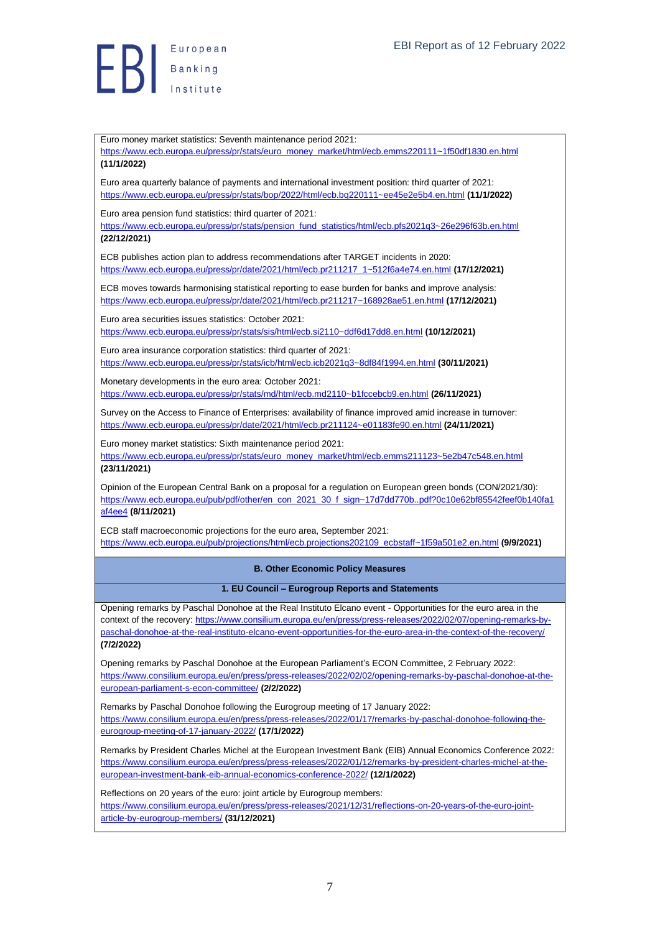Euro money market statistics: Seventh maintenance period 2021: [https://www.ecb.europa.eu/press/pr/stats/euro\\_money\\_market/html/ecb.emms220111~1f50df1830.en.html](https://www.ecb.europa.eu/press/pr/stats/euro_money_market/html/ecb.emms220111~1f50df1830.en.html) **(11/1/2022)**

Euro area quarterly balance of payments and international investment position: third quarter of 2021: <https://www.ecb.europa.eu/press/pr/stats/bop/2022/html/ecb.bq220111~ee45e2e5b4.en.html> **(11/1/2022)**

Euro area pension fund statistics: third quarter of 2021:

[https://www.ecb.europa.eu/press/pr/stats/pension\\_fund\\_statistics/html/ecb.pfs2021q3~26e296f63b.en.html](https://www.ecb.europa.eu/press/pr/stats/pension_fund_statistics/html/ecb.pfs2021q3~26e296f63b.en.html) **(22/12/2021)**

ECB publishes action plan to address recommendations after TARGET incidents in 2020: [https://www.ecb.europa.eu/press/pr/date/2021/html/ecb.pr211217\\_1~512f6a4e74.en.html](https://www.ecb.europa.eu/press/pr/date/2021/html/ecb.pr211217_1~512f6a4e74.en.html) **(17/12/2021)**

ECB moves towards harmonising statistical reporting to ease burden for banks and improve analysis: <https://www.ecb.europa.eu/press/pr/date/2021/html/ecb.pr211217~168928ae51.en.html> **(17/12/2021)**

Euro area securities issues statistics: October 2021: <https://www.ecb.europa.eu/press/pr/stats/sis/html/ecb.si2110~ddf6d17dd8.en.html> **(10/12/2021)**

Euro area insurance corporation statistics: third quarter of 2021: <https://www.ecb.europa.eu/press/pr/stats/icb/html/ecb.icb2021q3~8df84f1994.en.html> **(30/11/2021)**

Monetary developments in the euro area: October 2021: <https://www.ecb.europa.eu/press/pr/stats/md/html/ecb.md2110~b1fccebcb9.en.html> **(26/11/2021)**

Survey on the Access to Finance of Enterprises: availability of finance improved amid increase in turnover: <https://www.ecb.europa.eu/press/pr/date/2021/html/ecb.pr211124~e01183fe90.en.html> **(24/11/2021)**

Euro money market statistics: Sixth maintenance period 2021: [https://www.ecb.europa.eu/press/pr/stats/euro\\_money\\_market/html/ecb.emms211123~5e2b47c548.en.html](https://www.ecb.europa.eu/press/pr/stats/euro_money_market/html/ecb.emms211123~5e2b47c548.en.html) **(23/11/2021)**

Opinion of the European Central Bank on a proposal for a regulation on European green bonds (CON/2021/30): [https://www.ecb.europa.eu/pub/pdf/other/en\\_con\\_2021\\_30\\_f\\_sign~17d7dd770b..pdf?0c10e62bf85542feef0b140fa1](https://www.ecb.europa.eu/pub/pdf/other/en_con_2021_30_f_sign~17d7dd770b..pdf?0c10e62bf85542feef0b140fa1af4ee4) [af4ee4](https://www.ecb.europa.eu/pub/pdf/other/en_con_2021_30_f_sign~17d7dd770b..pdf?0c10e62bf85542feef0b140fa1af4ee4) **(8/11/2021)**

ECB staff macroeconomic projections for the euro area, September 2021: [https://www.ecb.europa.eu/pub/projections/html/ecb.projections202109\\_ecbstaff~1f59a501e2.en.html](https://www.ecb.europa.eu/pub/projections/html/ecb.projections202109_ecbstaff~1f59a501e2.en.html) **(9/9/2021)**

<span id="page-6-0"></span>**B. Other Economic Policy Measures**

**1. EU Council – Eurogroup Reports and Statements**

<span id="page-6-1"></span>Opening remarks by Paschal Donohoe at the Real Instituto Elcano event - Opportunities for the euro area in the context of the recovery: [https://www.consilium.europa.eu/en/press/press-releases/2022/02/07/opening-remarks-by](https://www.consilium.europa.eu/en/press/press-releases/2022/02/07/opening-remarks-by-paschal-donohoe-at-the-real-instituto-elcano-event-opportunities-for-the-euro-area-in-the-context-of-the-recovery/)[paschal-donohoe-at-the-real-instituto-elcano-event-opportunities-for-the-euro-area-in-the-context-of-the-recovery/](https://www.consilium.europa.eu/en/press/press-releases/2022/02/07/opening-remarks-by-paschal-donohoe-at-the-real-instituto-elcano-event-opportunities-for-the-euro-area-in-the-context-of-the-recovery/) **(7/2/2022)**

Opening remarks by Paschal Donohoe at the European Parliament's ECON Committee, 2 February 2022: [https://www.consilium.europa.eu/en/press/press-releases/2022/02/02/opening-remarks-by-paschal-donohoe-at-the](https://www.consilium.europa.eu/en/press/press-releases/2022/02/02/opening-remarks-by-paschal-donohoe-at-the-european-parliament-s-econ-committee/)[european-parliament-s-econ-committee/](https://www.consilium.europa.eu/en/press/press-releases/2022/02/02/opening-remarks-by-paschal-donohoe-at-the-european-parliament-s-econ-committee/) **(2/2/2022)**

Remarks by Paschal Donohoe following the Eurogroup meeting of 17 January 2022: [https://www.consilium.europa.eu/en/press/press-releases/2022/01/17/remarks-by-paschal-donohoe-following-the](https://www.consilium.europa.eu/en/press/press-releases/2022/01/17/remarks-by-paschal-donohoe-following-the-eurogroup-meeting-of-17-january-2022/)[eurogroup-meeting-of-17-january-2022/](https://www.consilium.europa.eu/en/press/press-releases/2022/01/17/remarks-by-paschal-donohoe-following-the-eurogroup-meeting-of-17-january-2022/) **(17/1/2022)**

Remarks by President Charles Michel at the European Investment Bank (EIB) Annual Economics Conference 2022: [https://www.consilium.europa.eu/en/press/press-releases/2022/01/12/remarks-by-president-charles-michel-at-the](https://www.consilium.europa.eu/en/press/press-releases/2022/01/12/remarks-by-president-charles-michel-at-the-european-investment-bank-eib-annual-economics-conference-2022/)[european-investment-bank-eib-annual-economics-conference-2022/](https://www.consilium.europa.eu/en/press/press-releases/2022/01/12/remarks-by-president-charles-michel-at-the-european-investment-bank-eib-annual-economics-conference-2022/) **(12/1/2022)**

Reflections on 20 years of the euro: joint article by Eurogroup members: [https://www.consilium.europa.eu/en/press/press-releases/2021/12/31/reflections-on-20-years-of-the-euro-joint](https://www.consilium.europa.eu/en/press/press-releases/2021/12/31/reflections-on-20-years-of-the-euro-joint-article-by-eurogroup-members/)[article-by-eurogroup-members/](https://www.consilium.europa.eu/en/press/press-releases/2021/12/31/reflections-on-20-years-of-the-euro-joint-article-by-eurogroup-members/) **(31/12/2021)**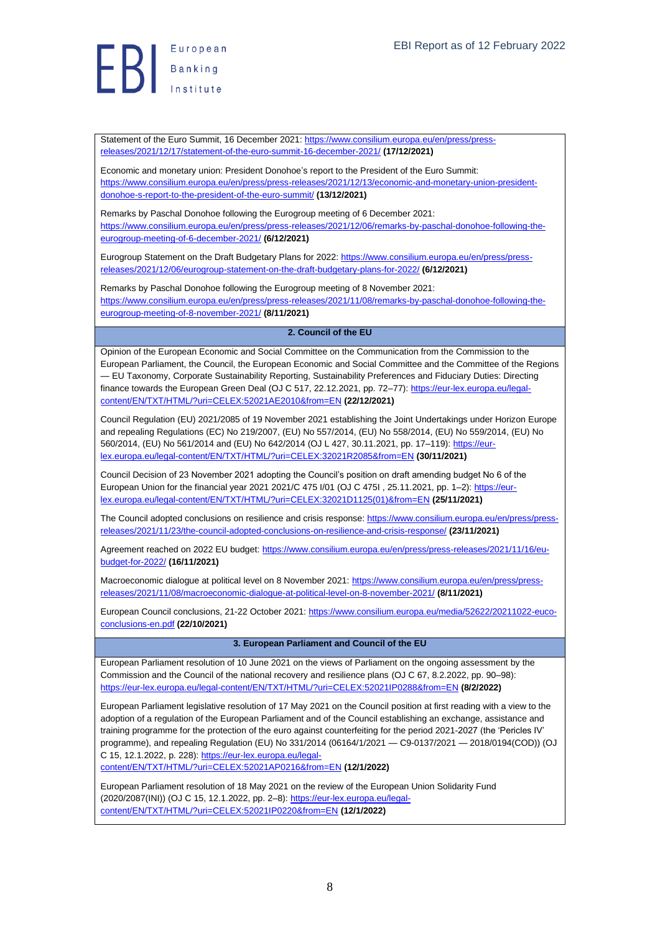Statement of the Euro Summit, 16 December 2021: [https://www.consilium.europa.eu/en/press/press](https://www.consilium.europa.eu/en/press/press-releases/2021/12/17/statement-of-the-euro-summit-16-december-2021/)[releases/2021/12/17/statement-of-the-euro-summit-16-december-2021/](https://www.consilium.europa.eu/en/press/press-releases/2021/12/17/statement-of-the-euro-summit-16-december-2021/) **(17/12/2021)**

Economic and monetary union: President Donohoe's report to the President of the Euro Summit: [https://www.consilium.europa.eu/en/press/press-releases/2021/12/13/economic-and-monetary-union-president](https://www.consilium.europa.eu/en/press/press-releases/2021/12/13/economic-and-monetary-union-president-donohoe-s-report-to-the-president-of-the-euro-summit/)[donohoe-s-report-to-the-president-of-the-euro-summit/](https://www.consilium.europa.eu/en/press/press-releases/2021/12/13/economic-and-monetary-union-president-donohoe-s-report-to-the-president-of-the-euro-summit/) **(13/12/2021)**

Remarks by Paschal Donohoe following the Eurogroup meeting of 6 December 2021: [https://www.consilium.europa.eu/en/press/press-releases/2021/12/06/remarks-by-paschal-donohoe-following-the](https://www.consilium.europa.eu/en/press/press-releases/2021/12/06/remarks-by-paschal-donohoe-following-the-eurogroup-meeting-of-6-december-2021/)[eurogroup-meeting-of-6-december-2021/](https://www.consilium.europa.eu/en/press/press-releases/2021/12/06/remarks-by-paschal-donohoe-following-the-eurogroup-meeting-of-6-december-2021/) **(6/12/2021)**

Eurogroup Statement on the Draft Budgetary Plans for 2022[: https://www.consilium.europa.eu/en/press/press](https://www.consilium.europa.eu/en/press/press-releases/2021/12/06/eurogroup-statement-on-the-draft-budgetary-plans-for-2022/)[releases/2021/12/06/eurogroup-statement-on-the-draft-budgetary-plans-for-2022/](https://www.consilium.europa.eu/en/press/press-releases/2021/12/06/eurogroup-statement-on-the-draft-budgetary-plans-for-2022/) **(6/12/2021)**

Remarks by Paschal Donohoe following the Eurogroup meeting of 8 November 2021: [https://www.consilium.europa.eu/en/press/press-releases/2021/11/08/remarks-by-paschal-donohoe-following-the](https://www.consilium.europa.eu/en/press/press-releases/2021/11/08/remarks-by-paschal-donohoe-following-the-eurogroup-meeting-of-8-november-2021/)[eurogroup-meeting-of-8-november-2021/](https://www.consilium.europa.eu/en/press/press-releases/2021/11/08/remarks-by-paschal-donohoe-following-the-eurogroup-meeting-of-8-november-2021/) **(8/11/2021)**

#### <span id="page-7-0"></span>**2. Council of the EU**

Opinion of the European Economic and Social Committee on the Communication from the Commission to the European Parliament, the Council, the European Economic and Social Committee and the Committee of the Regions — EU Taxonomy, Corporate Sustainability Reporting, Sustainability Preferences and Fiduciary Duties: Directing finance towards the European Green Deal (OJ C 517, 22.12.2021, pp. 72–77)[: https://eur-lex.europa.eu/legal](https://eur-lex.europa.eu/legal-content/EN/TXT/HTML/?uri=CELEX:52021AE2010&from=EN)[content/EN/TXT/HTML/?uri=CELEX:52021AE2010&from=EN](https://eur-lex.europa.eu/legal-content/EN/TXT/HTML/?uri=CELEX:52021AE2010&from=EN) **(22/12/2021)**

Council Regulation (EU) 2021/2085 of 19 November 2021 establishing the Joint Undertakings under Horizon Europe and repealing Regulations (EC) No 219/2007, (EU) No 557/2014, (EU) No 558/2014, (EU) No 559/2014, (EU) No 560/2014, (EU) No 561/2014 and (EU) No 642/2014 (OJ L 427, 30.11.2021, pp. 17–119)[: https://eur](https://eur-lex.europa.eu/legal-content/EN/TXT/HTML/?uri=CELEX:32021R2085&from=EN)[lex.europa.eu/legal-content/EN/TXT/HTML/?uri=CELEX:32021R2085&from=EN](https://eur-lex.europa.eu/legal-content/EN/TXT/HTML/?uri=CELEX:32021R2085&from=EN) **(30/11/2021)**

Council Decision of 23 November 2021 adopting the Council's position on draft amending budget No 6 of the European Union for the financial year 2021 2021/C 475 I/01 (OJ C 475I , 25.11.2021, pp. 1–2): [https://eur](https://eur-lex.europa.eu/legal-content/EN/TXT/HTML/?uri=CELEX:32021D1125(01)&from=EN)[lex.europa.eu/legal-content/EN/TXT/HTML/?uri=CELEX:32021D1125\(01\)&from=EN](https://eur-lex.europa.eu/legal-content/EN/TXT/HTML/?uri=CELEX:32021D1125(01)&from=EN) **(25/11/2021)**

The Council adopted conclusions on resilience and crisis response[: https://www.consilium.europa.eu/en/press/press](https://www.consilium.europa.eu/en/press/press-releases/2021/11/23/the-council-adopted-conclusions-on-resilience-and-crisis-response/)[releases/2021/11/23/the-council-adopted-conclusions-on-resilience-and-crisis-response/](https://www.consilium.europa.eu/en/press/press-releases/2021/11/23/the-council-adopted-conclusions-on-resilience-and-crisis-response/) **(23/11/2021)**

Agreement reached on 2022 EU budget: [https://www.consilium.europa.eu/en/press/press-releases/2021/11/16/eu](https://www.consilium.europa.eu/en/press/press-releases/2021/11/16/eu-budget-for-2022/)[budget-for-2022/](https://www.consilium.europa.eu/en/press/press-releases/2021/11/16/eu-budget-for-2022/) **(16/11/2021)**

Macroeconomic dialogue at political level on 8 November 2021[: https://www.consilium.europa.eu/en/press/press](https://www.consilium.europa.eu/en/press/press-releases/2021/11/08/macroeconomic-dialogue-at-political-level-on-8-november-2021/)[releases/2021/11/08/macroeconomic-dialogue-at-political-level-on-8-november-2021/](https://www.consilium.europa.eu/en/press/press-releases/2021/11/08/macroeconomic-dialogue-at-political-level-on-8-november-2021/) **(8/11/2021)**

European Council conclusions, 21-22 October 2021[: https://www.consilium.europa.eu/media/52622/20211022-euco](https://www.consilium.europa.eu/media/52622/20211022-euco-conclusions-en.pdf)[conclusions-en.pdf](https://www.consilium.europa.eu/media/52622/20211022-euco-conclusions-en.pdf) **(22/10/2021)**

#### **3. European Parliament and Council of the EU**

<span id="page-7-1"></span>European Parliament resolution of 10 June 2021 on the views of Parliament on the ongoing assessment by the Commission and the Council of the national recovery and resilience plans (OJ C 67, 8.2.2022, pp. 90–98): <https://eur-lex.europa.eu/legal-content/EN/TXT/HTML/?uri=CELEX:52021IP0288&from=EN> **(8/2/2022)**

European Parliament legislative resolution of 17 May 2021 on the Council position at first reading with a view to the adoption of a regulation of the European Parliament and of the Council establishing an exchange, assistance and training programme for the protection of the euro against counterfeiting for the period 2021-2027 (the 'Pericles IV' programme), and repealing Regulation (EU) No 331/2014 (06164/1/2021 — C9-0137/2021 — 2018/0194(COD)) (OJ C 15, 12.1.2022, p. 228)[: https://eur-lex.europa.eu/legal-](https://eur-lex.europa.eu/legal-content/EN/TXT/HTML/?uri=CELEX:52021AP0216&from=EN)

[content/EN/TXT/HTML/?uri=CELEX:52021AP0216&from=EN](https://eur-lex.europa.eu/legal-content/EN/TXT/HTML/?uri=CELEX:52021AP0216&from=EN) **(12/1/2022)**

European Parliament resolution of 18 May 2021 on the review of the European Union Solidarity Fund (2020/2087(INI)) (OJ C 15, 12.1.2022, pp. 2–8): [https://eur-lex.europa.eu/legal](https://eur-lex.europa.eu/legal-content/EN/TXT/HTML/?uri=CELEX:52021IP0220&from=EN)[content/EN/TXT/HTML/?uri=CELEX:52021IP0220&from=EN](https://eur-lex.europa.eu/legal-content/EN/TXT/HTML/?uri=CELEX:52021IP0220&from=EN) **(12/1/2022)**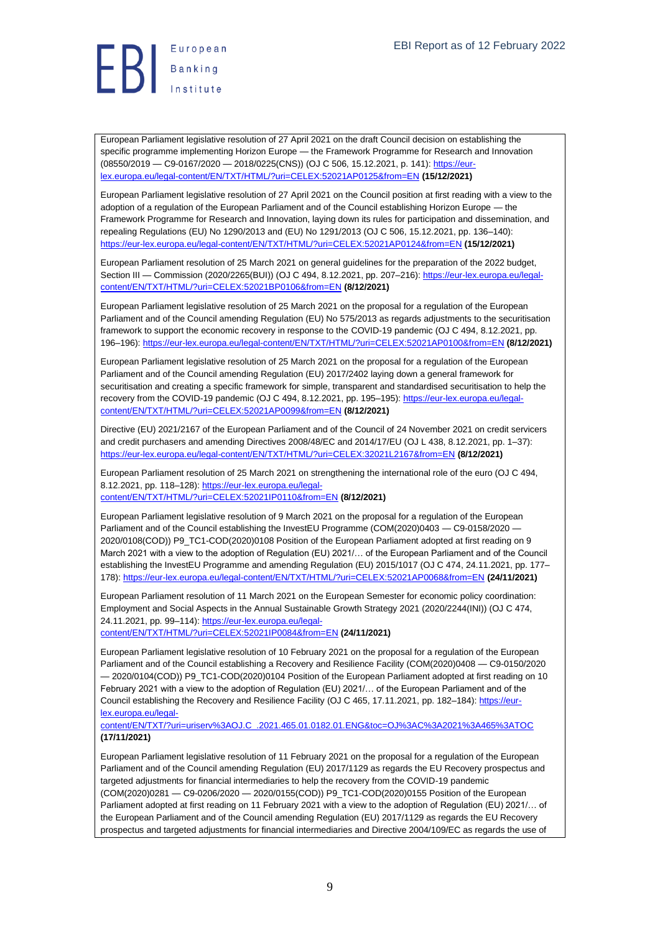

European Parliament legislative resolution of 27 April 2021 on the draft Council decision on establishing the specific programme implementing Horizon Europe — the Framework Programme for Research and Innovation (08550/2019 — C9-0167/2020 — 2018/0225(CNS)) (OJ C 506, 15.12.2021, p. 141): [https://eur](https://eur-lex.europa.eu/legal-content/EN/TXT/HTML/?uri=CELEX:52021AP0125&from=EN)[lex.europa.eu/legal-content/EN/TXT/HTML/?uri=CELEX:52021AP0125&from=EN](https://eur-lex.europa.eu/legal-content/EN/TXT/HTML/?uri=CELEX:52021AP0125&from=EN) **(15/12/2021)**

European Parliament legislative resolution of 27 April 2021 on the Council position at first reading with a view to the adoption of a regulation of the European Parliament and of the Council establishing Horizon Europe — the Framework Programme for Research and Innovation, laying down its rules for participation and dissemination, and repealing Regulations (EU) No 1290/2013 and (EU) No 1291/2013 (OJ C 506, 15.12.2021, pp. 136–140): <https://eur-lex.europa.eu/legal-content/EN/TXT/HTML/?uri=CELEX:52021AP0124&from=EN> **(15/12/2021)**

European Parliament resolution of 25 March 2021 on general guidelines for the preparation of the 2022 budget, Section III — Commission (2020/2265(BUI)) (OJ C 494, 8.12.2021, pp. 207–216)[: https://eur-lex.europa.eu/legal](https://eur-lex.europa.eu/legal-content/EN/TXT/HTML/?uri=CELEX:52021BP0106&from=EN)[content/EN/TXT/HTML/?uri=CELEX:52021BP0106&from=EN](https://eur-lex.europa.eu/legal-content/EN/TXT/HTML/?uri=CELEX:52021BP0106&from=EN) **(8/12/2021)**

European Parliament legislative resolution of 25 March 2021 on the proposal for a regulation of the European Parliament and of the Council amending Regulation (EU) No 575/2013 as regards adjustments to the securitisation framework to support the economic recovery in response to the COVID-19 pandemic (OJ C 494, 8.12.2021, pp. 196–196):<https://eur-lex.europa.eu/legal-content/EN/TXT/HTML/?uri=CELEX:52021AP0100&from=EN> **(8/12/2021)**

European Parliament legislative resolution of 25 March 2021 on the proposal for a regulation of the European Parliament and of the Council amending Regulation (EU) 2017/2402 laying down a general framework for securitisation and creating a specific framework for simple, transparent and standardised securitisation to help the recovery from the COVID-19 pandemic (OJ C 494, 8.12.2021, pp. 195–195)[: https://eur-lex.europa.eu/legal](https://eur-lex.europa.eu/legal-content/EN/TXT/HTML/?uri=CELEX:52021AP0099&from=EN)[content/EN/TXT/HTML/?uri=CELEX:52021AP0099&from=EN](https://eur-lex.europa.eu/legal-content/EN/TXT/HTML/?uri=CELEX:52021AP0099&from=EN) **(8/12/2021)**

Directive (EU) 2021/2167 of the European Parliament and of the Council of 24 November 2021 on credit servicers and credit purchasers and amending Directives 2008/48/EC and 2014/17/EU (OJ L 438, 8.12.2021, pp. 1–37): <https://eur-lex.europa.eu/legal-content/EN/TXT/HTML/?uri=CELEX:32021L2167&from=EN> **(8/12/2021)**

European Parliament resolution of 25 March 2021 on strengthening the international role of the euro (OJ C 494, 8.12.2021, pp. 118–128): [https://eur-lex.europa.eu/legal-](https://eur-lex.europa.eu/legal-content/EN/TXT/HTML/?uri=CELEX:52021IP0110&from=EN)

[content/EN/TXT/HTML/?uri=CELEX:52021IP0110&from=EN](https://eur-lex.europa.eu/legal-content/EN/TXT/HTML/?uri=CELEX:52021IP0110&from=EN) **(8/12/2021)**

European Parliament legislative resolution of 9 March 2021 on the proposal for a regulation of the European Parliament and of the Council establishing the InvestEU Programme (COM(2020)0403 — C9-0158/2020 -2020/0108(COD)) P9\_TC1-COD(2020)0108 Position of the European Parliament adopted at first reading on 9 March 2021 with a view to the adoption of Regulation (EU) 2021/… of the European Parliament and of the Council establishing the InvestEU Programme and amending Regulation (EU) 2015/1017 (OJ C 474, 24.11.2021, pp. 177– 178):<https://eur-lex.europa.eu/legal-content/EN/TXT/HTML/?uri=CELEX:52021AP0068&from=EN> **(24/11/2021)**

European Parliament resolution of 11 March 2021 on the European Semester for economic policy coordination: Employment and Social Aspects in the Annual Sustainable Growth Strategy 2021 (2020/2244(INI)) (OJ C 474, 24.11.2021, pp. 99–114)[: https://eur-lex.europa.eu/legal-](https://eur-lex.europa.eu/legal-content/EN/TXT/HTML/?uri=CELEX:52021IP0084&from=EN)

[content/EN/TXT/HTML/?uri=CELEX:52021IP0084&from=EN](https://eur-lex.europa.eu/legal-content/EN/TXT/HTML/?uri=CELEX:52021IP0084&from=EN) **(24/11/2021)**

European Parliament legislative resolution of 10 February 2021 on the proposal for a regulation of the European Parliament and of the Council establishing a Recovery and Resilience Facility (COM(2020)0408 — C9-0150/2020  $-2020/0104$ (COD)) P9\_TC1-COD(2020)0104 Position of the European Parliament adopted at first reading on 10 February 2021 with a view to the adoption of Regulation (EU) 2021/… of the European Parliament and of the Council establishing the Recovery and Resilience Facility (OJ C 465, 17.11.2021, pp. 182–184)[: https://eur](https://eur-lex.europa.eu/legal-content/EN/TXT/?uri=uriserv%3AOJ.C_.2021.465.01.0182.01.ENG&toc=OJ%3AC%3A2021%3A465%3ATOC)[lex.europa.eu/legal-](https://eur-lex.europa.eu/legal-content/EN/TXT/?uri=uriserv%3AOJ.C_.2021.465.01.0182.01.ENG&toc=OJ%3AC%3A2021%3A465%3ATOC)

[content/EN/TXT/?uri=uriserv%3AOJ.C\\_.2021.465.01.0182.01.ENG&toc=OJ%3AC%3A2021%3A465%3ATOC](https://eur-lex.europa.eu/legal-content/EN/TXT/?uri=uriserv%3AOJ.C_.2021.465.01.0182.01.ENG&toc=OJ%3AC%3A2021%3A465%3ATOC) **(17/11/2021)**

European Parliament legislative resolution of 11 February 2021 on the proposal for a regulation of the European Parliament and of the Council amending Regulation (EU) 2017/1129 as regards the EU Recovery prospectus and targeted adjustments for financial intermediaries to help the recovery from the COVID-19 pandemic (COM(2020)0281 — C9-0206/2020 — 2020/0155(COD)) P9\_TC1-COD(2020)0155 Position of the European Parliament adopted at first reading on 11 February 2021 with a view to the adoption of Regulation (EU) 2021/... of the European Parliament and of the Council amending Regulation (EU) 2017/1129 as regards the EU Recovery prospectus and targeted adjustments for financial intermediaries and Directive 2004/109/EC as regards the use of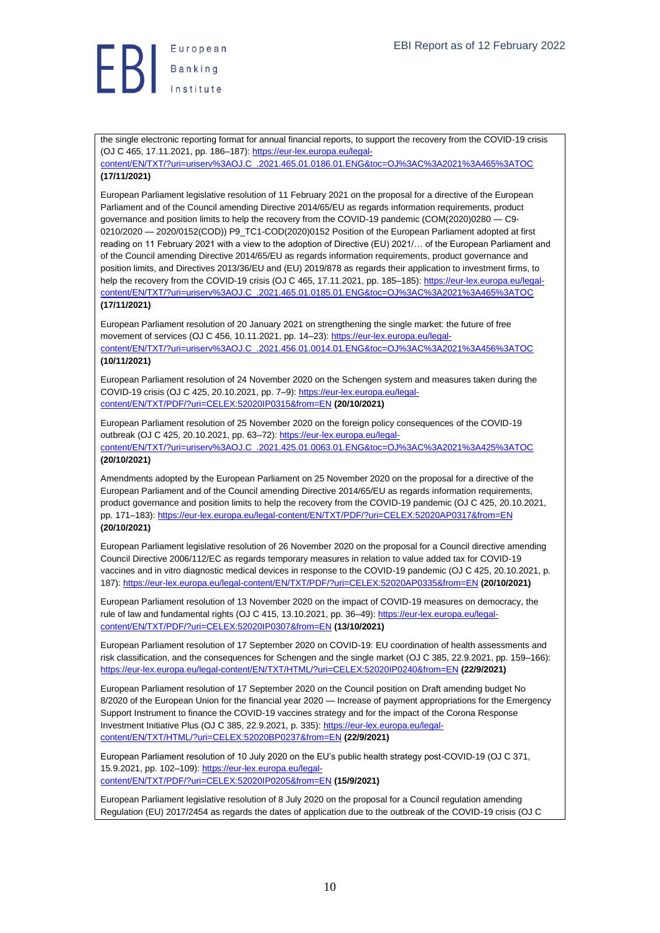## **ED** Banking

the single electronic reporting format for annual financial reports, to support the recovery from the COVID-19 crisis (OJ C 465, 17.11.2021, pp. 186–187)[: https://eur-lex.europa.eu/legal-](https://eur-lex.europa.eu/legal-content/EN/TXT/?uri=uriserv%3AOJ.C_.2021.465.01.0186.01.ENG&toc=OJ%3AC%3A2021%3A465%3ATOC)

[content/EN/TXT/?uri=uriserv%3AOJ.C\\_.2021.465.01.0186.01.ENG&toc=OJ%3AC%3A2021%3A465%3ATOC](https://eur-lex.europa.eu/legal-content/EN/TXT/?uri=uriserv%3AOJ.C_.2021.465.01.0186.01.ENG&toc=OJ%3AC%3A2021%3A465%3ATOC) **(17/11/2021)**

European Parliament legislative resolution of 11 February 2021 on the proposal for a directive of the European Parliament and of the Council amending Directive 2014/65/EU as regards information requirements, product governance and position limits to help the recovery from the COVID-19 pandemic (COM(2020)0280 — C9- 0210/2020 — 2020/0152(COD)) P9\_TC1-COD(2020)0152 Position of the European Parliament adopted at first reading on 11 February 2021 with a view to the adoption of Directive (EU) 2021/… of the European Parliament and of the Council amending Directive 2014/65/EU as regards information requirements, product governance and position limits, and Directives 2013/36/EU and (EU) 2019/878 as regards their application to investment firms, to help the recovery from the COVID-19 crisis (OJ C 465, 17.11.2021, pp. 185–185)[: https://eur-lex.europa.eu/legal](https://eur-lex.europa.eu/legal-content/EN/TXT/?uri=uriserv%3AOJ.C_.2021.465.01.0185.01.ENG&toc=OJ%3AC%3A2021%3A465%3ATOC)[content/EN/TXT/?uri=uriserv%3AOJ.C\\_.2021.465.01.0185.01.ENG&toc=OJ%3AC%3A2021%3A465%3ATOC](https://eur-lex.europa.eu/legal-content/EN/TXT/?uri=uriserv%3AOJ.C_.2021.465.01.0185.01.ENG&toc=OJ%3AC%3A2021%3A465%3ATOC)

#### **(17/11/2021)**

European Parliament resolution of 20 January 2021 on strengthening the single market: the future of free movement of services (OJ C 456, 10.11.2021, pp. 14–23): [https://eur-lex.europa.eu/legal](https://eur-lex.europa.eu/legal-content/EN/TXT/?uri=uriserv%3AOJ.C_.2021.456.01.0014.01.ENG&toc=OJ%3AC%3A2021%3A456%3ATOC)[content/EN/TXT/?uri=uriserv%3AOJ.C\\_.2021.456.01.0014.01.ENG&toc=OJ%3AC%3A2021%3A456%3ATOC](https://eur-lex.europa.eu/legal-content/EN/TXT/?uri=uriserv%3AOJ.C_.2021.456.01.0014.01.ENG&toc=OJ%3AC%3A2021%3A456%3ATOC)

#### **(10/11/2021)**

European Parliament resolution of 24 November 2020 on the Schengen system and measures taken during the COVID-19 crisis (OJ C 425, 20.10.2021, pp. 7–9)[: https://eur-lex.europa.eu/legal](https://eur-lex.europa.eu/legal-content/EN/TXT/PDF/?uri=CELEX:52020IP0315&from=EN)[content/EN/TXT/PDF/?uri=CELEX:52020IP0315&from=EN](https://eur-lex.europa.eu/legal-content/EN/TXT/PDF/?uri=CELEX:52020IP0315&from=EN) **(20/10/2021)**

European Parliament resolution of 25 November 2020 on the foreign policy consequences of the COVID-19 outbreak (OJ C 425, 20.10.2021, pp. 63–72)[: https://eur-lex.europa.eu/legal](https://eur-lex.europa.eu/legal-content/EN/TXT/?uri=uriserv%3AOJ.C_.2021.425.01.0063.01.ENG&toc=OJ%3AC%3A2021%3A425%3ATOC)[content/EN/TXT/?uri=uriserv%3AOJ.C\\_.2021.425.01.0063.01.ENG&toc=OJ%3AC%3A2021%3A425%3ATOC](https://eur-lex.europa.eu/legal-content/EN/TXT/?uri=uriserv%3AOJ.C_.2021.425.01.0063.01.ENG&toc=OJ%3AC%3A2021%3A425%3ATOC) **(20/10/2021)**

Amendments adopted by the European Parliament on 25 November 2020 on the proposal for a directive of the European Parliament and of the Council amending Directive 2014/65/EU as regards information requirements, product governance and position limits to help the recovery from the COVID-19 pandemic (OJ C 425, 20.10.2021, pp. 171–183)[: https://eur-lex.europa.eu/legal-content/EN/TXT/PDF/?uri=CELEX:52020AP0317&from=EN](https://eur-lex.europa.eu/legal-content/EN/TXT/PDF/?uri=CELEX:52020AP0317&from=EN) **(20/10/2021)**

European Parliament legislative resolution of 26 November 2020 on the proposal for a Council directive amending Council Directive 2006/112/EC as regards temporary measures in relation to value added tax for COVID-19 vaccines and in vitro diagnostic medical devices in response to the COVID-19 pandemic (OJ C 425, 20.10.2021, p. 187):<https://eur-lex.europa.eu/legal-content/EN/TXT/PDF/?uri=CELEX:52020AP0335&from=EN> **(20/10/2021)**

European Parliament resolution of 13 November 2020 on the impact of COVID-19 measures on democracy, the rule of law and fundamental rights (OJ C 415, 13.10.2021, pp. 36–49): [https://eur-lex.europa.eu/legal](https://eur-lex.europa.eu/legal-content/EN/TXT/PDF/?uri=CELEX:52020IP0307&from=EN)[content/EN/TXT/PDF/?uri=CELEX:52020IP0307&from=EN](https://eur-lex.europa.eu/legal-content/EN/TXT/PDF/?uri=CELEX:52020IP0307&from=EN) **(13/10/2021)**

European Parliament resolution of 17 September 2020 on COVID-19: EU coordination of health assessments and risk classification, and the consequences for Schengen and the single market (OJ C 385, 22.9.2021, pp. 159–166): <https://eur-lex.europa.eu/legal-content/EN/TXT/HTML/?uri=CELEX:52020IP0240&from=EN> **(22/9/2021)**

European Parliament resolution of 17 September 2020 on the Council position on Draft amending budget No 8/2020 of the European Union for the financial year 2020 — Increase of payment appropriations for the Emergency Support Instrument to finance the COVID-19 vaccines strategy and for the impact of the Corona Response Investment Initiative Plus (OJ C 385, 22.9.2021, p. 335)[: https://eur-lex.europa.eu/legal](https://eur-lex.europa.eu/legal-content/EN/TXT/HTML/?uri=CELEX:52020BP0237&from=EN)[content/EN/TXT/HTML/?uri=CELEX:52020BP0237&from=EN](https://eur-lex.europa.eu/legal-content/EN/TXT/HTML/?uri=CELEX:52020BP0237&from=EN) **(22/9/2021)**

European Parliament resolution of 10 July 2020 on the EU's public health strategy post-COVID-19 (OJ C 371, 15.9.2021, pp. 102–109)[: https://eur-lex.europa.eu/legal](https://eur-lex.europa.eu/legal-content/EN/TXT/PDF/?uri=CELEX:52020IP0205&from=EN)[content/EN/TXT/PDF/?uri=CELEX:52020IP0205&from=EN](https://eur-lex.europa.eu/legal-content/EN/TXT/PDF/?uri=CELEX:52020IP0205&from=EN) **(15/9/2021)**

European Parliament legislative resolution of 8 July 2020 on the proposal for a Council regulation amending Regulation (EU) 2017/2454 as regards the dates of application due to the outbreak of the COVID-19 crisis (OJ C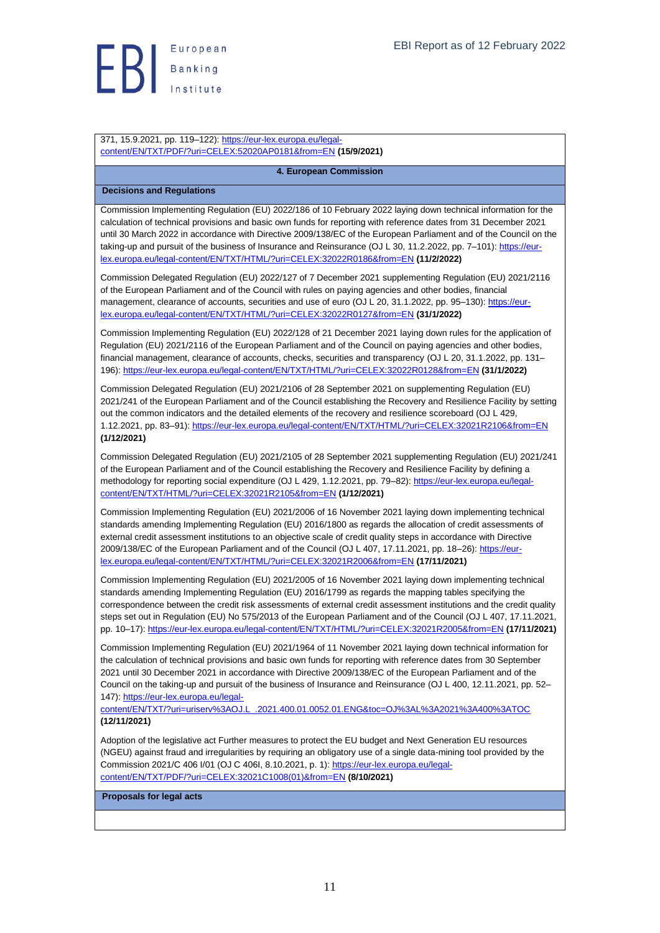**ED** Banking

371, 15.9.2021, pp. 119-122): [https://eur-lex.europa.eu/legal](https://eur-lex.europa.eu/legal-content/EN/TXT/PDF/?uri=CELEX:52020AP0181&from=EN)[content/EN/TXT/PDF/?uri=CELEX:52020AP0181&from=EN](https://eur-lex.europa.eu/legal-content/EN/TXT/PDF/?uri=CELEX:52020AP0181&from=EN) **(15/9/2021)**

<span id="page-10-0"></span>**4. European Commission**

#### <span id="page-10-1"></span>**Decisions and Regulations**

Commission Implementing Regulation (EU) 2022/186 of 10 February 2022 laying down technical information for the calculation of technical provisions and basic own funds for reporting with reference dates from 31 December 2021 until 30 March 2022 in accordance with Directive 2009/138/EC of the European Parliament and of the Council on the taking-up and pursuit of the business of Insurance and Reinsurance (OJ L 30, 11.2.2022, pp. 7–101): [https://eur](https://eur-lex.europa.eu/legal-content/EN/TXT/HTML/?uri=CELEX:32022R0186&from=EN)[lex.europa.eu/legal-content/EN/TXT/HTML/?uri=CELEX:32022R0186&from=EN](https://eur-lex.europa.eu/legal-content/EN/TXT/HTML/?uri=CELEX:32022R0186&from=EN) **(11/2/2022)**

Commission Delegated Regulation (EU) 2022/127 of 7 December 2021 supplementing Regulation (EU) 2021/2116 of the European Parliament and of the Council with rules on paying agencies and other bodies, financial management, clearance of accounts, securities and use of euro (OJ L 20, 31.1.2022, pp. 95–130); https://eur[lex.europa.eu/legal-content/EN/TXT/HTML/?uri=CELEX:32022R0127&from=EN](https://eur-lex.europa.eu/legal-content/EN/TXT/HTML/?uri=CELEX:32022R0127&from=EN) **(31/1/2022)**

Commission Implementing Regulation (EU) 2022/128 of 21 December 2021 laying down rules for the application of Regulation (EU) 2021/2116 of the European Parliament and of the Council on paying agencies and other bodies, financial management, clearance of accounts, checks, securities and transparency (OJ L 20, 31.1.2022, pp. 131– 196):<https://eur-lex.europa.eu/legal-content/EN/TXT/HTML/?uri=CELEX:32022R0128&from=EN> **(31/1/2022)**

Commission Delegated Regulation (EU) 2021/2106 of 28 September 2021 on supplementing Regulation (EU) 2021/241 of the European Parliament and of the Council establishing the Recovery and Resilience Facility by setting out the common indicators and the detailed elements of the recovery and resilience scoreboard (OJ L 429, 1.12.2021, pp. 83–91)[: https://eur-lex.europa.eu/legal-content/EN/TXT/HTML/?uri=CELEX:32021R2106&from=EN](https://eur-lex.europa.eu/legal-content/EN/TXT/HTML/?uri=CELEX:32021R2106&from=EN) **(1/12/2021)**

Commission Delegated Regulation (EU) 2021/2105 of 28 September 2021 supplementing Regulation (EU) 2021/241 of the European Parliament and of the Council establishing the Recovery and Resilience Facility by defining a methodology for reporting social expenditure (OJ L 429, 1.12.2021, pp. 79–82): [https://eur-lex.europa.eu/legal](https://eur-lex.europa.eu/legal-content/EN/TXT/HTML/?uri=CELEX:32021R2105&from=EN)[content/EN/TXT/HTML/?uri=CELEX:32021R2105&from=EN](https://eur-lex.europa.eu/legal-content/EN/TXT/HTML/?uri=CELEX:32021R2105&from=EN) **(1/12/2021)**

Commission Implementing Regulation (EU) 2021/2006 of 16 November 2021 laying down implementing technical standards amending Implementing Regulation (EU) 2016/1800 as regards the allocation of credit assessments of external credit assessment institutions to an objective scale of credit quality steps in accordance with Directive 2009/138/EC of the European Parliament and of the Council (OJ L 407, 17.11.2021, pp. 18-26)[: https://eur](https://eur-lex.europa.eu/legal-content/EN/TXT/HTML/?uri=CELEX:32021R2006&from=EN)[lex.europa.eu/legal-content/EN/TXT/HTML/?uri=CELEX:32021R2006&from=EN](https://eur-lex.europa.eu/legal-content/EN/TXT/HTML/?uri=CELEX:32021R2006&from=EN) **(17/11/2021)**

Commission Implementing Regulation (EU) 2021/2005 of 16 November 2021 laying down implementing technical standards amending Implementing Regulation (EU) 2016/1799 as regards the mapping tables specifying the correspondence between the credit risk assessments of external credit assessment institutions and the credit quality steps set out in Regulation (EU) No 575/2013 of the European Parliament and of the Council (OJ L 407, 17.11.2021, pp. 10–17)[: https://eur-lex.europa.eu/legal-content/EN/TXT/HTML/?uri=CELEX:32021R2005&from=EN](https://eur-lex.europa.eu/legal-content/EN/TXT/HTML/?uri=CELEX:32021R2005&from=EN) **(17/11/2021)**

Commission Implementing Regulation (EU) 2021/1964 of 11 November 2021 laying down technical information for the calculation of technical provisions and basic own funds for reporting with reference dates from 30 September 2021 until 30 December 2021 in accordance with Directive 2009/138/EC of the European Parliament and of the Council on the taking-up and pursuit of the business of Insurance and Reinsurance (OJ L 400, 12.11.2021, pp. 52– 147): [https://eur-lex.europa.eu/legal-](https://eur-lex.europa.eu/legal-content/EN/TXT/?uri=uriserv%3AOJ.L_.2021.400.01.0052.01.ENG&toc=OJ%3AL%3A2021%3A400%3ATOC)

[content/EN/TXT/?uri=uriserv%3AOJ.L\\_.2021.400.01.0052.01.ENG&toc=OJ%3AL%3A2021%3A400%3ATOC](https://eur-lex.europa.eu/legal-content/EN/TXT/?uri=uriserv%3AOJ.L_.2021.400.01.0052.01.ENG&toc=OJ%3AL%3A2021%3A400%3ATOC) **(12/11/2021)**

Adoption of the legislative act Further measures to protect the EU budget and Next Generation EU resources (NGEU) against fraud and irregularities by requiring an obligatory use of a single data-mining tool provided by the Commission 2021/C 406 I/01 (OJ C 406I, 8.10.2021, p. 1)[: https://eur-lex.europa.eu/legal](https://eur-lex.europa.eu/legal-content/EN/TXT/PDF/?uri=CELEX:32021C1008(01)&from=EN)[content/EN/TXT/PDF/?uri=CELEX:32021C1008\(01\)&from=EN](https://eur-lex.europa.eu/legal-content/EN/TXT/PDF/?uri=CELEX:32021C1008(01)&from=EN) **(8/10/2021)**

<span id="page-10-2"></span>**Proposals for legal acts**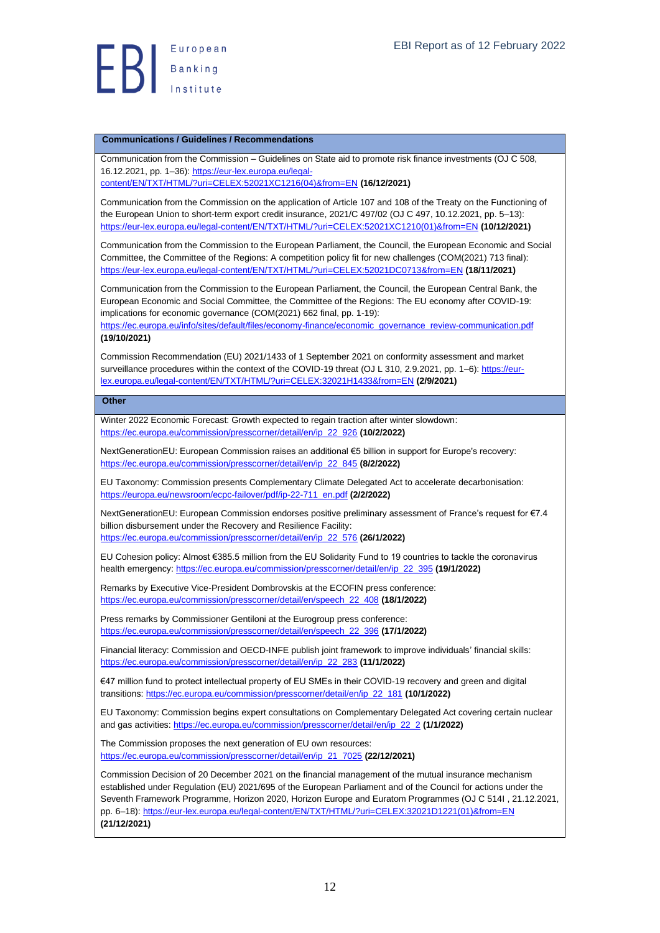#### <span id="page-11-0"></span>**Communications / Guidelines / Recommendations**

Communication from the Commission – Guidelines on State aid to promote risk finance investments (OJ C 508, 16.12.2021, pp. 1–36)[: https://eur-lex.europa.eu/legal-](https://eur-lex.europa.eu/legal-content/EN/TXT/HTML/?uri=CELEX:52021XC1216(04)&from=EN)

[content/EN/TXT/HTML/?uri=CELEX:52021XC1216\(04\)&from=EN](https://eur-lex.europa.eu/legal-content/EN/TXT/HTML/?uri=CELEX:52021XC1216(04)&from=EN) **(16/12/2021)**

Communication from the Commission on the application of Article 107 and 108 of the Treaty on the Functioning of the European Union to short-term export credit insurance, 2021/C 497/02 (OJ C 497, 10.12.2021, pp. 5–13): [https://eur-lex.europa.eu/legal-content/EN/TXT/HTML/?uri=CELEX:52021XC1210\(01\)&from=EN](https://eur-lex.europa.eu/legal-content/EN/TXT/HTML/?uri=CELEX:52021XC1210(01)&from=EN) **(10/12/2021)**

Communication from the Commission to the European Parliament, the Council, the European Economic and Social Committee, the Committee of the Regions: A competition policy fit for new challenges (COM(2021) 713 final): <https://eur-lex.europa.eu/legal-content/EN/TXT/HTML/?uri=CELEX:52021DC0713&from=EN> **(18/11/2021)**

Communication from the Commission to the European Parliament, the Council, the European Central Bank, the European Economic and Social Committee, the Committee of the Regions: The EU economy after COVID-19: implications for economic governance (COM(2021) 662 final, pp. 1-19):

[https://ec.europa.eu/info/sites/default/files/economy-finance/economic\\_governance\\_review-communication.pdf](https://ec.europa.eu/info/sites/default/files/economy-finance/economic_governance_review-communication.pdf) **(19/10/2021)**

Commission Recommendation (EU) 2021/1433 of 1 September 2021 on conformity assessment and market surveillance procedures within the context of the COVID-19 threat (OJ L 310, 2.9.2021, pp. 1–6)[: https://eur](https://eur-lex.europa.eu/legal-content/EN/TXT/HTML/?uri=CELEX:32021H1433&from=EN)[lex.europa.eu/legal-content/EN/TXT/HTML/?uri=CELEX:32021H1433&from=EN](https://eur-lex.europa.eu/legal-content/EN/TXT/HTML/?uri=CELEX:32021H1433&from=EN) **(2/9/2021)**

#### <span id="page-11-1"></span>**Other**

Winter 2022 Economic Forecast: Growth expected to regain traction after winter slowdown: [https://ec.europa.eu/commission/presscorner/detail/en/ip\\_22\\_926](https://ec.europa.eu/commission/presscorner/detail/en/ip_22_926) **(10/2/2022)**

NextGenerationEU: European Commission raises an additional €5 billion in support for Europe's recovery: [https://ec.europa.eu/commission/presscorner/detail/en/ip\\_22\\_845](https://ec.europa.eu/commission/presscorner/detail/en/ip_22_845) **(8/2/2022)**

EU Taxonomy: Commission presents Complementary Climate Delegated Act to accelerate decarbonisation: [https://europa.eu/newsroom/ecpc-failover/pdf/ip-22-711\\_en.pdf](https://europa.eu/newsroom/ecpc-failover/pdf/ip-22-711_en.pdf) **(2/2/2022)**

NextGenerationEU: European Commission endorses positive preliminary assessment of France's request for €7.4 billion disbursement under the Recovery and Resilience Facility:

[https://ec.europa.eu/commission/presscorner/detail/en/ip\\_22\\_576](https://ec.europa.eu/commission/presscorner/detail/en/ip_22_576) **(26/1/2022)**

EU Cohesion policy: Almost €385.5 million from the EU Solidarity Fund to 19 countries to tackle the coronavirus health emergency[: https://ec.europa.eu/commission/presscorner/detail/en/ip\\_22\\_395](https://ec.europa.eu/commission/presscorner/detail/en/ip_22_395) **(19/1/2022)**

Remarks by Executive Vice-President Dombrovskis at the ECOFIN press conference: [https://ec.europa.eu/commission/presscorner/detail/en/speech\\_22\\_408](https://ec.europa.eu/commission/presscorner/detail/en/speech_22_408) **(18/1/2022)**

Press remarks by Commissioner Gentiloni at the Eurogroup press conference: [https://ec.europa.eu/commission/presscorner/detail/en/speech\\_22\\_396](https://ec.europa.eu/commission/presscorner/detail/en/speech_22_396) **(17/1/2022)**

Financial literacy: Commission and OECD-INFE publish joint framework to improve individuals' financial skills: [https://ec.europa.eu/commission/presscorner/detail/en/ip\\_22\\_283](https://ec.europa.eu/commission/presscorner/detail/en/ip_22_283) **(11/1/2022)**

€47 million fund to protect intellectual property of EU SMEs in their COVID-19 recovery and green and digital transitions: [https://ec.europa.eu/commission/presscorner/detail/en/ip\\_22\\_181](https://ec.europa.eu/commission/presscorner/detail/en/ip_22_181) **(10/1/2022)**

EU Taxonomy: Commission begins expert consultations on Complementary Delegated Act covering certain nuclear and gas activities: [https://ec.europa.eu/commission/presscorner/detail/en/ip\\_22\\_2](https://ec.europa.eu/commission/presscorner/detail/en/ip_22_2) **(1/1/2022)**

The Commission proposes the next generation of EU own resources: [https://ec.europa.eu/commission/presscorner/detail/en/ip\\_21\\_7025](https://ec.europa.eu/commission/presscorner/detail/en/ip_21_7025) **(22/12/2021)**

Commission Decision of 20 December 2021 on the financial management of the mutual insurance mechanism established under Regulation (EU) 2021/695 of the European Parliament and of the Council for actions under the Seventh Framework Programme, Horizon 2020, Horizon Europe and Euratom Programmes (OJ C 514I , 21.12.2021, pp. 6–18): [https://eur-lex.europa.eu/legal-content/EN/TXT/HTML/?uri=CELEX:32021D1221\(01\)&from=EN](https://eur-lex.europa.eu/legal-content/EN/TXT/HTML/?uri=CELEX:32021D1221(01)&from=EN) **(21/12/2021)**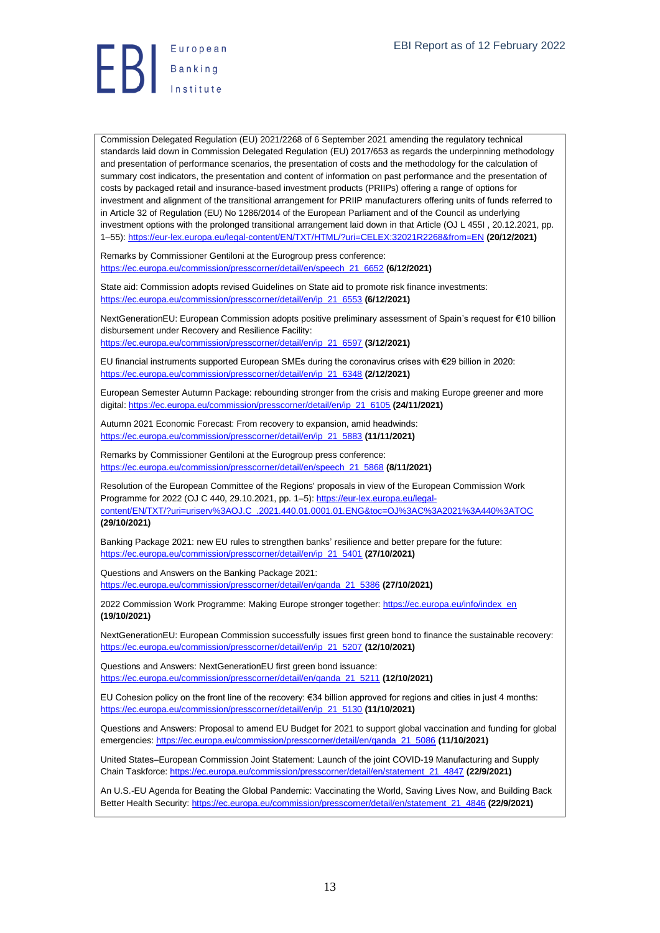# **Exerche Stanking**<br>Institute

Commission Delegated Regulation (EU) 2021/2268 of 6 September 2021 amending the regulatory technical standards laid down in Commission Delegated Regulation (EU) 2017/653 as regards the underpinning methodology and presentation of performance scenarios, the presentation of costs and the methodology for the calculation of summary cost indicators, the presentation and content of information on past performance and the presentation of costs by packaged retail and insurance-based investment products (PRIIPs) offering a range of options for investment and alignment of the transitional arrangement for PRIIP manufacturers offering units of funds referred to in Article 32 of Regulation (EU) No 1286/2014 of the European Parliament and of the Council as underlying investment options with the prolonged transitional arrangement laid down in that Article (OJ L 455I , 20.12.2021, pp. 1–55)[: https://eur-lex.europa.eu/legal-content/EN/TXT/HTML/?uri=CELEX:32021R2268&from=EN](https://eur-lex.europa.eu/legal-content/EN/TXT/HTML/?uri=CELEX:32021R2268&from=EN) **(20/12/2021)**

Remarks by Commissioner Gentiloni at the Eurogroup press conference: [https://ec.europa.eu/commission/presscorner/detail/en/speech\\_21\\_6652](https://ec.europa.eu/commission/presscorner/detail/en/speech_21_6652) **(6/12/2021)**

State aid: Commission adopts revised Guidelines on State aid to promote risk finance investments: [https://ec.europa.eu/commission/presscorner/detail/en/ip\\_21\\_6553](https://ec.europa.eu/commission/presscorner/detail/en/ip_21_6553) **(6/12/2021)**

NextGenerationEU: European Commission adopts positive preliminary assessment of Spain's request for €10 billion disbursement under Recovery and Resilience Facility:

[https://ec.europa.eu/commission/presscorner/detail/en/ip\\_21\\_6597](https://ec.europa.eu/commission/presscorner/detail/en/ip_21_6597) **(3/12/2021)**

EU financial instruments supported European SMEs during the coronavirus crises with €29 billion in 2020: [https://ec.europa.eu/commission/presscorner/detail/en/ip\\_21\\_6348](https://ec.europa.eu/commission/presscorner/detail/en/ip_21_6348) **(2/12/2021)**

European Semester Autumn Package: rebounding stronger from the crisis and making Europe greener and more digital: [https://ec.europa.eu/commission/presscorner/detail/en/ip\\_21\\_6105](https://ec.europa.eu/commission/presscorner/detail/en/ip_21_6105) **(24/11/2021)**

Autumn 2021 Economic Forecast: From recovery to expansion, amid headwinds: [https://ec.europa.eu/commission/presscorner/detail/en/ip\\_21\\_5883](https://ec.europa.eu/commission/presscorner/detail/en/ip_21_5883) **(11/11/2021)**

Remarks by Commissioner Gentiloni at the Eurogroup press conference: [https://ec.europa.eu/commission/presscorner/detail/en/speech\\_21\\_5868](https://ec.europa.eu/commission/presscorner/detail/en/speech_21_5868) **(8/11/2021)**

Resolution of the European Committee of the Regions' proposals in view of the European Commission Work Programme for 2022 (OJ C 440, 29.10.2021, pp. 1-5)[: https://eur-lex.europa.eu/legal](https://eur-lex.europa.eu/legal-content/EN/TXT/?uri=uriserv%3AOJ.C_.2021.440.01.0001.01.ENG&toc=OJ%3AC%3A2021%3A440%3ATOC)[content/EN/TXT/?uri=uriserv%3AOJ.C\\_.2021.440.01.0001.01.ENG&toc=OJ%3AC%3A2021%3A440%3ATOC](https://eur-lex.europa.eu/legal-content/EN/TXT/?uri=uriserv%3AOJ.C_.2021.440.01.0001.01.ENG&toc=OJ%3AC%3A2021%3A440%3ATOC) **(29/10/2021)**

Banking Package 2021: new EU rules to strengthen banks' resilience and better prepare for the future: [https://ec.europa.eu/commission/presscorner/detail/en/ip\\_21\\_5401](https://ec.europa.eu/commission/presscorner/detail/en/ip_21_5401) **(27/10/2021)**

Questions and Answers on the Banking Package 2021: [https://ec.europa.eu/commission/presscorner/detail/en/qanda\\_21\\_5386](https://ec.europa.eu/commission/presscorner/detail/en/qanda_21_5386) **(27/10/2021)**

2022 Commission Work Programme: Making Europe stronger together[: https://ec.europa.eu/info/index\\_en](https://ec.europa.eu/info/index_en) **(19/10/2021)**

NextGenerationEU: European Commission successfully issues first green bond to finance the sustainable recovery: [https://ec.europa.eu/commission/presscorner/detail/en/ip\\_21\\_5207](https://ec.europa.eu/commission/presscorner/detail/en/ip_21_5207) **(12/10/2021)**

Questions and Answers: NextGenerationEU first green bond issuance: [https://ec.europa.eu/commission/presscorner/detail/en/qanda\\_21\\_5211](https://ec.europa.eu/commission/presscorner/detail/en/qanda_21_5211) **(12/10/2021)**

EU Cohesion policy on the front line of the recovery: €34 billion approved for regions and cities in just 4 months: [https://ec.europa.eu/commission/presscorner/detail/en/ip\\_21\\_5130](https://ec.europa.eu/commission/presscorner/detail/en/ip_21_5130) **(11/10/2021)**

Questions and Answers: Proposal to amend EU Budget for 2021 to support global vaccination and funding for global emergencies: [https://ec.europa.eu/commission/presscorner/detail/en/qanda\\_21\\_5086](https://ec.europa.eu/commission/presscorner/detail/en/qanda_21_5086) **(11/10/2021)**

United States–European Commission Joint Statement: Launch of the joint COVID-19 Manufacturing and Supply Chain Taskforce[: https://ec.europa.eu/commission/presscorner/detail/en/statement\\_21\\_4847](https://ec.europa.eu/commission/presscorner/detail/en/statement_21_4847) **(22/9/2021)**

An U.S.-EU Agenda for Beating the Global Pandemic: Vaccinating the World, Saving Lives Now, and Building Back Better Health Security: [https://ec.europa.eu/commission/presscorner/detail/en/statement\\_21\\_4846](https://ec.europa.eu/commission/presscorner/detail/en/statement_21_4846) **(22/9/2021)**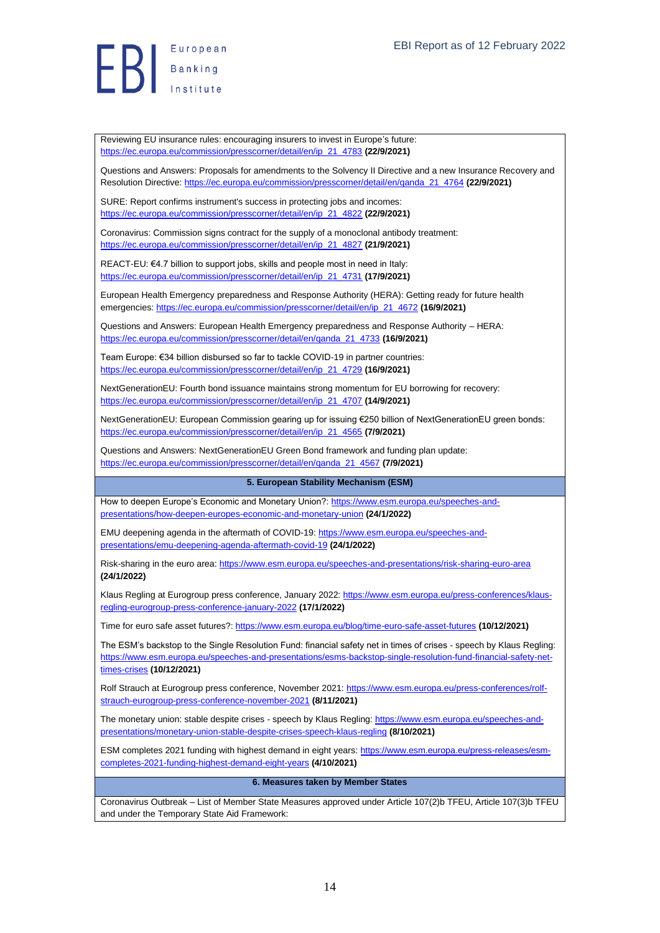**Exerche Stanking**<br>Institute

Reviewing EU insurance rules: encouraging insurers to invest in Europe's future: [https://ec.europa.eu/commission/presscorner/detail/en/ip\\_21\\_4783](https://ec.europa.eu/commission/presscorner/detail/en/ip_21_4783) **(22/9/2021)**

Questions and Answers: Proposals for amendments to the Solvency II Directive and a new Insurance Recovery and Resolution Directive[: https://ec.europa.eu/commission/presscorner/detail/en/qanda\\_21\\_4764](https://ec.europa.eu/commission/presscorner/detail/en/qanda_21_4764) **(22/9/2021)**

SURE: Report confirms instrument's success in protecting jobs and incomes: [https://ec.europa.eu/commission/presscorner/detail/en/ip\\_21\\_4822](https://ec.europa.eu/commission/presscorner/detail/en/ip_21_4822) **(22/9/2021)**

Coronavirus: Commission signs contract for the supply of a monoclonal antibody treatment: [https://ec.europa.eu/commission/presscorner/detail/en/ip\\_21\\_4827](https://ec.europa.eu/commission/presscorner/detail/en/ip_21_4827) **(21/9/2021)**

REACT-EU: €4.7 billion to support jobs, skills and people most in need in Italy: [https://ec.europa.eu/commission/presscorner/detail/en/ip\\_21\\_4731](https://ec.europa.eu/commission/presscorner/detail/en/ip_21_4731) **(17/9/2021)**

European Health Emergency preparedness and Response Authority (HERA): Getting ready for future health emergencies: [https://ec.europa.eu/commission/presscorner/detail/en/ip\\_21\\_4672](https://ec.europa.eu/commission/presscorner/detail/en/ip_21_4672) **(16/9/2021)**

Questions and Answers: European Health Emergency preparedness and Response Authority – HERA: [https://ec.europa.eu/commission/presscorner/detail/en/qanda\\_21\\_4733](https://ec.europa.eu/commission/presscorner/detail/en/qanda_21_4733) **(16/9/2021)**

Team Europe: €34 billion disbursed so far to tackle COVID-19 in partner countries: [https://ec.europa.eu/commission/presscorner/detail/en/ip\\_21\\_4729](https://ec.europa.eu/commission/presscorner/detail/en/ip_21_4729) **(16/9/2021)**

NextGenerationEU: Fourth bond issuance maintains strong momentum for EU borrowing for recovery: [https://ec.europa.eu/commission/presscorner/detail/en/ip\\_21\\_4707](https://ec.europa.eu/commission/presscorner/detail/en/ip_21_4707) **(14/9/2021)**

NextGenerationEU: European Commission gearing up for issuing €250 billion of NextGenerationEU green bonds: [https://ec.europa.eu/commission/presscorner/detail/en/ip\\_21\\_4565](https://ec.europa.eu/commission/presscorner/detail/en/ip_21_4565) **(7/9/2021)**

Questions and Answers: NextGenerationEU Green Bond framework and funding plan update: [https://ec.europa.eu/commission/presscorner/detail/en/qanda\\_21\\_4567](https://ec.europa.eu/commission/presscorner/detail/en/qanda_21_4567) **(7/9/2021)**

#### <span id="page-13-0"></span>**5. European Stability Mechanism (ESM)**

How to deepen Europe's Economic and Monetary Union?: [https://www.esm.europa.eu/speeches-and](https://www.esm.europa.eu/speeches-and-presentations/how-deepen-europes-economic-and-monetary-union)[presentations/how-deepen-europes-economic-and-monetary-union](https://www.esm.europa.eu/speeches-and-presentations/how-deepen-europes-economic-and-monetary-union) **(24/1/2022)**

EMU deepening agenda in the aftermath of COVID-19[: https://www.esm.europa.eu/speeches-and](https://www.esm.europa.eu/speeches-and-presentations/emu-deepening-agenda-aftermath-covid-19)[presentations/emu-deepening-agenda-aftermath-covid-19](https://www.esm.europa.eu/speeches-and-presentations/emu-deepening-agenda-aftermath-covid-19) **(24/1/2022)**

Risk-sharing in the euro area:<https://www.esm.europa.eu/speeches-and-presentations/risk-sharing-euro-area> **(24/1/2022)**

Klaus Regling at Eurogroup press conference, January 2022[: https://www.esm.europa.eu/press-conferences/klaus](https://www.esm.europa.eu/press-conferences/klaus-regling-eurogroup-press-conference-january-2022)[regling-eurogroup-press-conference-january-2022](https://www.esm.europa.eu/press-conferences/klaus-regling-eurogroup-press-conference-january-2022) **(17/1/2022)**

Time for euro safe asset futures?[: https://www.esm.europa.eu/blog/time-euro-safe-asset-futures](https://www.esm.europa.eu/blog/time-euro-safe-asset-futures) **(10/12/2021)**

The ESM's backstop to the Single Resolution Fund: financial safety net in times of crises - speech by Klaus Regling: [https://www.esm.europa.eu/speeches-and-presentations/esms-backstop-single-resolution-fund-financial-safety-net](https://www.esm.europa.eu/speeches-and-presentations/esms-backstop-single-resolution-fund-financial-safety-net-times-crises)[times-crises](https://www.esm.europa.eu/speeches-and-presentations/esms-backstop-single-resolution-fund-financial-safety-net-times-crises) **(10/12/2021)**

Rolf Strauch at Eurogroup press conference, November 2021[: https://www.esm.europa.eu/press-conferences/rolf](https://www.esm.europa.eu/press-conferences/rolf-strauch-eurogroup-press-conference-november-2021)[strauch-eurogroup-press-conference-november-2021](https://www.esm.europa.eu/press-conferences/rolf-strauch-eurogroup-press-conference-november-2021) **(8/11/2021)**

The monetary union: stable despite crises - speech by Klaus Regling[: https://www.esm.europa.eu/speeches-and](https://www.esm.europa.eu/speeches-and-presentations/monetary-union-stable-despite-crises-speech-klaus-regling)[presentations/monetary-union-stable-despite-crises-speech-klaus-regling](https://www.esm.europa.eu/speeches-and-presentations/monetary-union-stable-despite-crises-speech-klaus-regling) **(8/10/2021)**

ESM completes 2021 funding with highest demand in eight years: [https://www.esm.europa.eu/press-releases/esm](https://www.esm.europa.eu/press-releases/esm-completes-2021-funding-highest-demand-eight-years)[completes-2021-funding-highest-demand-eight-years](https://www.esm.europa.eu/press-releases/esm-completes-2021-funding-highest-demand-eight-years) **(4/10/2021)**

#### <span id="page-13-1"></span>**6. Measures taken by Member States**

Coronavirus Outbreak – List of Member State Measures approved under Article 107(2)b TFEU, Article 107(3)b TFEU and under the Temporary State Aid Framework: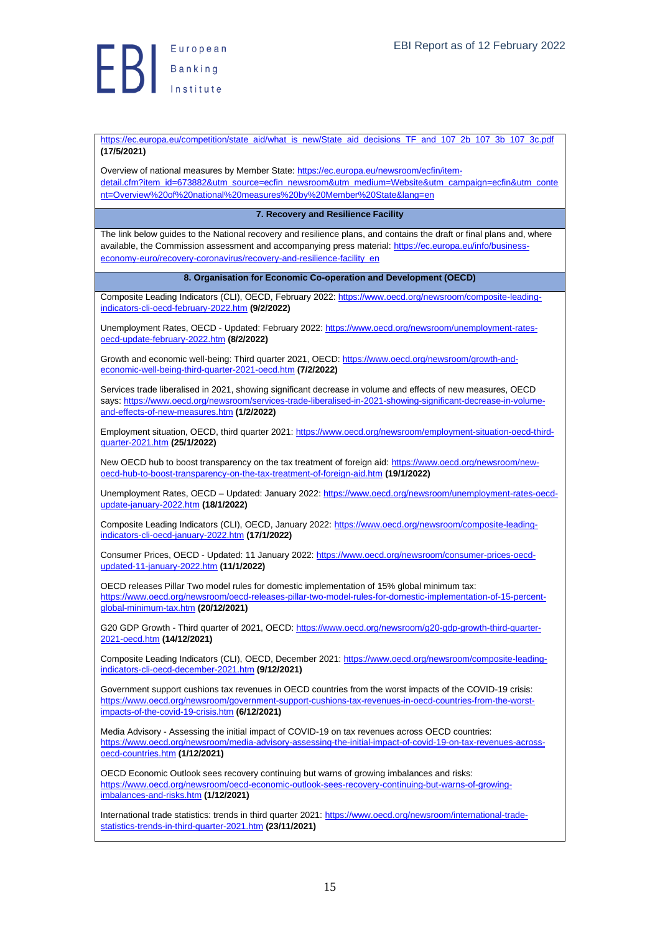

[https://ec.europa.eu/competition/state\\_aid/what\\_is\\_new/State\\_aid\\_decisions\\_TF\\_and\\_107\\_2b\\_107\\_3b\\_107\\_3c.pdf](https://ec.europa.eu/competition/state_aid/what_is_new/State_aid_decisions_TF_and_107_2b_107_3b_107_3c.pdf) **(17/5/2021)**

Overview of national measures by Member State: [https://ec.europa.eu/newsroom/ecfin/item](https://ec.europa.eu/newsroom/ecfin/item-detail.cfm?item_id=673882&utm_source=ecfin_newsroom&utm_medium=Website&utm_campaign=ecfin&utm_content=Overview%20of%20national%20measures%20by%20Member%20State&lang=en)[detail.cfm?item\\_id=673882&utm\\_source=ecfin\\_newsroom&utm\\_medium=Website&utm\\_campaign=ecfin&utm\\_conte](https://ec.europa.eu/newsroom/ecfin/item-detail.cfm?item_id=673882&utm_source=ecfin_newsroom&utm_medium=Website&utm_campaign=ecfin&utm_content=Overview%20of%20national%20measures%20by%20Member%20State&lang=en) [nt=Overview%20of%20national%20measures%20by%20Member%20State&lang=en](https://ec.europa.eu/newsroom/ecfin/item-detail.cfm?item_id=673882&utm_source=ecfin_newsroom&utm_medium=Website&utm_campaign=ecfin&utm_content=Overview%20of%20national%20measures%20by%20Member%20State&lang=en)

#### **7. Recovery and Resilience Facility**

<span id="page-14-0"></span>The link below guides to the National recovery and resilience plans, and contains the draft or final plans and, where available, the Commission assessment and accompanying press material: [https://ec.europa.eu/info/business](https://ec.europa.eu/info/business-economy-euro/recovery-coronavirus/recovery-and-resilience-facility_en)[economy-euro/recovery-coronavirus/recovery-and-resilience-facility\\_en](https://ec.europa.eu/info/business-economy-euro/recovery-coronavirus/recovery-and-resilience-facility_en)

#### <span id="page-14-1"></span>**8. Organisation for Economic Co-operation and Development (OECD)**

Composite Leading Indicators (CLI), OECD, February 2022[: https://www.oecd.org/newsroom/composite-leading](https://www.oecd.org/newsroom/composite-leading-indicators-cli-oecd-february-2022.htm)[indicators-cli-oecd-february-2022.htm](https://www.oecd.org/newsroom/composite-leading-indicators-cli-oecd-february-2022.htm) **(9/2/2022)**

Unemployment Rates, OECD - Updated: February 2022[: https://www.oecd.org/newsroom/unemployment-rates](https://www.oecd.org/newsroom/unemployment-rates-oecd-update-february-2022.htm)[oecd-update-february-2022.htm](https://www.oecd.org/newsroom/unemployment-rates-oecd-update-february-2022.htm) **(8/2/2022)**

Growth and economic well-being: Third quarter 2021, OECD: [https://www.oecd.org/newsroom/growth-and](https://www.oecd.org/newsroom/growth-and-economic-well-being-third-quarter-2021-oecd.htm)[economic-well-being-third-quarter-2021-oecd.htm](https://www.oecd.org/newsroom/growth-and-economic-well-being-third-quarter-2021-oecd.htm) **(7/2/2022)**

Services trade liberalised in 2021, showing significant decrease in volume and effects of new measures, OECD says[: https://www.oecd.org/newsroom/services-trade-liberalised-in-2021-showing-significant-decrease-in-volume](https://www.oecd.org/newsroom/services-trade-liberalised-in-2021-showing-significant-decrease-in-volume-and-effects-of-new-measures.htm)[and-effects-of-new-measures.htm](https://www.oecd.org/newsroom/services-trade-liberalised-in-2021-showing-significant-decrease-in-volume-and-effects-of-new-measures.htm) **(1/2/2022)**

Employment situation, OECD, third quarter 2021: [https://www.oecd.org/newsroom/employment-situation-oecd-third](https://www.oecd.org/newsroom/employment-situation-oecd-third-quarter-2021.htm)[quarter-2021.htm](https://www.oecd.org/newsroom/employment-situation-oecd-third-quarter-2021.htm) **(25/1/2022)**

New OECD hub to boost transparency on the tax treatment of foreign aid: [https://www.oecd.org/newsroom/new](https://www.oecd.org/newsroom/new-oecd-hub-to-boost-transparency-on-the-tax-treatment-of-foreign-aid.htm)[oecd-hub-to-boost-transparency-on-the-tax-treatment-of-foreign-aid.htm](https://www.oecd.org/newsroom/new-oecd-hub-to-boost-transparency-on-the-tax-treatment-of-foreign-aid.htm) **(19/1/2022)**

Unemployment Rates, OECD – Updated: January 2022[: https://www.oecd.org/newsroom/unemployment-rates-oecd](https://www.oecd.org/newsroom/unemployment-rates-oecd-update-january-2022.htm)[update-january-2022.htm](https://www.oecd.org/newsroom/unemployment-rates-oecd-update-january-2022.htm) **(18/1/2022)**

Composite Leading Indicators (CLI), OECD, January 2022[: https://www.oecd.org/newsroom/composite-leading](https://www.oecd.org/newsroom/composite-leading-indicators-cli-oecd-january-2022.htm)[indicators-cli-oecd-january-2022.htm](https://www.oecd.org/newsroom/composite-leading-indicators-cli-oecd-january-2022.htm) **(17/1/2022)**

Consumer Prices, OECD - Updated: 11 January 2022: [https://www.oecd.org/newsroom/consumer-prices-oecd](https://www.oecd.org/newsroom/consumer-prices-oecd-updated-11-january-2022.htm)[updated-11-january-2022.htm](https://www.oecd.org/newsroom/consumer-prices-oecd-updated-11-january-2022.htm) **(11/1/2022)**

OECD releases Pillar Two model rules for domestic implementation of 15% global minimum tax: [https://www.oecd.org/newsroom/oecd-releases-pillar-two-model-rules-for-domestic-implementation-of-15-percent](https://www.oecd.org/newsroom/oecd-releases-pillar-two-model-rules-for-domestic-implementation-of-15-percent-global-minimum-tax.htm)[global-minimum-tax.htm](https://www.oecd.org/newsroom/oecd-releases-pillar-two-model-rules-for-domestic-implementation-of-15-percent-global-minimum-tax.htm) **(20/12/2021)**

G20 GDP Growth - Third quarter of 2021, OECD[: https://www.oecd.org/newsroom/g20-gdp-growth-third-quarter-](https://www.oecd.org/newsroom/g20-gdp-growth-third-quarter-2021-oecd.htm)[2021-oecd.htm](https://www.oecd.org/newsroom/g20-gdp-growth-third-quarter-2021-oecd.htm) **(14/12/2021)**

Composite Leading Indicators (CLI), OECD, December 2021: [https://www.oecd.org/newsroom/composite-leading](https://www.oecd.org/newsroom/composite-leading-indicators-cli-oecd-december-2021.htm)[indicators-cli-oecd-december-2021.htm](https://www.oecd.org/newsroom/composite-leading-indicators-cli-oecd-december-2021.htm) **(9/12/2021)**

Government support cushions tax revenues in OECD countries from the worst impacts of the COVID-19 crisis: [https://www.oecd.org/newsroom/government-support-cushions-tax-revenues-in-oecd-countries-from-the-worst](https://www.oecd.org/newsroom/government-support-cushions-tax-revenues-in-oecd-countries-from-the-worst-impacts-of-the-covid-19-crisis.htm)[impacts-of-the-covid-19-crisis.htm](https://www.oecd.org/newsroom/government-support-cushions-tax-revenues-in-oecd-countries-from-the-worst-impacts-of-the-covid-19-crisis.htm) **(6/12/2021)**

Media Advisory - Assessing the initial impact of COVID-19 on tax revenues across OECD countries: [https://www.oecd.org/newsroom/media-advisory-assessing-the-initial-impact-of-covid-19-on-tax-revenues-across](https://www.oecd.org/newsroom/media-advisory-assessing-the-initial-impact-of-covid-19-on-tax-revenues-across-oecd-countries.htm)[oecd-countries.htm](https://www.oecd.org/newsroom/media-advisory-assessing-the-initial-impact-of-covid-19-on-tax-revenues-across-oecd-countries.htm) **(1/12/2021)**

OECD Economic Outlook sees recovery continuing but warns of growing imbalances and risks: [https://www.oecd.org/newsroom/oecd-economic-outlook-sees-recovery-continuing-but-warns-of-growing](https://www.oecd.org/newsroom/oecd-economic-outlook-sees-recovery-continuing-but-warns-of-growing-imbalances-and-risks.htm)[imbalances-and-risks.htm](https://www.oecd.org/newsroom/oecd-economic-outlook-sees-recovery-continuing-but-warns-of-growing-imbalances-and-risks.htm) **(1/12/2021)**

International trade statistics: trends in third quarter 2021: [https://www.oecd.org/newsroom/international-trade](https://www.oecd.org/newsroom/international-trade-statistics-trends-in-third-quarter-2021.htm)[statistics-trends-in-third-quarter-2021.htm](https://www.oecd.org/newsroom/international-trade-statistics-trends-in-third-quarter-2021.htm) **(23/11/2021)**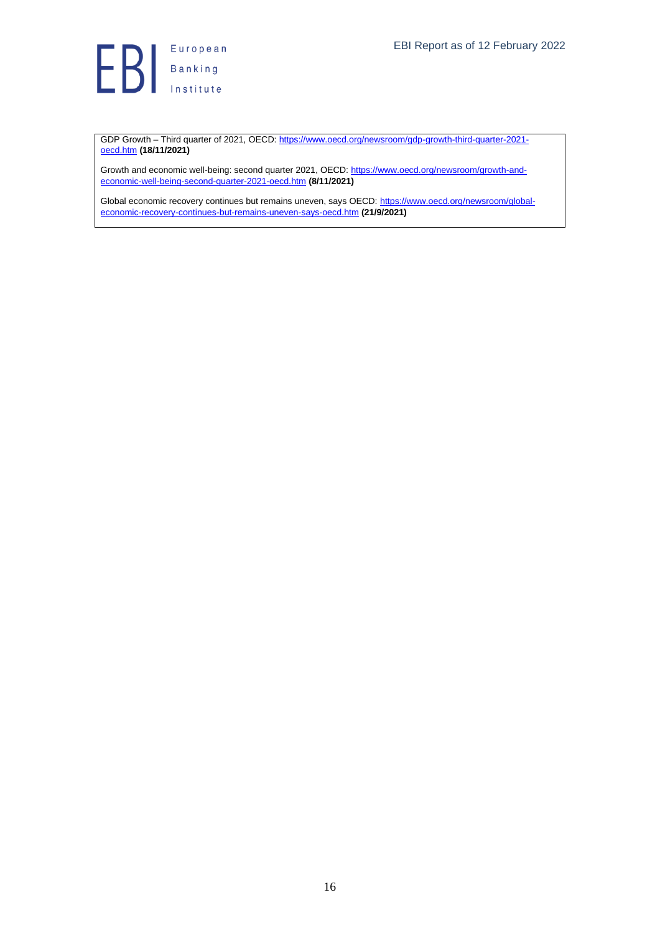

GDP Growth – Third quarter of 2021, OECD[: https://www.oecd.org/newsroom/gdp-growth-third-quarter-2021](https://www.oecd.org/newsroom/gdp-growth-third-quarter-2021-oecd.htm) [oecd.htm](https://www.oecd.org/newsroom/gdp-growth-third-quarter-2021-oecd.htm) **(18/11/2021)**

Growth and economic well-being: second quarter 2021, OECD[: https://www.oecd.org/newsroom/growth-and](https://www.oecd.org/newsroom/growth-and-economic-well-being-second-quarter-2021-oecd.htm)[economic-well-being-second-quarter-2021-oecd.htm](https://www.oecd.org/newsroom/growth-and-economic-well-being-second-quarter-2021-oecd.htm) **(8/11/2021)**

Global economic recovery continues but remains uneven, says OECD: [https://www.oecd.org/newsroom/global](https://www.oecd.org/newsroom/global-economic-recovery-continues-but-remains-uneven-says-oecd.htm)[economic-recovery-continues-but-remains-uneven-says-oecd.htm](https://www.oecd.org/newsroom/global-economic-recovery-continues-but-remains-uneven-says-oecd.htm) **(21/9/2021)**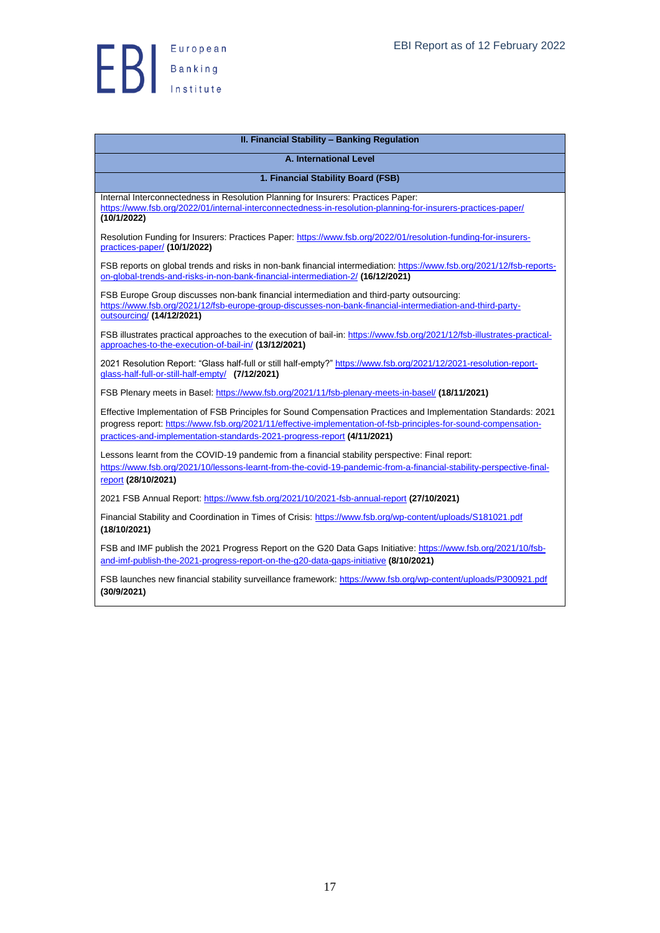

<span id="page-16-2"></span><span id="page-16-1"></span><span id="page-16-0"></span>

| <b>II. Financial Stability - Banking Regulation</b>                                                                                                                                                                                                                                                          |
|--------------------------------------------------------------------------------------------------------------------------------------------------------------------------------------------------------------------------------------------------------------------------------------------------------------|
| <b>A. International Level</b>                                                                                                                                                                                                                                                                                |
| 1. Financial Stability Board (FSB)                                                                                                                                                                                                                                                                           |
|                                                                                                                                                                                                                                                                                                              |
| Internal Interconnectedness in Resolution Planning for Insurers: Practices Paper:<br>https://www.fsb.org/2022/01/internal-interconnectedness-in-resolution-planning-for-insurers-practices-paper/<br>(10/1/2022)                                                                                             |
| Resolution Funding for Insurers: Practices Paper: https://www.fsb.org/2022/01/resolution-funding-for-insurers-<br>practices-paper/ (10/1/2022)                                                                                                                                                               |
| FSB reports on global trends and risks in non-bank financial intermediation: https://www.fsb.org/2021/12/fsb-reports-<br>on-global-trends-and-risks-in-non-bank-financial-intermediation-2/ (16/12/2021)                                                                                                     |
| FSB Europe Group discusses non-bank financial intermediation and third-party outsourcing:<br>https://www.fsb.org/2021/12/fsb-europe-group-discusses-non-bank-financial-intermediation-and-third-party-<br>outsourcing/ (14/12/2021)                                                                          |
| FSB illustrates practical approaches to the execution of bail-in: https://www.fsb.org/2021/12/fsb-illustrates-practical-<br>approaches-to-the-execution-of-bail-in/ (13/12/2021)                                                                                                                             |
| 2021 Resolution Report: "Glass half-full or still half-empty?" https://www.fsb.org/2021/12/2021-resolution-report-<br>glass-half-full-or-still-half-empty/ (7/12/2021)                                                                                                                                       |
| FSB Plenary meets in Basel: https://www.fsb.org/2021/11/fsb-plenary-meets-in-basel/ (18/11/2021)                                                                                                                                                                                                             |
| Effective Implementation of FSB Principles for Sound Compensation Practices and Implementation Standards: 2021<br>progress report: https://www.fsb.org/2021/11/effective-implementation-of-fsb-principles-for-sound-compensation-<br>practices-and-implementation-standards-2021-progress-report (4/11/2021) |
| Lessons learnt from the COVID-19 pandemic from a financial stability perspective: Final report:<br>https://www.fsb.org/2021/10/lessons-learnt-from-the-covid-19-pandemic-from-a-financial-stability-perspective-final-<br>report (28/10/2021)                                                                |
| 2021 FSB Annual Report: https://www.fsb.org/2021/10/2021-fsb-annual-report (27/10/2021)                                                                                                                                                                                                                      |
| Financial Stability and Coordination in Times of Crisis: https://www.fsb.org/wp-content/uploads/S181021.pdf<br>(18/10/2021)                                                                                                                                                                                  |
| FSB and IMF publish the 2021 Progress Report on the G20 Data Gaps Initiative: https://www.fsb.org/2021/10/fsb-<br>and-imf-publish-the-2021-progress-report-on-the-g20-data-gaps-initiative (8/10/2021)                                                                                                       |
| FSB launches new financial stability surveillance framework: https://www.fsb.org/wp-content/uploads/P300921.pdf<br>(30/9/2021)                                                                                                                                                                               |

#### 17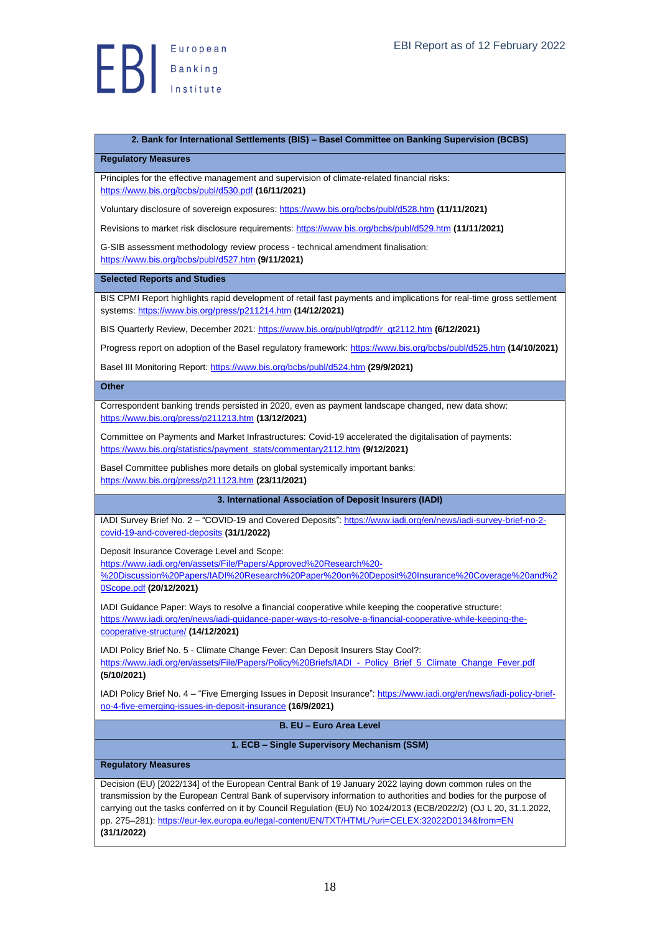

#### <span id="page-17-0"></span>**2. Bank for International Settlements (BIS) – Basel Committee on Banking Supervision (BCBS)**

<span id="page-17-1"></span>**Regulatory Measures**

Principles for the effective management and supervision of climate-related financial risks: <https://www.bis.org/bcbs/publ/d530.pdf> **(16/11/2021)**

Voluntary disclosure of sovereign exposures[: https://www.bis.org/bcbs/publ/d528.htm](https://www.bis.org/bcbs/publ/d528.htm) **(11/11/2021)**

Revisions to market risk disclosure requirements:<https://www.bis.org/bcbs/publ/d529.htm> **(11/11/2021)**

G-SIB assessment methodology review process - technical amendment finalisation: <https://www.bis.org/bcbs/publ/d527.htm> **(9/11/2021)**

#### <span id="page-17-2"></span>**Selected Reports and Studies**

BIS CPMI Report highlights rapid development of retail fast payments and implications for real-time gross settlement systems[: https://www.bis.org/press/p211214.htm](https://www.bis.org/press/p211214.htm) **(14/12/2021)**

BIS Quarterly Review, December 2021: [https://www.bis.org/publ/qtrpdf/r\\_qt2112.htm](https://www.bis.org/publ/qtrpdf/r_qt2112.htm) **(6/12/2021)**

Progress report on adoption of the Basel regulatory framework:<https://www.bis.org/bcbs/publ/d525.htm> **(14/10/2021)**

Basel III Monitoring Report:<https://www.bis.org/bcbs/publ/d524.htm> **(29/9/2021)**

#### <span id="page-17-3"></span>**Other**

Correspondent banking trends persisted in 2020, even as payment landscape changed, new data show: <https://www.bis.org/press/p211213.htm> **(13/12/2021)**

Committee on Payments and Market Infrastructures: Covid-19 accelerated the digitalisation of payments: [https://www.bis.org/statistics/payment\\_stats/commentary2112.htm](https://www.bis.org/statistics/payment_stats/commentary2112.htm) **(9/12/2021)**

Basel Committee publishes more details on global systemically important banks: <https://www.bis.org/press/p211123.htm> **(23/11/2021)**

#### <span id="page-17-4"></span>**3. International Association of Deposit Insurers (IADI)**

IADI Survey Brief No. 2 – "COVID-19 and Covered Deposits"[: https://www.iadi.org/en/news/iadi-survey-brief-no-2](https://www.iadi.org/en/news/iadi-survey-brief-no-2-covid-19-and-covered-deposits) [covid-19-and-covered-deposits](https://www.iadi.org/en/news/iadi-survey-brief-no-2-covid-19-and-covered-deposits) **(31/1/2022)**

Deposit Insurance Coverage Level and Scope:

[https://www.iadi.org/en/assets/File/Papers/Approved%20Research%20-](https://www.iadi.org/en/assets/File/Papers/Approved%20Research%20-%20Discussion%20Papers/IADI%20Research%20Paper%20on%20Deposit%20Insurance%20Coverage%20and%20Scope.pdf)

[%20Discussion%20Papers/IADI%20Research%20Paper%20on%20Deposit%20Insurance%20Coverage%20and%2](https://www.iadi.org/en/assets/File/Papers/Approved%20Research%20-%20Discussion%20Papers/IADI%20Research%20Paper%20on%20Deposit%20Insurance%20Coverage%20and%20Scope.pdf) [0Scope.pdf](https://www.iadi.org/en/assets/File/Papers/Approved%20Research%20-%20Discussion%20Papers/IADI%20Research%20Paper%20on%20Deposit%20Insurance%20Coverage%20and%20Scope.pdf) **(20/12/2021)**

IADI Guidance Paper: Ways to resolve a financial cooperative while keeping the cooperative structure: [https://www.iadi.org/en/news/iadi-guidance-paper-ways-to-resolve-a-financial-cooperative-while-keeping-the](https://www.iadi.org/en/news/iadi-guidance-paper-ways-to-resolve-a-financial-cooperative-while-keeping-the-cooperative-structure/)[cooperative-structure/](https://www.iadi.org/en/news/iadi-guidance-paper-ways-to-resolve-a-financial-cooperative-while-keeping-the-cooperative-structure/) **(14/12/2021)**

IADI Policy Brief No. 5 - Climate Change Fever: Can Deposit Insurers Stay Cool?: https://www.iadi.org/en/assets/File/Papers/Policy%20Briefs/IADI - Policy\_Brief\_5\_Climate\_Change\_Fever.pdf **(5/10/2021)**

IADI Policy Brief No. 4 – "Five Emerging Issues in Deposit Insurance"[: https://www.iadi.org/en/news/iadi-policy-brief](https://www.iadi.org/en/news/iadi-policy-brief-no-4-five-emerging-issues-in-deposit-insurance)[no-4-five-emerging-issues-in-deposit-insurance](https://www.iadi.org/en/news/iadi-policy-brief-no-4-five-emerging-issues-in-deposit-insurance) **(16/9/2021)**

<span id="page-17-5"></span>**B. EU – Euro Area Level**

**1. ECB – Single Supervisory Mechanism (SSM)**

#### <span id="page-17-7"></span><span id="page-17-6"></span>**Regulatory Measures**

Decision (EU) [2022/134] of the European Central Bank of 19 January 2022 laying down common rules on the transmission by the European Central Bank of supervisory information to authorities and bodies for the purpose of carrying out the tasks conferred on it by Council Regulation (EU) No 1024/2013 (ECB/2022/2) (OJ L 20, 31.1.2022, pp. 275–281)[: https://eur-lex.europa.eu/legal-content/EN/TXT/HTML/?uri=CELEX:32022D0134&from=EN](https://eur-lex.europa.eu/legal-content/EN/TXT/HTML/?uri=CELEX:32022D0134&from=EN) **(31/1/2022)**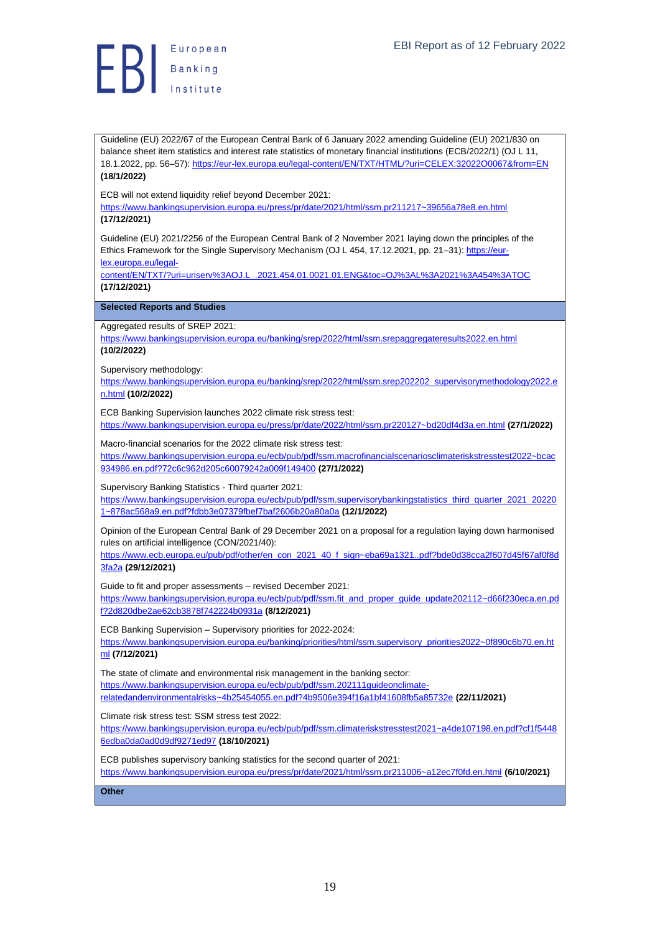

Guideline (EU) 2022/67 of the European Central Bank of 6 January 2022 amending Guideline (EU) 2021/830 on balance sheet item statistics and interest rate statistics of monetary financial institutions (ECB/2022/1) (OJ L 11, 18.1.2022, pp. 56–57): <https://eur-lex.europa.eu/legal-content/EN/TXT/HTML/?uri=CELEX:32022O0067&from=EN> **(18/1/2022)**

ECB will not extend liquidity relief beyond December 2021:

<https://www.bankingsupervision.europa.eu/press/pr/date/2021/html/ssm.pr211217~39656a78e8.en.html> **(17/12/2021)**

Guideline (EU) 2021/2256 of the European Central Bank of 2 November 2021 laying down the principles of the Ethics Framework for the Single Supervisory Mechanism (OJ L 454, 17.12.2021, pp. 21–31)[: https://eur-](https://eur-lex.europa.eu/legal-content/EN/TXT/?uri=uriserv%3AOJ.L_.2021.454.01.0021.01.ENG&toc=OJ%3AL%3A2021%3A454%3ATOC%20)

[lex.europa.eu/legal-](https://eur-lex.europa.eu/legal-content/EN/TXT/?uri=uriserv%3AOJ.L_.2021.454.01.0021.01.ENG&toc=OJ%3AL%3A2021%3A454%3ATOC%20)

[content/EN/TXT/?uri=uriserv%3AOJ.L\\_.2021.454.01.0021.01.ENG&toc=OJ%3AL%3A2021%3A454%3ATOC](https://eur-lex.europa.eu/legal-content/EN/TXT/?uri=uriserv%3AOJ.L_.2021.454.01.0021.01.ENG&toc=OJ%3AL%3A2021%3A454%3ATOC%20)  **(17/12/2021)**

<span id="page-18-0"></span>**Selected Reports and Studies**

Aggregated results of SREP 2021:

<https://www.bankingsupervision.europa.eu/banking/srep/2022/html/ssm.srepaggregateresults2022.en.html> **(10/2/2022)**

Supervisory methodology:

[https://www.bankingsupervision.europa.eu/banking/srep/2022/html/ssm.srep202202\\_supervisorymethodology2022.e](https://www.bankingsupervision.europa.eu/banking/srep/2022/html/ssm.srep202202_supervisorymethodology2022.en.html) [n.html](https://www.bankingsupervision.europa.eu/banking/srep/2022/html/ssm.srep202202_supervisorymethodology2022.en.html) **(10/2/2022)**

ECB Banking Supervision launches 2022 climate risk stress test:

<https://www.bankingsupervision.europa.eu/press/pr/date/2022/html/ssm.pr220127~bd20df4d3a.en.html> **(27/1/2022)** Macro-financial scenarios for the 2022 climate risk stress test:

[https://www.bankingsupervision.europa.eu/ecb/pub/pdf/ssm.macrofinancialscenariosclimateriskstresstest2022~bcac](https://www.bankingsupervision.europa.eu/ecb/pub/pdf/ssm.macrofinancialscenariosclimateriskstresstest2022~bcac934986.en.pdf?72c6c962d205c60079242a009f149400) [934986.en.pdf?72c6c962d205c60079242a009f149400](https://www.bankingsupervision.europa.eu/ecb/pub/pdf/ssm.macrofinancialscenariosclimateriskstresstest2022~bcac934986.en.pdf?72c6c962d205c60079242a009f149400) **(27/1/2022)**

Supervisory Banking Statistics - Third quarter 2021:

[https://www.bankingsupervision.europa.eu/ecb/pub/pdf/ssm.supervisorybankingstatistics\\_third\\_quarter\\_2021\\_20220](https://www.bankingsupervision.europa.eu/ecb/pub/pdf/ssm.supervisorybankingstatistics_third_quarter_2021_202201~878ac568a9.en.pdf?fdbb3e07379fbef7baf2606b20a80a0a) [1~878ac568a9.en.pdf?fdbb3e07379fbef7baf2606b20a80a0a](https://www.bankingsupervision.europa.eu/ecb/pub/pdf/ssm.supervisorybankingstatistics_third_quarter_2021_202201~878ac568a9.en.pdf?fdbb3e07379fbef7baf2606b20a80a0a) **(12/1/2022)**

Opinion of the European Central Bank of 29 December 2021 on a proposal for a regulation laying down harmonised rules on artificial intelligence (CON/2021/40):

[https://www.ecb.europa.eu/pub/pdf/other/en\\_con\\_2021\\_40\\_f\\_sign~eba69a1321..pdf?bde0d38cca2f607d45f67af0f8d](https://www.ecb.europa.eu/pub/pdf/other/en_con_2021_40_f_sign~eba69a1321..pdf?bde0d38cca2f607d45f67af0f8d3fa2a) [3fa2a](https://www.ecb.europa.eu/pub/pdf/other/en_con_2021_40_f_sign~eba69a1321..pdf?bde0d38cca2f607d45f67af0f8d3fa2a) **(29/12/2021)**

Guide to fit and proper assessments – revised December 2021:

[https://www.bankingsupervision.europa.eu/ecb/pub/pdf/ssm.fit\\_and\\_proper\\_guide\\_update202112~d66f230eca.en.pd](https://www.bankingsupervision.europa.eu/ecb/pub/pdf/ssm.fit_and_proper_guide_update202112~d66f230eca.en.pdf?2d820dbe2ae62cb3878f742224b0931a) [f?2d820dbe2ae62cb3878f742224b0931a](https://www.bankingsupervision.europa.eu/ecb/pub/pdf/ssm.fit_and_proper_guide_update202112~d66f230eca.en.pdf?2d820dbe2ae62cb3878f742224b0931a) **(8/12/2021)**

ECB Banking Supervision – Supervisory priorities for 2022-2024:

[https://www.bankingsupervision.europa.eu/banking/priorities/html/ssm.supervisory\\_priorities2022~0f890c6b70.en.ht](https://www.bankingsupervision.europa.eu/banking/priorities/html/ssm.supervisory_priorities2022~0f890c6b70.en.html) [ml](https://www.bankingsupervision.europa.eu/banking/priorities/html/ssm.supervisory_priorities2022~0f890c6b70.en.html) **(7/12/2021)**

The state of climate and environmental risk management in the banking sector: [https://www.bankingsupervision.europa.eu/ecb/pub/pdf/ssm.202111guideonclimate](https://www.bankingsupervision.europa.eu/ecb/pub/pdf/ssm.202111guideonclimate-relatedandenvironmentalrisks~4b25454055.en.pdf?4b9506e394f16a1bf41608fb5a85732e)[relatedandenvironmentalrisks~4b25454055.en.pdf?4b9506e394f16a1bf41608fb5a85732e](https://www.bankingsupervision.europa.eu/ecb/pub/pdf/ssm.202111guideonclimate-relatedandenvironmentalrisks~4b25454055.en.pdf?4b9506e394f16a1bf41608fb5a85732e) **(22/11/2021)**

Climate risk stress test: SSM stress test 2022:

[https://www.bankingsupervision.europa.eu/ecb/pub/pdf/ssm.climateriskstresstest2021~a4de107198.en.pdf?cf1f5448](https://www.bankingsupervision.europa.eu/ecb/pub/pdf/ssm.climateriskstresstest2021~a4de107198.en.pdf?cf1f54486edba0da0ad0d9df9271ed97) [6edba0da0ad0d9df9271ed97](https://www.bankingsupervision.europa.eu/ecb/pub/pdf/ssm.climateriskstresstest2021~a4de107198.en.pdf?cf1f54486edba0da0ad0d9df9271ed97) **(18/10/2021)**

ECB publishes supervisory banking statistics for the second quarter of 2021: <https://www.bankingsupervision.europa.eu/press/pr/date/2021/html/ssm.pr211006~a12ec7f0fd.en.html> **(6/10/2021)**

<span id="page-18-1"></span>**Other**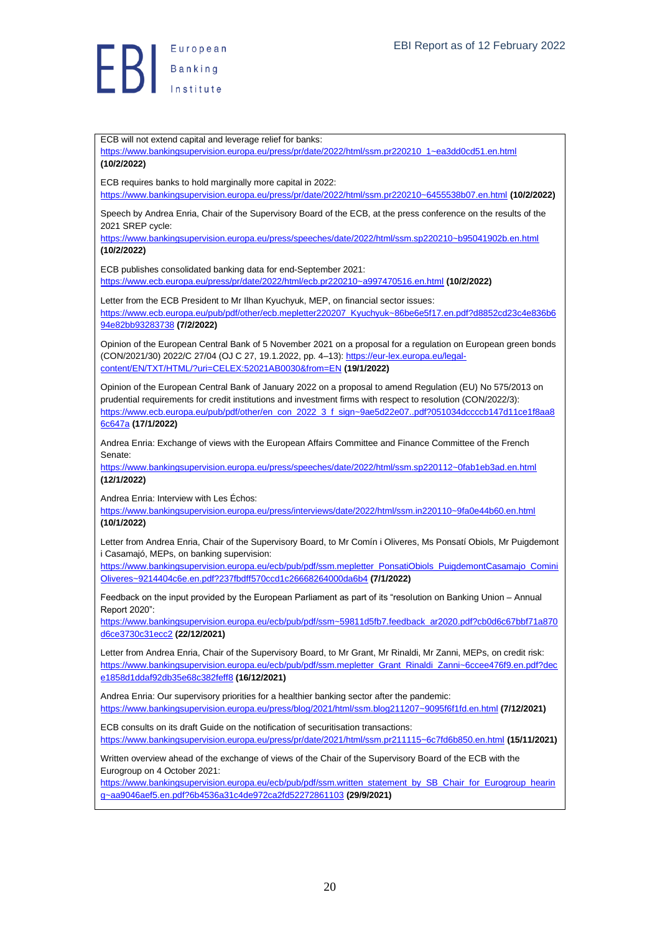

ECB will not extend capital and leverage relief for banks:

[https://www.bankingsupervision.europa.eu/press/pr/date/2022/html/ssm.pr220210\\_1~ea3dd0cd51.en.html](https://www.bankingsupervision.europa.eu/press/pr/date/2022/html/ssm.pr220210_1~ea3dd0cd51.en.html) **(10/2/2022)** ECB requires banks to hold marginally more capital in 2022: <https://www.bankingsupervision.europa.eu/press/pr/date/2022/html/ssm.pr220210~6455538b07.en.html> **(10/2/2022)** Speech by Andrea Enria, Chair of the Supervisory Board of the ECB, at the press conference on the results of the 2021 SREP cycle: <https://www.bankingsupervision.europa.eu/press/speeches/date/2022/html/ssm.sp220210~b95041902b.en.html> **(10/2/2022)** ECB publishes consolidated banking data for end-September 2021: <https://www.ecb.europa.eu/press/pr/date/2022/html/ecb.pr220210~a997470516.en.html> **(10/2/2022)** Letter from the ECB President to Mr Ilhan Kyuchyuk, MEP, on financial sector issues: [https://www.ecb.europa.eu/pub/pdf/other/ecb.mepletter220207\\_Kyuchyuk~86be6e5f17.en.pdf?d8852cd23c4e836b6](https://www.ecb.europa.eu/pub/pdf/other/ecb.mepletter220207_Kyuchyuk~86be6e5f17.en.pdf?d8852cd23c4e836b694e82bb93283738) [94e82bb93283738](https://www.ecb.europa.eu/pub/pdf/other/ecb.mepletter220207_Kyuchyuk~86be6e5f17.en.pdf?d8852cd23c4e836b694e82bb93283738) **(7/2/2022)** Opinion of the European Central Bank of 5 November 2021 on a proposal for a regulation on European green bonds (CON/2021/30) 2022/C 27/04 (OJ C 27, 19.1.2022, pp. 4–13)[: https://eur-lex.europa.eu/legal](https://eur-lex.europa.eu/legal-content/EN/TXT/HTML/?uri=CELEX:52021AB0030&from=EN)[content/EN/TXT/HTML/?uri=CELEX:52021AB0030&from=EN](https://eur-lex.europa.eu/legal-content/EN/TXT/HTML/?uri=CELEX:52021AB0030&from=EN) **(19/1/2022)** Opinion of the European Central Bank of January 2022 on a proposal to amend Regulation (EU) No 575/2013 on prudential requirements for credit institutions and investment firms with respect to resolution (CON/2022/3): [https://www.ecb.europa.eu/pub/pdf/other/en\\_con\\_2022\\_3\\_f\\_sign~9ae5d22e07..pdf?051034dccccb147d11ce1f8aa8](https://www.ecb.europa.eu/pub/pdf/other/en_con_2022_3_f_sign~9ae5d22e07..pdf?051034dccccb147d11ce1f8aa86c647a) [6c647a](https://www.ecb.europa.eu/pub/pdf/other/en_con_2022_3_f_sign~9ae5d22e07..pdf?051034dccccb147d11ce1f8aa86c647a) **(17/1/2022)** Andrea Enria: Exchange of views with the European Affairs Committee and Finance Committee of the French Senate: <https://www.bankingsupervision.europa.eu/press/speeches/date/2022/html/ssm.sp220112~0fab1eb3ad.en.html> **(12/1/2022)** Andrea Enria: Interview with Les Échos: <https://www.bankingsupervision.europa.eu/press/interviews/date/2022/html/ssm.in220110~9fa0e44b60.en.html> **(10/1/2022)** Letter from Andrea Enria, Chair of the Supervisory Board, to Mr Comín i Oliveres, Ms Ponsatí Obiols, Mr Puigdemont i Casamajó, MEPs, on banking supervision: [https://www.bankingsupervision.europa.eu/ecb/pub/pdf/ssm.mepletter\\_PonsatiObiols\\_PuigdemontCasamajo\\_Comini](https://www.bankingsupervision.europa.eu/ecb/pub/pdf/ssm.mepletter_PonsatiObiols_PuigdemontCasamajo_CominiOliveres~9214404c6e.en.pdf?237fbdff570ccd1c26668264000da6b4) [Oliveres~9214404c6e.en.pdf?237fbdff570ccd1c26668264000da6b4](https://www.bankingsupervision.europa.eu/ecb/pub/pdf/ssm.mepletter_PonsatiObiols_PuigdemontCasamajo_CominiOliveres~9214404c6e.en.pdf?237fbdff570ccd1c26668264000da6b4) **(7/1/2022)** Feedback on the input provided by the European Parliament as part of its "resolution on Banking Union – Annual Report 2020": [https://www.bankingsupervision.europa.eu/ecb/pub/pdf/ssm~59811d5fb7.feedback\\_ar2020.pdf?cb0d6c67bbf71a870](https://www.bankingsupervision.europa.eu/ecb/pub/pdf/ssm~59811d5fb7.feedback_ar2020.pdf?cb0d6c67bbf71a870d6ce3730c31ecc2) [d6ce3730c31ecc2](https://www.bankingsupervision.europa.eu/ecb/pub/pdf/ssm~59811d5fb7.feedback_ar2020.pdf?cb0d6c67bbf71a870d6ce3730c31ecc2) **(22/12/2021)** Letter from Andrea Enria, Chair of the Supervisory Board, to Mr Grant, Mr Rinaldi, Mr Zanni, MEPs, on credit risk: [https://www.bankingsupervision.europa.eu/ecb/pub/pdf/ssm.mepletter\\_Grant\\_Rinaldi\\_Zanni~6ccee476f9.en.pdf?dec](https://www.bankingsupervision.europa.eu/ecb/pub/pdf/ssm.mepletter_Grant_Rinaldi_Zanni~6ccee476f9.en.pdf?dece1858d1ddaf92db35e68c382feff8) [e1858d1ddaf92db35e68c382feff8](https://www.bankingsupervision.europa.eu/ecb/pub/pdf/ssm.mepletter_Grant_Rinaldi_Zanni~6ccee476f9.en.pdf?dece1858d1ddaf92db35e68c382feff8) **(16/12/2021)** Andrea Enria: Our supervisory priorities for a healthier banking sector after the pandemic: <https://www.bankingsupervision.europa.eu/press/blog/2021/html/ssm.blog211207~9095f6f1fd.en.html> **(7/12/2021)** ECB consults on its draft Guide on the notification of securitisation transactions: <https://www.bankingsupervision.europa.eu/press/pr/date/2021/html/ssm.pr211115~6c7fd6b850.en.html> **(15/11/2021)** Written overview ahead of the exchange of views of the Chair of the Supervisory Board of the ECB with the Eurogroup on 4 October 2021: [https://www.bankingsupervision.europa.eu/ecb/pub/pdf/ssm.written\\_statement\\_by\\_SB\\_Chair\\_for\\_Eurogroup\\_hearin](https://www.bankingsupervision.europa.eu/ecb/pub/pdf/ssm.written_statement_by_SB_Chair_for_Eurogroup_hearing~aa9046aef5.en.pdf?6b4536a31c4de972ca2fd52272861103) [g~aa9046aef5.en.pdf?6b4536a31c4de972ca2fd52272861103](https://www.bankingsupervision.europa.eu/ecb/pub/pdf/ssm.written_statement_by_SB_Chair_for_Eurogroup_hearing~aa9046aef5.en.pdf?6b4536a31c4de972ca2fd52272861103) **(29/9/2021)**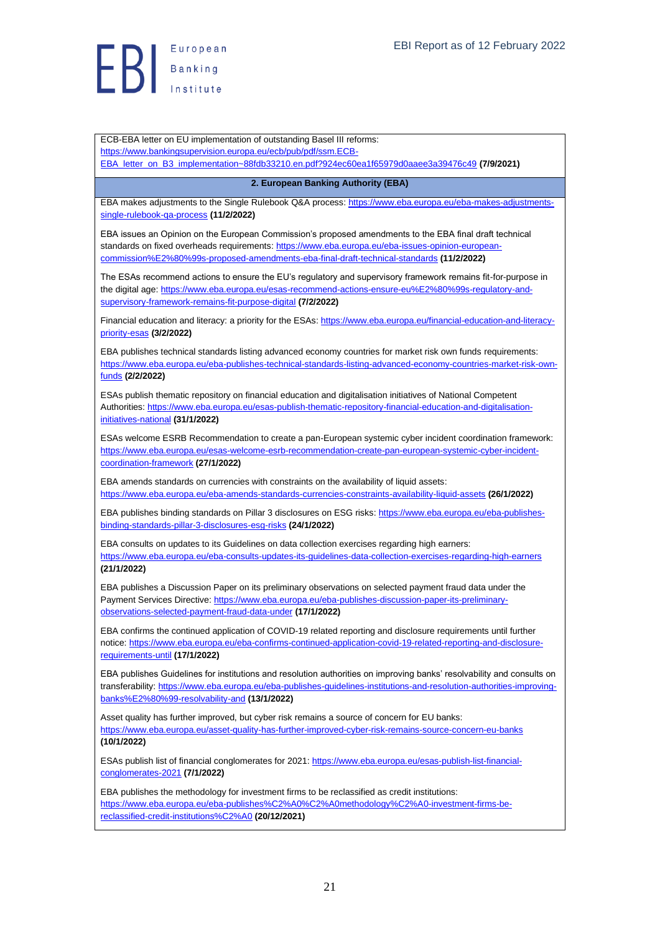

ECB-EBA letter on EU implementation of outstanding Basel III reforms: [https://www.bankingsupervision.europa.eu/ecb/pub/pdf/ssm.ECB-](https://www.bankingsupervision.europa.eu/ecb/pub/pdf/ssm.ECB-EBA_letter_on_B3_implementation~88fdb33210.en.pdf?924ec60ea1f65979d0aaee3a39476c49)

[EBA\\_letter\\_on\\_B3\\_implementation~88fdb33210.en.pdf?924ec60ea1f65979d0aaee3a39476c49](https://www.bankingsupervision.europa.eu/ecb/pub/pdf/ssm.ECB-EBA_letter_on_B3_implementation~88fdb33210.en.pdf?924ec60ea1f65979d0aaee3a39476c49) **(7/9/2021)**

<span id="page-20-0"></span>**2. European Banking Authority (EBA)** EBA makes adjustments to the Single Rulebook Q&A process[: https://www.eba.europa.eu/eba-makes-adjustments](https://www.eba.europa.eu/eba-makes-adjustments-single-rulebook-qa-process)[single-rulebook-qa-process](https://www.eba.europa.eu/eba-makes-adjustments-single-rulebook-qa-process) **(11/2/2022)** EBA issues an Opinion on the European Commission's proposed amendments to the EBA final draft technical standards on fixed overheads requirements: [https://www.eba.europa.eu/eba-issues-opinion-european](https://www.eba.europa.eu/eba-issues-opinion-european-commission%E2%80%99s-proposed-amendments-eba-final-draft-technical-standards)[commission%E2%80%99s-proposed-amendments-eba-final-draft-technical-standards](https://www.eba.europa.eu/eba-issues-opinion-european-commission%E2%80%99s-proposed-amendments-eba-final-draft-technical-standards) **(11/2/2022)** The ESAs recommend actions to ensure the EU's regulatory and supervisory framework remains fit-for-purpose in the digital age: [https://www.eba.europa.eu/esas-recommend-actions-ensure-eu%E2%80%99s-regulatory-and](https://www.eba.europa.eu/esas-recommend-actions-ensure-eu%E2%80%99s-regulatory-and-supervisory-framework-remains-fit-purpose-digital)[supervisory-framework-remains-fit-purpose-digital](https://www.eba.europa.eu/esas-recommend-actions-ensure-eu%E2%80%99s-regulatory-and-supervisory-framework-remains-fit-purpose-digital) **(7/2/2022)** Financial education and literacy: a priority for the ESAs[: https://www.eba.europa.eu/financial-education-and-literacy](https://www.eba.europa.eu/financial-education-and-literacy-priority-esas)[priority-esas](https://www.eba.europa.eu/financial-education-and-literacy-priority-esas) **(3/2/2022)** EBA publishes technical standards listing advanced economy countries for market risk own funds requirements: [https://www.eba.europa.eu/eba-publishes-technical-standards-listing-advanced-economy-countries-market-risk-own](https://www.eba.europa.eu/eba-publishes-technical-standards-listing-advanced-economy-countries-market-risk-own-funds)[funds](https://www.eba.europa.eu/eba-publishes-technical-standards-listing-advanced-economy-countries-market-risk-own-funds) **(2/2/2022)** ESAs publish thematic repository on financial education and digitalisation initiatives of National Competent Authorities: [https://www.eba.europa.eu/esas-publish-thematic-repository-financial-education-and-digitalisation](https://www.eba.europa.eu/esas-publish-thematic-repository-financial-education-and-digitalisation-initiatives-national)[initiatives-national](https://www.eba.europa.eu/esas-publish-thematic-repository-financial-education-and-digitalisation-initiatives-national) **(31/1/2022)** ESAs welcome ESRB Recommendation to create a pan-European systemic cyber incident coordination framework: [https://www.eba.europa.eu/esas-welcome-esrb-recommendation-create-pan-european-systemic-cyber-incident](https://www.eba.europa.eu/esas-welcome-esrb-recommendation-create-pan-european-systemic-cyber-incident-coordination-framework)[coordination-framework](https://www.eba.europa.eu/esas-welcome-esrb-recommendation-create-pan-european-systemic-cyber-incident-coordination-framework) **(27/1/2022)** EBA amends standards on currencies with constraints on the availability of liquid assets: <https://www.eba.europa.eu/eba-amends-standards-currencies-constraints-availability-liquid-assets> **(26/1/2022)** EBA publishes binding standards on Pillar 3 disclosures on ESG risks[: https://www.eba.europa.eu/eba-publishes](https://www.eba.europa.eu/eba-publishes-binding-standards-pillar-3-disclosures-esg-risks)[binding-standards-pillar-3-disclosures-esg-risks](https://www.eba.europa.eu/eba-publishes-binding-standards-pillar-3-disclosures-esg-risks) **(24/1/2022)** EBA consults on updates to its Guidelines on data collection exercises regarding high earners: <https://www.eba.europa.eu/eba-consults-updates-its-guidelines-data-collection-exercises-regarding-high-earners> **(21/1/2022)** EBA publishes a Discussion Paper on its preliminary observations on selected payment fraud data under the Payment Services Directive: [https://www.eba.europa.eu/eba-publishes-discussion-paper-its-preliminary](https://www.eba.europa.eu/eba-publishes-discussion-paper-its-preliminary-observations-selected-payment-fraud-data-under)[observations-selected-payment-fraud-data-under](https://www.eba.europa.eu/eba-publishes-discussion-paper-its-preliminary-observations-selected-payment-fraud-data-under) **(17/1/2022)** EBA confirms the continued application of COVID-19 related reporting and disclosure requirements until further notice[: https://www.eba.europa.eu/eba-confirms-continued-application-covid-19-related-reporting-and-disclosure](https://www.eba.europa.eu/eba-confirms-continued-application-covid-19-related-reporting-and-disclosure-requirements-until)[requirements-until](https://www.eba.europa.eu/eba-confirms-continued-application-covid-19-related-reporting-and-disclosure-requirements-until) **(17/1/2022)** EBA publishes Guidelines for institutions and resolution authorities on improving banks' resolvability and consults on transferability[: https://www.eba.europa.eu/eba-publishes-guidelines-institutions-and-resolution-authorities-improving](https://www.eba.europa.eu/eba-publishes-guidelines-institutions-and-resolution-authorities-improving-banks%E2%80%99-resolvability-and)[banks%E2%80%99-resolvability-and](https://www.eba.europa.eu/eba-publishes-guidelines-institutions-and-resolution-authorities-improving-banks%E2%80%99-resolvability-and) **(13/1/2022)** Asset quality has further improved, but cyber risk remains a source of concern for EU banks: <https://www.eba.europa.eu/asset-quality-has-further-improved-cyber-risk-remains-source-concern-eu-banks> **(10/1/2022)** ESAs publish list of financial conglomerates for 2021[: https://www.eba.europa.eu/esas-publish-list-financial](https://www.eba.europa.eu/esas-publish-list-financial-conglomerates-2021)[conglomerates-2021](https://www.eba.europa.eu/esas-publish-list-financial-conglomerates-2021) **(7/1/2022)** EBA publishes the methodology for investment firms to be reclassified as credit institutions:

[https://www.eba.europa.eu/eba-publishes%C2%A0%C2%A0methodology%C2%A0-investment-firms-be](https://www.eba.europa.eu/eba-publishes%C2%A0%C2%A0methodology%C2%A0-investment-firms-be-reclassified-credit-institutions%C2%A0)[reclassified-credit-institutions%C2%A0](https://www.eba.europa.eu/eba-publishes%C2%A0%C2%A0methodology%C2%A0-investment-firms-be-reclassified-credit-institutions%C2%A0) **(20/12/2021)**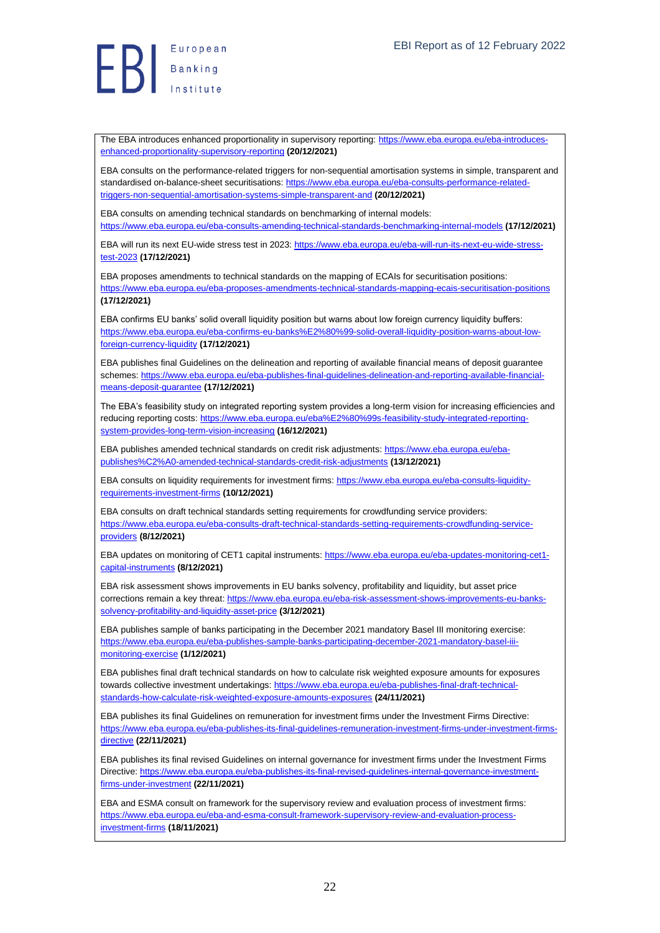The EBA introduces enhanced proportionality in supervisory reporting[: https://www.eba.europa.eu/eba-introduces](https://www.eba.europa.eu/eba-introduces-enhanced-proportionality-supervisory-reporting)[enhanced-proportionality-supervisory-reporting](https://www.eba.europa.eu/eba-introduces-enhanced-proportionality-supervisory-reporting) **(20/12/2021)**

EBA consults on the performance-related triggers for non-sequential amortisation systems in simple, transparent and standardised on-balance-sheet securitisations: [https://www.eba.europa.eu/eba-consults-performance-related](https://www.eba.europa.eu/eba-consults-performance-related-triggers-non-sequential-amortisation-systems-simple-transparent-and)[triggers-non-sequential-amortisation-systems-simple-transparent-and](https://www.eba.europa.eu/eba-consults-performance-related-triggers-non-sequential-amortisation-systems-simple-transparent-and) **(20/12/2021)**

EBA consults on amending technical standards on benchmarking of internal models: <https://www.eba.europa.eu/eba-consults-amending-technical-standards-benchmarking-internal-models> **(17/12/2021)**

EBA will run its next EU-wide stress test in 2023[: https://www.eba.europa.eu/eba-will-run-its-next-eu-wide-stress](https://www.eba.europa.eu/eba-will-run-its-next-eu-wide-stress-test-2023)[test-2023](https://www.eba.europa.eu/eba-will-run-its-next-eu-wide-stress-test-2023) **(17/12/2021)**

EBA proposes amendments to technical standards on the mapping of ECAIs for securitisation positions: <https://www.eba.europa.eu/eba-proposes-amendments-technical-standards-mapping-ecais-securitisation-positions> **(17/12/2021)**

EBA confirms EU banks' solid overall liquidity position but warns about low foreign currency liquidity buffers: [https://www.eba.europa.eu/eba-confirms-eu-banks%E2%80%99-solid-overall-liquidity-position-warns-about-low](https://www.eba.europa.eu/eba-confirms-eu-banks%E2%80%99-solid-overall-liquidity-position-warns-about-low-foreign-currency-liquidity)[foreign-currency-liquidity](https://www.eba.europa.eu/eba-confirms-eu-banks%E2%80%99-solid-overall-liquidity-position-warns-about-low-foreign-currency-liquidity) **(17/12/2021)**

EBA publishes final Guidelines on the delineation and reporting of available financial means of deposit guarantee schemes: [https://www.eba.europa.eu/eba-publishes-final-guidelines-delineation-and-reporting-available-financial](https://www.eba.europa.eu/eba-publishes-final-guidelines-delineation-and-reporting-available-financial-means-deposit-guarantee)[means-deposit-guarantee](https://www.eba.europa.eu/eba-publishes-final-guidelines-delineation-and-reporting-available-financial-means-deposit-guarantee) **(17/12/2021)**

The EBA's feasibility study on integrated reporting system provides a long-term vision for increasing efficiencies and reducing reporting costs[: https://www.eba.europa.eu/eba%E2%80%99s-feasibility-study-integrated-reporting](https://www.eba.europa.eu/eba%E2%80%99s-feasibility-study-integrated-reporting-system-provides-long-term-vision-increasing)[system-provides-long-term-vision-increasing](https://www.eba.europa.eu/eba%E2%80%99s-feasibility-study-integrated-reporting-system-provides-long-term-vision-increasing) **(16/12/2021)**

EBA publishes amended technical standards on credit risk adjustments: [https://www.eba.europa.eu/eba](https://www.eba.europa.eu/eba-publishes%C2%A0-amended-technical-standards-credit-risk-adjustments)[publishes%C2%A0-amended-technical-standards-credit-risk-adjustments](https://www.eba.europa.eu/eba-publishes%C2%A0-amended-technical-standards-credit-risk-adjustments) **(13/12/2021)**

EBA consults on liquidity requirements for investment firms[: https://www.eba.europa.eu/eba-consults-liquidity](https://www.eba.europa.eu/eba-consults-liquidity-requirements-investment-firms)[requirements-investment-firms](https://www.eba.europa.eu/eba-consults-liquidity-requirements-investment-firms) **(10/12/2021)**

EBA consults on draft technical standards setting requirements for crowdfunding service providers: [https://www.eba.europa.eu/eba-consults-draft-technical-standards-setting-requirements-crowdfunding-service](https://www.eba.europa.eu/eba-consults-draft-technical-standards-setting-requirements-crowdfunding-service-providers)[providers](https://www.eba.europa.eu/eba-consults-draft-technical-standards-setting-requirements-crowdfunding-service-providers) **(8/12/2021)**

EBA updates on monitoring of CET1 capital instruments: [https://www.eba.europa.eu/eba-updates-monitoring-cet1](https://www.eba.europa.eu/eba-updates-monitoring-cet1-capital-instruments) [capital-instruments](https://www.eba.europa.eu/eba-updates-monitoring-cet1-capital-instruments) **(8/12/2021)**

EBA risk assessment shows improvements in EU banks solvency, profitability and liquidity, but asset price corrections remain a key threat: [https://www.eba.europa.eu/eba-risk-assessment-shows-improvements-eu-banks](https://www.eba.europa.eu/eba-risk-assessment-shows-improvements-eu-banks-solvency-profitability-and-liquidity-asset-price)[solvency-profitability-and-liquidity-asset-price](https://www.eba.europa.eu/eba-risk-assessment-shows-improvements-eu-banks-solvency-profitability-and-liquidity-asset-price) **(3/12/2021)**

EBA publishes sample of banks participating in the December 2021 mandatory Basel III monitoring exercise: [https://www.eba.europa.eu/eba-publishes-sample-banks-participating-december-2021-mandatory-basel-iii](https://www.eba.europa.eu/eba-publishes-sample-banks-participating-december-2021-mandatory-basel-iii-monitoring-exercise)[monitoring-exercise](https://www.eba.europa.eu/eba-publishes-sample-banks-participating-december-2021-mandatory-basel-iii-monitoring-exercise) **(1/12/2021)**

EBA publishes final draft technical standards on how to calculate risk weighted exposure amounts for exposures towards collective investment undertakings: [https://www.eba.europa.eu/eba-publishes-final-draft-technical](https://www.eba.europa.eu/eba-publishes-final-draft-technical-standards-how-calculate-risk-weighted-exposure-amounts-exposures)[standards-how-calculate-risk-weighted-exposure-amounts-exposures](https://www.eba.europa.eu/eba-publishes-final-draft-technical-standards-how-calculate-risk-weighted-exposure-amounts-exposures) **(24/11/2021)**

EBA publishes its final Guidelines on remuneration for investment firms under the Investment Firms Directive: [https://www.eba.europa.eu/eba-publishes-its-final-guidelines-remuneration-investment-firms-under-investment-firms](https://www.eba.europa.eu/eba-publishes-its-final-guidelines-remuneration-investment-firms-under-investment-firms-directive)[directive](https://www.eba.europa.eu/eba-publishes-its-final-guidelines-remuneration-investment-firms-under-investment-firms-directive) **(22/11/2021)**

EBA publishes its final revised Guidelines on internal governance for investment firms under the Investment Firms Directive[: https://www.eba.europa.eu/eba-publishes-its-final-revised-guidelines-internal-governance-investment](https://www.eba.europa.eu/eba-publishes-its-final-revised-guidelines-internal-governance-investment-firms-under-investment)[firms-under-investment](https://www.eba.europa.eu/eba-publishes-its-final-revised-guidelines-internal-governance-investment-firms-under-investment) **(22/11/2021)**

EBA and ESMA consult on framework for the supervisory review and evaluation process of investment firms: [https://www.eba.europa.eu/eba-and-esma-consult-framework-supervisory-review-and-evaluation-process](https://www.eba.europa.eu/eba-and-esma-consult-framework-supervisory-review-and-evaluation-process-investment-firms)[investment-firms](https://www.eba.europa.eu/eba-and-esma-consult-framework-supervisory-review-and-evaluation-process-investment-firms) **(18/11/2021)**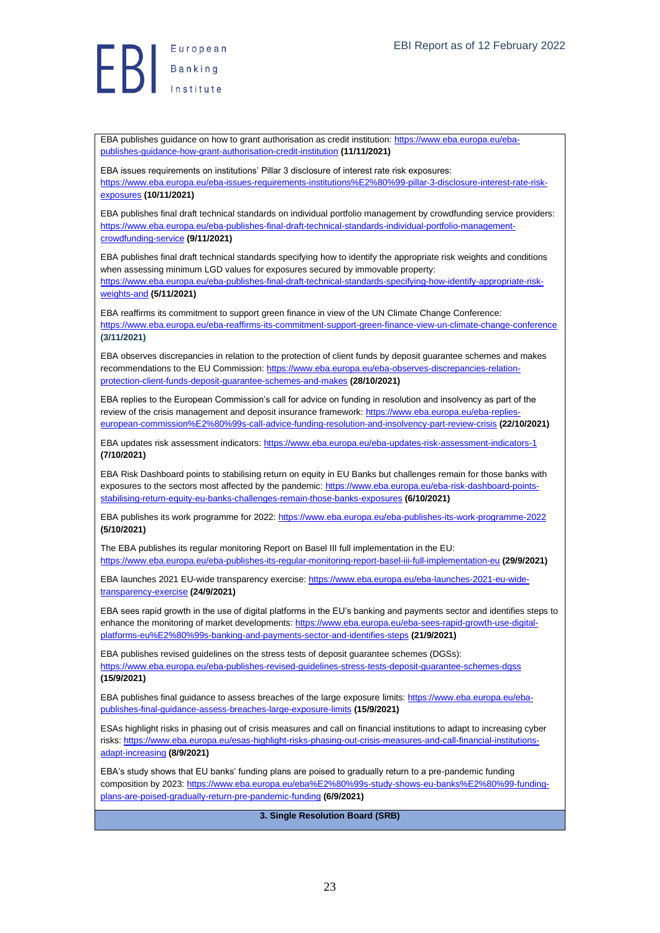Banking

EBA publishes guidance on how to grant authorisation as credit institution: [https://www.eba.europa.eu/eba](https://www.eba.europa.eu/eba-publishes-guidance-how-grant-authorisation-credit-institution)[publishes-guidance-how-grant-authorisation-credit-institution](https://www.eba.europa.eu/eba-publishes-guidance-how-grant-authorisation-credit-institution) **(11/11/2021)**

EBA issues requirements on institutions' Pillar 3 disclosure of interest rate risk exposures: [https://www.eba.europa.eu/eba-issues-requirements-institutions%E2%80%99-pillar-3-disclosure-interest-rate-risk](https://www.eba.europa.eu/eba-issues-requirements-institutions%E2%80%99-pillar-3-disclosure-interest-rate-risk-exposures)[exposures](https://www.eba.europa.eu/eba-issues-requirements-institutions%E2%80%99-pillar-3-disclosure-interest-rate-risk-exposures) **(10/11/2021)**

EBA publishes final draft technical standards on individual portfolio management by crowdfunding service providers: [https://www.eba.europa.eu/eba-publishes-final-draft-technical-standards-individual-portfolio-management](https://www.eba.europa.eu/eba-publishes-final-draft-technical-standards-individual-portfolio-management-crowdfunding-service)[crowdfunding-service](https://www.eba.europa.eu/eba-publishes-final-draft-technical-standards-individual-portfolio-management-crowdfunding-service) **(9/11/2021)**

EBA publishes final draft technical standards specifying how to identify the appropriate risk weights and conditions when assessing minimum LGD values for exposures secured by immovable property: [https://www.eba.europa.eu/eba-publishes-final-draft-technical-standards-specifying-how-identify-appropriate-risk](https://www.eba.europa.eu/eba-publishes-final-draft-technical-standards-specifying-how-identify-appropriate-risk-weights-and)[weights-and](https://www.eba.europa.eu/eba-publishes-final-draft-technical-standards-specifying-how-identify-appropriate-risk-weights-and) **(5/11/2021)**

EBA reaffirms its commitment to support green finance in view of the UN Climate Change Conference: <https://www.eba.europa.eu/eba-reaffirms-its-commitment-support-green-finance-view-un-climate-change-conference> **(3/11/2021)**

EBA observes discrepancies in relation to the protection of client funds by deposit guarantee schemes and makes recommendations to the EU Commission[: https://www.eba.europa.eu/eba-observes-discrepancies-relation](https://www.eba.europa.eu/eba-observes-discrepancies-relation-protection-client-funds-deposit-guarantee-schemes-and-makes)[protection-client-funds-deposit-guarantee-schemes-and-makes](https://www.eba.europa.eu/eba-observes-discrepancies-relation-protection-client-funds-deposit-guarantee-schemes-and-makes) **(28/10/2021)**

EBA replies to the European Commission's call for advice on funding in resolution and insolvency as part of the review of the crisis management and deposit insurance framework: [https://www.eba.europa.eu/eba-replies](https://www.eba.europa.eu/eba-replies-european-commission%E2%80%99s-call-advice-funding-resolution-and-insolvency-part-review-crisis)[european-commission%E2%80%99s-call-advice-funding-resolution-and-insolvency-part-review-crisis](https://www.eba.europa.eu/eba-replies-european-commission%E2%80%99s-call-advice-funding-resolution-and-insolvency-part-review-crisis) **(22/10/2021)**

EBA updates risk assessment indicators:<https://www.eba.europa.eu/eba-updates-risk-assessment-indicators-1> **(7/10/2021)**

EBA Risk Dashboard points to stabilising return on equity in EU Banks but challenges remain for those banks with exposures to the sectors most affected by the pandemic[: https://www.eba.europa.eu/eba-risk-dashboard-points](https://www.eba.europa.eu/eba-risk-dashboard-points-stabilising-return-equity-eu-banks-challenges-remain-those-banks-exposures)[stabilising-return-equity-eu-banks-challenges-remain-those-banks-exposures](https://www.eba.europa.eu/eba-risk-dashboard-points-stabilising-return-equity-eu-banks-challenges-remain-those-banks-exposures) **(6/10/2021)**

EBA publishes its work programme for 2022:<https://www.eba.europa.eu/eba-publishes-its-work-programme-2022> **(5/10/2021)**

The EBA publishes its regular monitoring Report on Basel III full implementation in the EU: <https://www.eba.europa.eu/eba-publishes-its-regular-monitoring-report-basel-iii-full-implementation-eu> **(29/9/2021)**

EBA launches 2021 EU-wide transparency exercise[: https://www.eba.europa.eu/eba-launches-2021-eu-wide](https://www.eba.europa.eu/eba-launches-2021-eu-wide-transparency-exercise)[transparency-exercise](https://www.eba.europa.eu/eba-launches-2021-eu-wide-transparency-exercise) **(24/9/2021)**

EBA sees rapid growth in the use of digital platforms in the EU's banking and payments sector and identifies steps to enhance the monitoring of market developments[: https://www.eba.europa.eu/eba-sees-rapid-growth-use-digital](https://www.eba.europa.eu/eba-sees-rapid-growth-use-digital-platforms-eu%E2%80%99s-banking-and-payments-sector-and-identifies-steps)[platforms-eu%E2%80%99s-banking-and-payments-sector-and-identifies-steps](https://www.eba.europa.eu/eba-sees-rapid-growth-use-digital-platforms-eu%E2%80%99s-banking-and-payments-sector-and-identifies-steps) **(21/9/2021)**

EBA publishes revised guidelines on the stress tests of deposit guarantee schemes (DGSs): <https://www.eba.europa.eu/eba-publishes-revised-guidelines-stress-tests-deposit-guarantee-schemes-dgss> **(15/9/2021)**

EBA publishes final guidance to assess breaches of the large exposure limits[: https://www.eba.europa.eu/eba](https://www.eba.europa.eu/eba-publishes-final-guidance-assess-breaches-large-exposure-limits)[publishes-final-guidance-assess-breaches-large-exposure-limits](https://www.eba.europa.eu/eba-publishes-final-guidance-assess-breaches-large-exposure-limits) **(15/9/2021)**

ESAs highlight risks in phasing out of crisis measures and call on financial institutions to adapt to increasing cyber risks[: https://www.eba.europa.eu/esas-highlight-risks-phasing-out-crisis-measures-and-call-financial-institutions](https://www.eba.europa.eu/esas-highlight-risks-phasing-out-crisis-measures-and-call-financial-institutions-adapt-increasing)[adapt-increasing](https://www.eba.europa.eu/esas-highlight-risks-phasing-out-crisis-measures-and-call-financial-institutions-adapt-increasing) **(8/9/2021)**

EBA's study shows that EU banks' funding plans are poised to gradually return to a pre-pandemic funding composition by 2023[: https://www.eba.europa.eu/eba%E2%80%99s-study-shows-eu-banks%E2%80%99-funding](https://www.eba.europa.eu/eba%E2%80%99s-study-shows-eu-banks%E2%80%99-funding-plans-are-poised-gradually-return-pre-pandemic-funding)[plans-are-poised-gradually-return-pre-pandemic-funding](https://www.eba.europa.eu/eba%E2%80%99s-study-shows-eu-banks%E2%80%99-funding-plans-are-poised-gradually-return-pre-pandemic-funding) **(6/9/2021)**

<span id="page-22-0"></span>**3. Single Resolution Board (SRB)**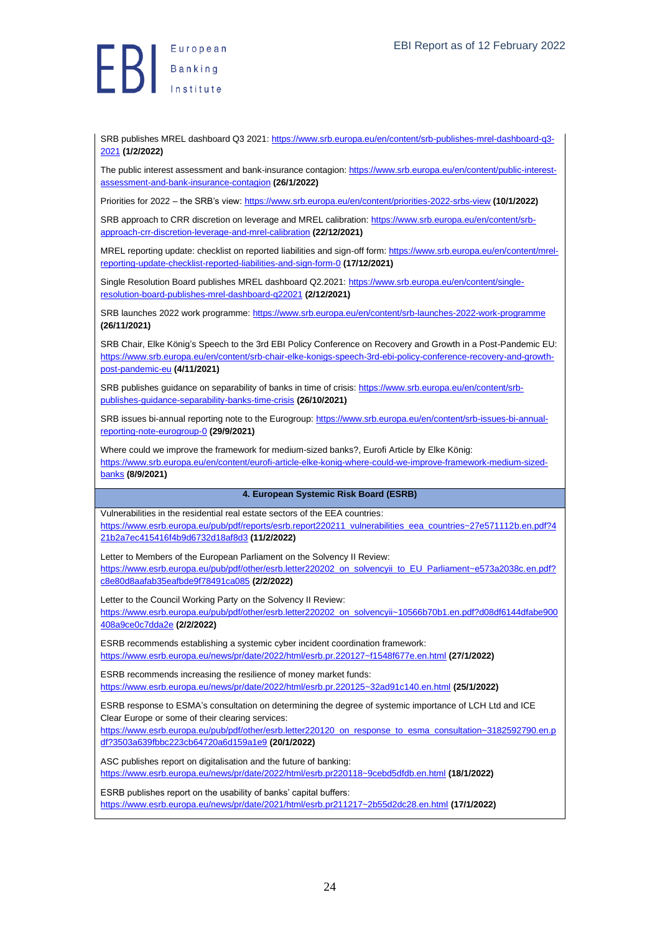

SRB publishes MREL dashboard Q3 2021: [https://www.srb.europa.eu/en/content/srb-publishes-mrel-dashboard-q3-](https://www.srb.europa.eu/en/content/srb-publishes-mrel-dashboard-q3-2021) [2021](https://www.srb.europa.eu/en/content/srb-publishes-mrel-dashboard-q3-2021) **(1/2/2022)**

The public interest assessment and bank-insurance contagion: [https://www.srb.europa.eu/en/content/public-interest](https://www.srb.europa.eu/en/content/public-interest-assessment-and-bank-insurance-contagion)[assessment-and-bank-insurance-contagion](https://www.srb.europa.eu/en/content/public-interest-assessment-and-bank-insurance-contagion) **(26/1/2022)**

Priorities for 2022 – the SRB's view[: https://www.srb.europa.eu/en/content/priorities-2022-srbs-view](https://www.srb.europa.eu/en/content/priorities-2022-srbs-view) **(10/1/2022)**

SRB approach to CRR discretion on leverage and MREL calibration: [https://www.srb.europa.eu/en/content/srb](https://www.srb.europa.eu/en/content/srb-approach-crr-discretion-leverage-and-mrel-calibration)[approach-crr-discretion-leverage-and-mrel-calibration](https://www.srb.europa.eu/en/content/srb-approach-crr-discretion-leverage-and-mrel-calibration) **(22/12/2021)**

MREL reporting update: checklist on reported liabilities and sign-off form: [https://www.srb.europa.eu/en/content/mrel](https://www.srb.europa.eu/en/content/mrel-reporting-update-checklist-reported-liabilities-and-sign-form-0)[reporting-update-checklist-reported-liabilities-and-sign-form-0](https://www.srb.europa.eu/en/content/mrel-reporting-update-checklist-reported-liabilities-and-sign-form-0) **(17/12/2021)**

Single Resolution Board publishes MREL dashboard Q2.2021[: https://www.srb.europa.eu/en/content/single](https://www.srb.europa.eu/en/content/single-resolution-board-publishes-mrel-dashboard-q22021)[resolution-board-publishes-mrel-dashboard-q22021](https://www.srb.europa.eu/en/content/single-resolution-board-publishes-mrel-dashboard-q22021) **(2/12/2021)**

SRB launches 2022 work programme:<https://www.srb.europa.eu/en/content/srb-launches-2022-work-programme> **(26/11/2021)**

SRB Chair, Elke König's Speech to the 3rd EBI Policy Conference on Recovery and Growth in a Post-Pandemic EU: [https://www.srb.europa.eu/en/content/srb-chair-elke-konigs-speech-3rd-ebi-policy-conference-recovery-and-growth](https://www.srb.europa.eu/en/content/srb-chair-elke-konigs-speech-3rd-ebi-policy-conference-recovery-and-growth-post-pandemic-eu)[post-pandemic-eu](https://www.srb.europa.eu/en/content/srb-chair-elke-konigs-speech-3rd-ebi-policy-conference-recovery-and-growth-post-pandemic-eu) **(4/11/2021)**

SRB publishes guidance on separability of banks in time of crisis[: https://www.srb.europa.eu/en/content/srb](https://www.srb.europa.eu/en/content/srb-publishes-guidance-separability-banks-time-crisis)[publishes-guidance-separability-banks-time-crisis](https://www.srb.europa.eu/en/content/srb-publishes-guidance-separability-banks-time-crisis) **(26/10/2021)**

SRB issues bi-annual reporting note to the Eurogroup: [https://www.srb.europa.eu/en/content/srb-issues-bi-annual](https://www.srb.europa.eu/en/content/srb-issues-bi-annual-reporting-note-eurogroup-0)[reporting-note-eurogroup-0](https://www.srb.europa.eu/en/content/srb-issues-bi-annual-reporting-note-eurogroup-0) **(29/9/2021)**

Where could we improve the framework for medium-sized banks?, Eurofi Article by Elke König: [https://www.srb.europa.eu/en/content/eurofi-article-elke-konig-where-could-we-improve-framework-medium-sized](https://www.srb.europa.eu/en/content/eurofi-article-elke-konig-where-could-we-improve-framework-medium-sized-banks)[banks](https://www.srb.europa.eu/en/content/eurofi-article-elke-konig-where-could-we-improve-framework-medium-sized-banks) **(8/9/2021)**

#### <span id="page-23-0"></span>**4. European Systemic Risk Board (ESRB)**

Vulnerabilities in the residential real estate sectors of the EEA countries: [https://www.esrb.europa.eu/pub/pdf/reports/esrb.report220211\\_vulnerabilities\\_eea\\_countries~27e571112b.en.pdf?4](https://www.esrb.europa.eu/pub/pdf/reports/esrb.report220211_vulnerabilities_eea_countries~27e571112b.en.pdf?421b2a7ec415416f4b9d6732d18af8d3) [21b2a7ec415416f4b9d6732d18af8d3](https://www.esrb.europa.eu/pub/pdf/reports/esrb.report220211_vulnerabilities_eea_countries~27e571112b.en.pdf?421b2a7ec415416f4b9d6732d18af8d3) **(11/2/2022)**

Letter to Members of the European Parliament on the Solvency II Review: [https://www.esrb.europa.eu/pub/pdf/other/esrb.letter220202\\_on\\_solvencyii\\_to\\_EU\\_Parliament~e573a2038c.en.pdf?](https://www.esrb.europa.eu/pub/pdf/other/esrb.letter220202_on_solvencyii_to_EU_Parliament~e573a2038c.en.pdf?c8e80d8aafab35eafbde9f78491ca085) [c8e80d8aafab35eafbde9f78491ca085](https://www.esrb.europa.eu/pub/pdf/other/esrb.letter220202_on_solvencyii_to_EU_Parliament~e573a2038c.en.pdf?c8e80d8aafab35eafbde9f78491ca085) **(2/2/2022)**

Letter to the Council Working Party on the Solvency II Review: [https://www.esrb.europa.eu/pub/pdf/other/esrb.letter220202\\_on\\_solvencyii~10566b70b1.en.pdf?d08df6144dfabe900](https://www.esrb.europa.eu/pub/pdf/other/esrb.letter220202_on_solvencyii~10566b70b1.en.pdf?d08df6144dfabe900408a9ce0c7dda2e) [408a9ce0c7dda2e](https://www.esrb.europa.eu/pub/pdf/other/esrb.letter220202_on_solvencyii~10566b70b1.en.pdf?d08df6144dfabe900408a9ce0c7dda2e) **(2/2/2022)**

ESRB recommends establishing a systemic cyber incident coordination framework: <https://www.esrb.europa.eu/news/pr/date/2022/html/esrb.pr.220127~f1548f677e.en.html> **(27/1/2022)**

ESRB recommends increasing the resilience of money market funds: <https://www.esrb.europa.eu/news/pr/date/2022/html/esrb.pr.220125~32ad91c140.en.html> **(25/1/2022)**

ESRB response to ESMA's consultation on determining the degree of systemic importance of LCH Ltd and ICE Clear Europe or some of their clearing services:

[https://www.esrb.europa.eu/pub/pdf/other/esrb.letter220120\\_on\\_response\\_to\\_esma\\_consultation~3182592790.en.p](https://www.esrb.europa.eu/pub/pdf/other/esrb.letter220120_on_response_to_esma_consultation~3182592790.en.pdf?3503a639fbbc223cb64720a6d159a1e9) [df?3503a639fbbc223cb64720a6d159a1e9](https://www.esrb.europa.eu/pub/pdf/other/esrb.letter220120_on_response_to_esma_consultation~3182592790.en.pdf?3503a639fbbc223cb64720a6d159a1e9) **(20/1/2022)**

ASC publishes report on digitalisation and the future of banking: <https://www.esrb.europa.eu/news/pr/date/2022/html/esrb.pr220118~9cebd5dfdb.en.html> **(18/1/2022)**

ESRB publishes report on the usability of banks' capital buffers: <https://www.esrb.europa.eu/news/pr/date/2021/html/esrb.pr211217~2b55d2dc28.en.html> **(17/1/2022)**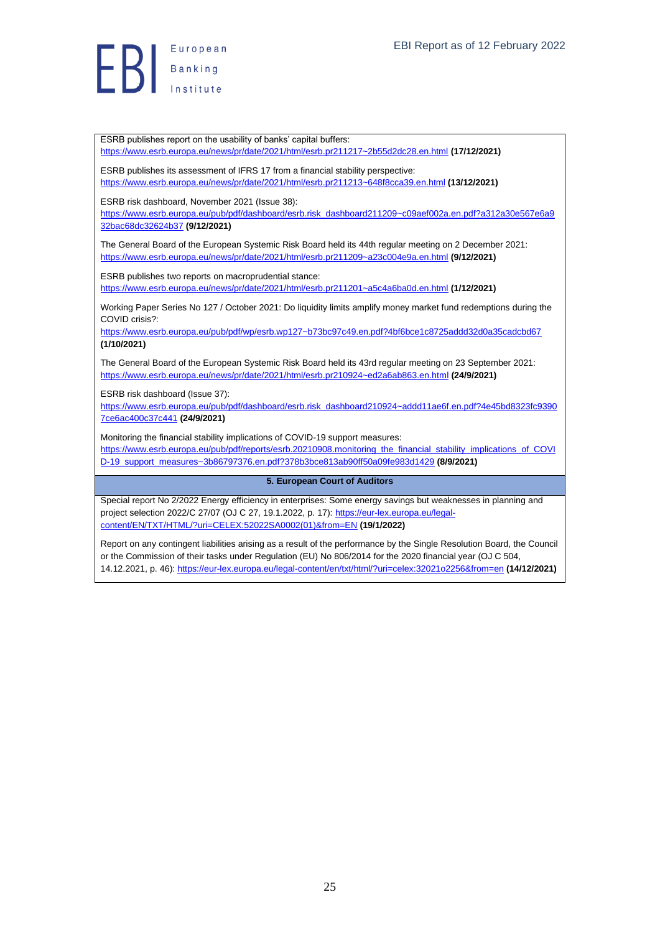

ESRB publishes report on the usability of banks' capital buffers: <https://www.esrb.europa.eu/news/pr/date/2021/html/esrb.pr211217~2b55d2dc28.en.html> **(17/12/2021)**

ESRB publishes its assessment of IFRS 17 from a financial stability perspective: <https://www.esrb.europa.eu/news/pr/date/2021/html/esrb.pr211213~648f8cca39.en.html> **(13/12/2021)**

ESRB risk dashboard, November 2021 (Issue 38):

[https://www.esrb.europa.eu/pub/pdf/dashboard/esrb.risk\\_dashboard211209~c09aef002a.en.pdf?a312a30e567e6a9](https://www.esrb.europa.eu/pub/pdf/dashboard/esrb.risk_dashboard211209~c09aef002a.en.pdf?a312a30e567e6a932bac68dc32624b37) [32bac68dc32624b37](https://www.esrb.europa.eu/pub/pdf/dashboard/esrb.risk_dashboard211209~c09aef002a.en.pdf?a312a30e567e6a932bac68dc32624b37) **(9/12/2021)**

The General Board of the European Systemic Risk Board held its 44th regular meeting on 2 December 2021: <https://www.esrb.europa.eu/news/pr/date/2021/html/esrb.pr211209~a23c004e9a.en.html> **(9/12/2021)**

ESRB publishes two reports on macroprudential stance: <https://www.esrb.europa.eu/news/pr/date/2021/html/esrb.pr211201~a5c4a6ba0d.en.html> **(1/12/2021)**

Working Paper Series No 127 / October 2021: Do liquidity limits amplify money market fund redemptions during the COVID crisis?:

<https://www.esrb.europa.eu/pub/pdf/wp/esrb.wp127~b73bc97c49.en.pdf?4bf6bce1c8725addd32d0a35cadcbd67> **(1/10/2021)**

The General Board of the European Systemic Risk Board held its 43rd regular meeting on 23 September 2021: <https://www.esrb.europa.eu/news/pr/date/2021/html/esrb.pr210924~ed2a6ab863.en.html> **(24/9/2021)**

ESRB risk dashboard (Issue 37):

[https://www.esrb.europa.eu/pub/pdf/dashboard/esrb.risk\\_dashboard210924~addd11ae6f.en.pdf?4e45bd8323fc9390](https://www.esrb.europa.eu/pub/pdf/dashboard/esrb.risk_dashboard210924~addd11ae6f.en.pdf?4e45bd8323fc93907ce6ac400c37c441) [7ce6ac400c37c441](https://www.esrb.europa.eu/pub/pdf/dashboard/esrb.risk_dashboard210924~addd11ae6f.en.pdf?4e45bd8323fc93907ce6ac400c37c441) **(24/9/2021)**

Monitoring the financial stability implications of COVID-19 support measures: [https://www.esrb.europa.eu/pub/pdf/reports/esrb.20210908.monitoring\\_the\\_financial\\_stability\\_implications\\_of\\_COVI](https://www.esrb.europa.eu/pub/pdf/reports/esrb.20210908.monitoring_the_financial_stability_implications_of_COVID-19_support_measures~3b86797376.en.pdf?378b3bce813ab90ff50a09fe983d1429) [D-19\\_support\\_measures~3b86797376.en.pdf?378b3bce813ab90ff50a09fe983d1429](https://www.esrb.europa.eu/pub/pdf/reports/esrb.20210908.monitoring_the_financial_stability_implications_of_COVID-19_support_measures~3b86797376.en.pdf?378b3bce813ab90ff50a09fe983d1429) **(8/9/2021)**

#### <span id="page-24-0"></span>**5. European Court of Auditors**

Special report No 2/2022 Energy efficiency in enterprises: Some energy savings but weaknesses in planning and project selection 2022/C 27/07 (OJ C 27, 19.1.2022, p. 17)[: https://eur-lex.europa.eu/legal](https://eur-lex.europa.eu/legal-content/EN/TXT/HTML/?uri=CELEX:52022SA0002(01)&from=EN)[content/EN/TXT/HTML/?uri=CELEX:52022SA0002\(01\)&from=EN](https://eur-lex.europa.eu/legal-content/EN/TXT/HTML/?uri=CELEX:52022SA0002(01)&from=EN) **(19/1/2022)**

Report on any contingent liabilities arising as a result of the performance by the Single Resolution Board, the Council or the Commission of their tasks under Regulation (EU) No 806/2014 for the 2020 financial year (OJ C 504, 14.12.2021, p. 46):<https://eur-lex.europa.eu/legal-content/en/txt/html/?uri=celex:32021o2256&from=en> **(14/12/2021)**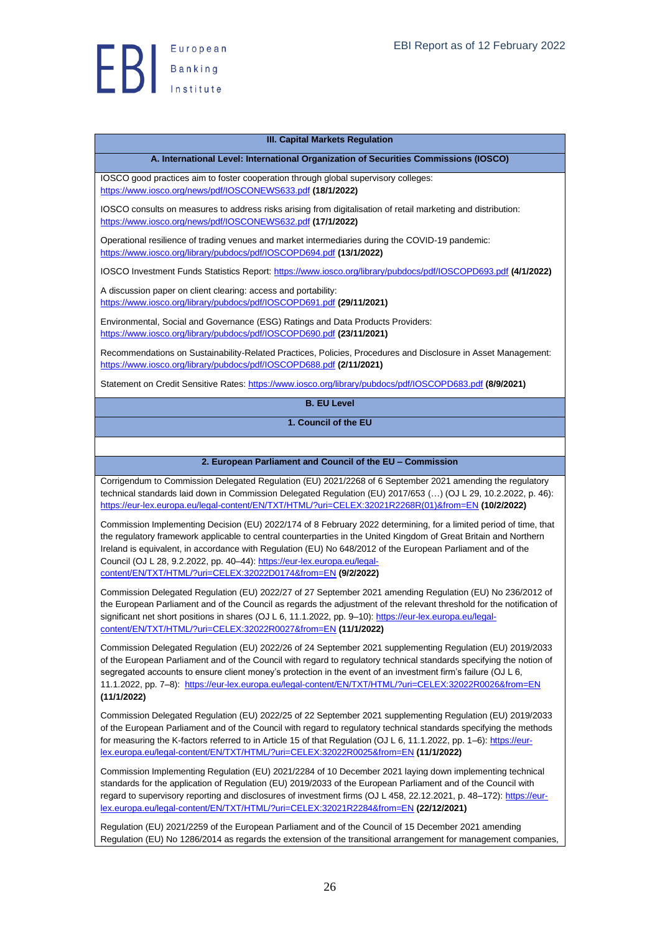

#### **III. Capital Markets Regulation**

#### **A. International Level: International Organization of Securities Commissions (IOSCO)**

<span id="page-25-1"></span><span id="page-25-0"></span>IOSCO good practices aim to foster cooperation through global supervisory colleges: <https://www.iosco.org/news/pdf/IOSCONEWS633.pdf> **(18/1/2022)**

IOSCO consults on measures to address risks arising from digitalisation of retail marketing and distribution: <https://www.iosco.org/news/pdf/IOSCONEWS632.pdf> **(17/1/2022)**

Operational resilience of trading venues and market intermediaries during the COVID-19 pandemic: <https://www.iosco.org/library/pubdocs/pdf/IOSCOPD694.pdf> **(13/1/2022)**

IOSCO Investment Funds Statistics Report: <https://www.iosco.org/library/pubdocs/pdf/IOSCOPD693.pdf> **(4/1/2022)**

A discussion paper on client clearing: access and portability: <https://www.iosco.org/library/pubdocs/pdf/IOSCOPD691.pdf> **(29/11/2021)**

Environmental, Social and Governance (ESG) Ratings and Data Products Providers: <https://www.iosco.org/library/pubdocs/pdf/IOSCOPD690.pdf> **(23/11/2021)**

Recommendations on Sustainability-Related Practices, Policies, Procedures and Disclosure in Asset Management: <https://www.iosco.org/library/pubdocs/pdf/IOSCOPD688.pdf> **(2/11/2021)**

<span id="page-25-3"></span><span id="page-25-2"></span>Statement on Credit Sensitive Rates:<https://www.iosco.org/library/pubdocs/pdf/IOSCOPD683.pdf> **(8/9/2021)**

**B. EU Level**

**1. Council of the EU**

#### <span id="page-25-4"></span>**2. European Parliament and Council of the EU – Commission**

Corrigendum to Commission Delegated Regulation (EU) 2021/2268 of 6 September 2021 amending the regulatory technical standards laid down in Commission Delegated Regulation (EU) 2017/653 (…) (OJ L 29, 10.2.2022, p. 46): [https://eur-lex.europa.eu/legal-content/EN/TXT/HTML/?uri=CELEX:32021R2268R\(01\)&from=EN](https://eur-lex.europa.eu/legal-content/EN/TXT/HTML/?uri=CELEX:32021R2268R(01)&from=EN) **(10/2/2022)**

Commission Implementing Decision (EU) 2022/174 of 8 February 2022 determining, for a limited period of time, that the regulatory framework applicable to central counterparties in the United Kingdom of Great Britain and Northern Ireland is equivalent, in accordance with Regulation (EU) No 648/2012 of the European Parliament and of the Council (OJ L 28, 9.2.2022, pp. 40–44): [https://eur-lex.europa.eu/legal](https://eur-lex.europa.eu/legal-content/EN/TXT/HTML/?uri=CELEX:32022D0174&from=EN)[content/EN/TXT/HTML/?uri=CELEX:32022D0174&from=EN](https://eur-lex.europa.eu/legal-content/EN/TXT/HTML/?uri=CELEX:32022D0174&from=EN) **(9/2/2022)**

Commission Delegated Regulation (EU) 2022/27 of 27 September 2021 amending Regulation (EU) No 236/2012 of the European Parliament and of the Council as regards the adjustment of the relevant threshold for the notification of significant net short positions in shares (OJ L 6, 11.1.2022, pp. 9-10)[: https://eur-lex.europa.eu/legal](https://eur-lex.europa.eu/legal-content/EN/TXT/HTML/?uri=CELEX:32022R0027&from=EN)[content/EN/TXT/HTML/?uri=CELEX:32022R0027&from=EN](https://eur-lex.europa.eu/legal-content/EN/TXT/HTML/?uri=CELEX:32022R0027&from=EN) **(11/1/2022)**

Commission Delegated Regulation (EU) 2022/26 of 24 September 2021 supplementing Regulation (EU) 2019/2033 of the European Parliament and of the Council with regard to regulatory technical standards specifying the notion of segregated accounts to ensure client money's protection in the event of an investment firm's failure (OJ L 6, 11.1.2022, pp. 7–8): <https://eur-lex.europa.eu/legal-content/EN/TXT/HTML/?uri=CELEX:32022R0026&from=EN> **(11/1/2022)**

Commission Delegated Regulation (EU) 2022/25 of 22 September 2021 supplementing Regulation (EU) 2019/2033 of the European Parliament and of the Council with regard to regulatory technical standards specifying the methods for measuring the K-factors referred to in Article 15 of that Regulation (OJ L 6, 11.1.2022, pp. 1–6): [https://eur](https://eur-lex.europa.eu/legal-content/EN/TXT/HTML/?uri=CELEX:32022R0025&from=EN)[lex.europa.eu/legal-content/EN/TXT/HTML/?uri=CELEX:32022R0025&from=EN](https://eur-lex.europa.eu/legal-content/EN/TXT/HTML/?uri=CELEX:32022R0025&from=EN) **(11/1/2022)**

Commission Implementing Regulation (EU) 2021/2284 of 10 December 2021 laying down implementing technical standards for the application of Regulation (EU) 2019/2033 of the European Parliament and of the Council with regard to supervisory reporting and disclosures of investment firms (OJ L 458, 22.12.2021, p. 48–172): [https://eur](https://eur-lex.europa.eu/legal-content/EN/TXT/HTML/?uri=CELEX:32021R2284&from=EN)[lex.europa.eu/legal-content/EN/TXT/HTML/?uri=CELEX:32021R2284&from=EN](https://eur-lex.europa.eu/legal-content/EN/TXT/HTML/?uri=CELEX:32021R2284&from=EN) **(22/12/2021)**

Regulation (EU) 2021/2259 of the European Parliament and of the Council of 15 December 2021 amending Regulation (EU) No 1286/2014 as regards the extension of the transitional arrangement for management companies,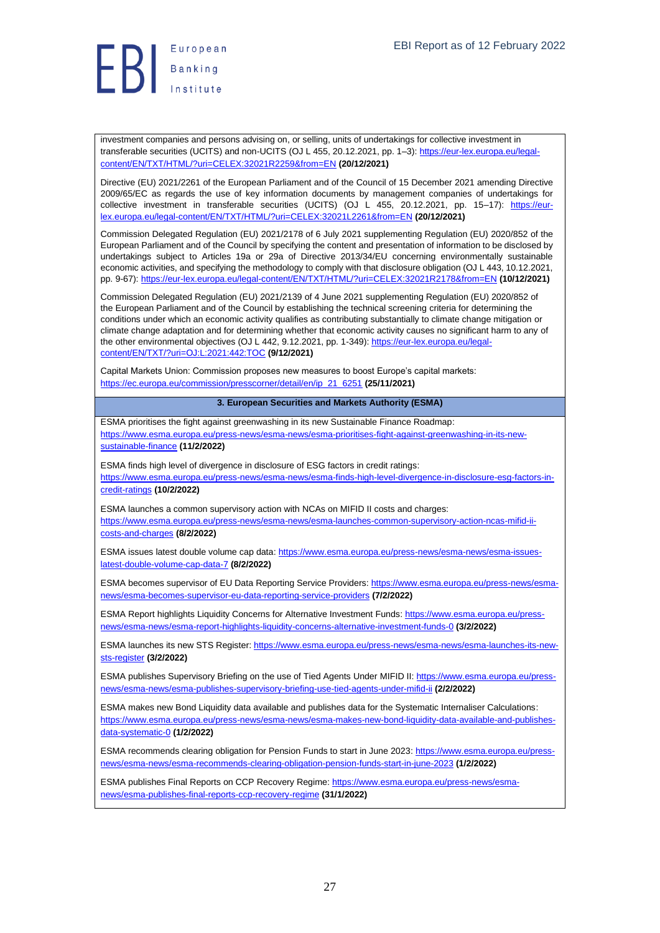

investment companies and persons advising on, or selling, units of undertakings for collective investment in transferable securities (UCITS) and non-UCITS (OJ L 455, 20.12.2021, pp. 1–3)[: https://eur-lex.europa.eu/legal](https://eur-lex.europa.eu/legal-content/EN/TXT/HTML/?uri=CELEX:32021R2259&from=EN)[content/EN/TXT/HTML/?uri=CELEX:32021R2259&from=EN](https://eur-lex.europa.eu/legal-content/EN/TXT/HTML/?uri=CELEX:32021R2259&from=EN) **(20/12/2021)**

Directive (EU) 2021/2261 of the European Parliament and of the Council of 15 December 2021 amending Directive 2009/65/EC as regards the use of key information documents by management companies of undertakings for collective investment in transferable securities (UCITS) (OJ L 455, 20.12.2021, pp. 15–17): [https://eur](https://eur-lex.europa.eu/legal-content/EN/TXT/HTML/?uri=CELEX:32021L2261&from=EN)[lex.europa.eu/legal-content/EN/TXT/HTML/?uri=CELEX:32021L2261&from=EN](https://eur-lex.europa.eu/legal-content/EN/TXT/HTML/?uri=CELEX:32021L2261&from=EN) **(20/12/2021)**

Commission Delegated Regulation (EU) 2021/2178 of 6 July 2021 supplementing Regulation (EU) 2020/852 of the European Parliament and of the Council by specifying the content and presentation of information to be disclosed by undertakings subject to Articles 19a or 29a of Directive 2013/34/EU concerning environmentally sustainable economic activities, and specifying the methodology to comply with that disclosure obligation (OJ L 443, 10.12.2021, pp. 9-67)[: https://eur-lex.europa.eu/legal-content/EN/TXT/HTML/?uri=CELEX:32021R2178&from=EN](https://eur-lex.europa.eu/legal-content/EN/TXT/HTML/?uri=CELEX:32021R2178&from=EN) **(10/12/2021)**

Commission Delegated Regulation (EU) 2021/2139 of 4 June 2021 supplementing Regulation (EU) 2020/852 of the European Parliament and of the Council by establishing the technical screening criteria for determining the conditions under which an economic activity qualifies as contributing substantially to climate change mitigation or climate change adaptation and for determining whether that economic activity causes no significant harm to any of the other environmental objectives (OJ L 442, 9.12.2021, pp. 1-349)[: https://eur-lex.europa.eu/legal](https://eur-lex.europa.eu/legal-content/EN/TXT/?uri=OJ:L:2021:442:TOC)[content/EN/TXT/?uri=OJ:L:2021:442:TOC](https://eur-lex.europa.eu/legal-content/EN/TXT/?uri=OJ:L:2021:442:TOC) **(9/12/2021)**

Capital Markets Union: Commission proposes new measures to boost Europe's capital markets: [https://ec.europa.eu/commission/presscorner/detail/en/ip\\_21\\_6251](https://ec.europa.eu/commission/presscorner/detail/en/ip_21_6251) **(25/11/2021)**

#### **3. European Securities and Markets Authority (ESMA)**

<span id="page-26-0"></span>ESMA prioritises the fight against greenwashing in its new Sustainable Finance Roadmap: [https://www.esma.europa.eu/press-news/esma-news/esma-prioritises-fight-against-greenwashing-in-its-new](https://www.esma.europa.eu/press-news/esma-news/esma-prioritises-fight-against-greenwashing-in-its-new-sustainable-finance)[sustainable-finance](https://www.esma.europa.eu/press-news/esma-news/esma-prioritises-fight-against-greenwashing-in-its-new-sustainable-finance) **(11/2/2022)**

ESMA finds high level of divergence in disclosure of ESG factors in credit ratings: [https://www.esma.europa.eu/press-news/esma-news/esma-finds-high-level-divergence-in-disclosure-esg-factors-in](https://www.esma.europa.eu/press-news/esma-news/esma-finds-high-level-divergence-in-disclosure-esg-factors-in-credit-ratings)[credit-ratings](https://www.esma.europa.eu/press-news/esma-news/esma-finds-high-level-divergence-in-disclosure-esg-factors-in-credit-ratings) **(10/2/2022)**

ESMA launches a common supervisory action with NCAs on MIFID II costs and charges:

[https://www.esma.europa.eu/press-news/esma-news/esma-launches-common-supervisory-action-ncas-mifid-ii](https://www.esma.europa.eu/press-news/esma-news/esma-launches-common-supervisory-action-ncas-mifid-ii-costs-and-charges)[costs-and-charges](https://www.esma.europa.eu/press-news/esma-news/esma-launches-common-supervisory-action-ncas-mifid-ii-costs-and-charges) **(8/2/2022)**

ESMA issues latest double volume cap data[: https://www.esma.europa.eu/press-news/esma-news/esma-issues](https://www.esma.europa.eu/press-news/esma-news/esma-issues-latest-double-volume-cap-data-7)[latest-double-volume-cap-data-7](https://www.esma.europa.eu/press-news/esma-news/esma-issues-latest-double-volume-cap-data-7) **(8/2/2022)**

ESMA becomes supervisor of EU Data Reporting Service Providers: [https://www.esma.europa.eu/press-news/esma](https://www.esma.europa.eu/press-news/esma-news/esma-becomes-supervisor-eu-data-reporting-service-providers)[news/esma-becomes-supervisor-eu-data-reporting-service-providers](https://www.esma.europa.eu/press-news/esma-news/esma-becomes-supervisor-eu-data-reporting-service-providers) **(7/2/2022)**

ESMA Report highlights Liquidity Concerns for Alternative Investment Funds[: https://www.esma.europa.eu/press](https://www.esma.europa.eu/press-news/esma-news/esma-report-highlights-liquidity-concerns-alternative-investment-funds-0)[news/esma-news/esma-report-highlights-liquidity-concerns-alternative-investment-funds-0](https://www.esma.europa.eu/press-news/esma-news/esma-report-highlights-liquidity-concerns-alternative-investment-funds-0) **(3/2/2022)**

ESMA launches its new STS Register: [https://www.esma.europa.eu/press-news/esma-news/esma-launches-its-new](https://www.esma.europa.eu/press-news/esma-news/esma-launches-its-new-sts-register)[sts-register](https://www.esma.europa.eu/press-news/esma-news/esma-launches-its-new-sts-register) **(3/2/2022)**

ESMA publishes Supervisory Briefing on the use of Tied Agents Under MIFID II[: https://www.esma.europa.eu/press](https://www.esma.europa.eu/press-news/esma-news/esma-publishes-supervisory-briefing-use-tied-agents-under-mifid-ii)[news/esma-news/esma-publishes-supervisory-briefing-use-tied-agents-under-mifid-ii](https://www.esma.europa.eu/press-news/esma-news/esma-publishes-supervisory-briefing-use-tied-agents-under-mifid-ii) **(2/2/2022)**

ESMA makes new Bond Liquidity data available and publishes data for the Systematic Internaliser Calculations: [https://www.esma.europa.eu/press-news/esma-news/esma-makes-new-bond-liquidity-data-available-and-publishes](https://www.esma.europa.eu/press-news/esma-news/esma-makes-new-bond-liquidity-data-available-and-publishes-data-systematic-0)[data-systematic-0](https://www.esma.europa.eu/press-news/esma-news/esma-makes-new-bond-liquidity-data-available-and-publishes-data-systematic-0) **(1/2/2022)**

ESMA recommends clearing obligation for Pension Funds to start in June 2023: [https://www.esma.europa.eu/press](https://www.esma.europa.eu/press-news/esma-news/esma-recommends-clearing-obligation-pension-funds-start-in-june-2023)[news/esma-news/esma-recommends-clearing-obligation-pension-funds-start-in-june-2023](https://www.esma.europa.eu/press-news/esma-news/esma-recommends-clearing-obligation-pension-funds-start-in-june-2023) **(1/2/2022)**

ESMA publishes Final Reports on CCP Recovery Regime[: https://www.esma.europa.eu/press-news/esma](https://www.esma.europa.eu/press-news/esma-news/esma-publishes-final-reports-ccp-recovery-regime)[news/esma-publishes-final-reports-ccp-recovery-regime](https://www.esma.europa.eu/press-news/esma-news/esma-publishes-final-reports-ccp-recovery-regime) **(31/1/2022)**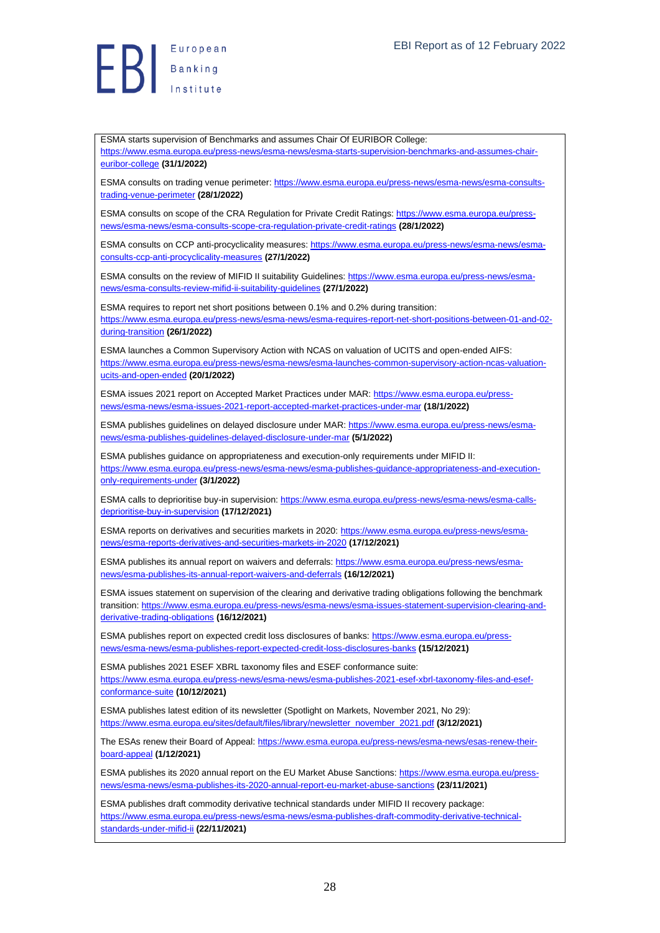**B**<br>B<br>B<br>Institute

ESMA starts supervision of Benchmarks and assumes Chair Of EURIBOR College: [https://www.esma.europa.eu/press-news/esma-news/esma-starts-supervision-benchmarks-and-assumes-chair](https://www.esma.europa.eu/press-news/esma-news/esma-starts-supervision-benchmarks-and-assumes-chair-euribor-college)[euribor-college](https://www.esma.europa.eu/press-news/esma-news/esma-starts-supervision-benchmarks-and-assumes-chair-euribor-college) **(31/1/2022)**

ESMA consults on trading venue perimeter[: https://www.esma.europa.eu/press-news/esma-news/esma-consults](https://www.esma.europa.eu/press-news/esma-news/esma-consults-trading-venue-perimeter)[trading-venue-perimeter](https://www.esma.europa.eu/press-news/esma-news/esma-consults-trading-venue-perimeter) **(28/1/2022)**

ESMA consults on scope of the CRA Regulation for Private Credit Ratings[: https://www.esma.europa.eu/press](https://www.esma.europa.eu/press-news/esma-news/esma-consults-scope-cra-regulation-private-credit-ratings)[news/esma-news/esma-consults-scope-cra-regulation-private-credit-ratings](https://www.esma.europa.eu/press-news/esma-news/esma-consults-scope-cra-regulation-private-credit-ratings) **(28/1/2022)**

ESMA consults on CCP anti-procyclicality measures[: https://www.esma.europa.eu/press-news/esma-news/esma](https://www.esma.europa.eu/press-news/esma-news/esma-consults-ccp-anti-procyclicality-measures)[consults-ccp-anti-procyclicality-measures](https://www.esma.europa.eu/press-news/esma-news/esma-consults-ccp-anti-procyclicality-measures) **(27/1/2022)**

ESMA consults on the review of MIFID II suitability Guidelines: [https://www.esma.europa.eu/press-news/esma](https://www.esma.europa.eu/press-news/esma-news/esma-consults-review-mifid-ii-suitability-guidelines)[news/esma-consults-review-mifid-ii-suitability-guidelines](https://www.esma.europa.eu/press-news/esma-news/esma-consults-review-mifid-ii-suitability-guidelines) **(27/1/2022)**

ESMA requires to report net short positions between 0.1% and 0.2% during transition: [https://www.esma.europa.eu/press-news/esma-news/esma-requires-report-net-short-positions-between-01-and-02](https://www.esma.europa.eu/press-news/esma-news/esma-requires-report-net-short-positions-between-01-and-02-during-transition) [during-transition](https://www.esma.europa.eu/press-news/esma-news/esma-requires-report-net-short-positions-between-01-and-02-during-transition) **(26/1/2022)**

ESMA launches a Common Supervisory Action with NCAS on valuation of UCITS and open-ended AIFS: [https://www.esma.europa.eu/press-news/esma-news/esma-launches-common-supervisory-action-ncas-valuation](https://www.esma.europa.eu/press-news/esma-news/esma-launches-common-supervisory-action-ncas-valuation-ucits-and-open-ended)[ucits-and-open-ended](https://www.esma.europa.eu/press-news/esma-news/esma-launches-common-supervisory-action-ncas-valuation-ucits-and-open-ended) **(20/1/2022)**

ESMA issues 2021 report on Accepted Market Practices under MAR: [https://www.esma.europa.eu/press](https://www.esma.europa.eu/press-news/esma-news/esma-issues-2021-report-accepted-market-practices-under-mar)[news/esma-news/esma-issues-2021-report-accepted-market-practices-under-mar](https://www.esma.europa.eu/press-news/esma-news/esma-issues-2021-report-accepted-market-practices-under-mar) **(18/1/2022)**

ESMA publishes guidelines on delayed disclosure under MAR: [https://www.esma.europa.eu/press-news/esma](https://www.esma.europa.eu/press-news/esma-news/esma-publishes-guidelines-delayed-disclosure-under-mar)[news/esma-publishes-guidelines-delayed-disclosure-under-mar](https://www.esma.europa.eu/press-news/esma-news/esma-publishes-guidelines-delayed-disclosure-under-mar) **(5/1/2022)**

ESMA publishes guidance on appropriateness and execution-only requirements under MIFID II: [https://www.esma.europa.eu/press-news/esma-news/esma-publishes-guidance-appropriateness-and-execution](https://www.esma.europa.eu/press-news/esma-news/esma-publishes-guidance-appropriateness-and-execution-only-requirements-under)[only-requirements-under](https://www.esma.europa.eu/press-news/esma-news/esma-publishes-guidance-appropriateness-and-execution-only-requirements-under) **(3/1/2022)**

ESMA calls to deprioritise buy-in supervision: [https://www.esma.europa.eu/press-news/esma-news/esma-calls](https://www.esma.europa.eu/press-news/esma-news/esma-calls-deprioritise-buy-in-supervision)[deprioritise-buy-in-supervision](https://www.esma.europa.eu/press-news/esma-news/esma-calls-deprioritise-buy-in-supervision) **(17/12/2021)**

ESMA reports on derivatives and securities markets in 2020: [https://www.esma.europa.eu/press-news/esma](https://www.esma.europa.eu/press-news/esma-news/esma-reports-derivatives-and-securities-markets-in-2020)[news/esma-reports-derivatives-and-securities-markets-in-2020](https://www.esma.europa.eu/press-news/esma-news/esma-reports-derivatives-and-securities-markets-in-2020) **(17/12/2021)**

ESMA publishes its annual report on waivers and deferrals: [https://www.esma.europa.eu/press-news/esma](https://www.esma.europa.eu/press-news/esma-news/esma-publishes-its-annual-report-waivers-and-deferrals)[news/esma-publishes-its-annual-report-waivers-and-deferrals](https://www.esma.europa.eu/press-news/esma-news/esma-publishes-its-annual-report-waivers-and-deferrals) **(16/12/2021)**

ESMA issues statement on supervision of the clearing and derivative trading obligations following the benchmark transition[: https://www.esma.europa.eu/press-news/esma-news/esma-issues-statement-supervision-clearing-and](https://www.esma.europa.eu/press-news/esma-news/esma-issues-statement-supervision-clearing-and-derivative-trading-obligations)[derivative-trading-obligations](https://www.esma.europa.eu/press-news/esma-news/esma-issues-statement-supervision-clearing-and-derivative-trading-obligations) **(16/12/2021)**

ESMA publishes report on expected credit loss disclosures of banks[: https://www.esma.europa.eu/press](https://www.esma.europa.eu/press-news/esma-news/esma-publishes-report-expected-credit-loss-disclosures-banks)[news/esma-news/esma-publishes-report-expected-credit-loss-disclosures-banks](https://www.esma.europa.eu/press-news/esma-news/esma-publishes-report-expected-credit-loss-disclosures-banks) **(15/12/2021)**

ESMA publishes 2021 ESEF XBRL taxonomy files and ESEF conformance suite: [https://www.esma.europa.eu/press-news/esma-news/esma-publishes-2021-esef-xbrl-taxonomy-files-and-esef](https://www.esma.europa.eu/press-news/esma-news/esma-publishes-2021-esef-xbrl-taxonomy-files-and-esef-conformance-suite)[conformance-suite](https://www.esma.europa.eu/press-news/esma-news/esma-publishes-2021-esef-xbrl-taxonomy-files-and-esef-conformance-suite) **(10/12/2021)**

ESMA publishes latest edition of its newsletter (Spotlight on Markets, November 2021, No 29): [https://www.esma.europa.eu/sites/default/files/library/newsletter\\_november\\_2021.pdf](https://www.esma.europa.eu/sites/default/files/library/newsletter_november_2021.pdf) **(3/12/2021)**

The ESAs renew their Board of Appeal[: https://www.esma.europa.eu/press-news/esma-news/esas-renew-their](https://www.esma.europa.eu/press-news/esma-news/esas-renew-their-board-appeal)[board-appeal](https://www.esma.europa.eu/press-news/esma-news/esas-renew-their-board-appeal) **(1/12/2021)**

ESMA publishes its 2020 annual report on the EU Market Abuse Sanctions: [https://www.esma.europa.eu/press](https://www.esma.europa.eu/press-news/esma-news/esma-publishes-its-2020-annual-report-eu-market-abuse-sanctions)[news/esma-news/esma-publishes-its-2020-annual-report-eu-market-abuse-sanctions](https://www.esma.europa.eu/press-news/esma-news/esma-publishes-its-2020-annual-report-eu-market-abuse-sanctions) **(23/11/2021)**

ESMA publishes draft commodity derivative technical standards under MIFID II recovery package: [https://www.esma.europa.eu/press-news/esma-news/esma-publishes-draft-commodity-derivative-technical](https://www.esma.europa.eu/press-news/esma-news/esma-publishes-draft-commodity-derivative-technical-standards-under-mifid-ii)[standards-under-mifid-ii](https://www.esma.europa.eu/press-news/esma-news/esma-publishes-draft-commodity-derivative-technical-standards-under-mifid-ii) **(22/11/2021)**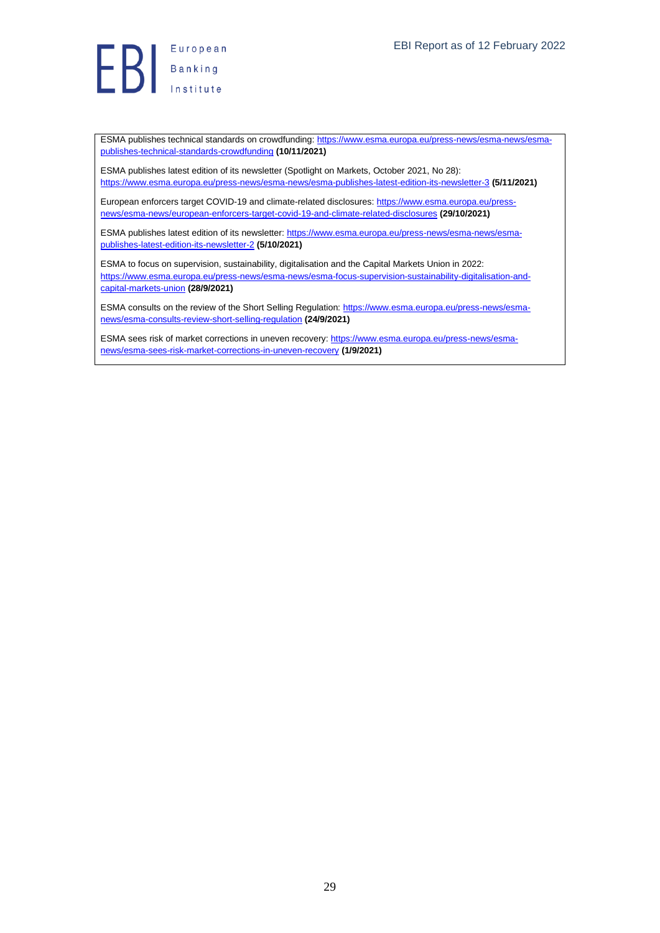ESMA publishes technical standards on crowdfunding: [https://www.esma.europa.eu/press-news/esma-news/esma](https://www.esma.europa.eu/press-news/esma-news/esma-publishes-technical-standards-crowdfunding)[publishes-technical-standards-crowdfunding](https://www.esma.europa.eu/press-news/esma-news/esma-publishes-technical-standards-crowdfunding) **(10/11/2021)**

ESMA publishes latest edition of its newsletter (Spotlight on Markets, October 2021, No 28): <https://www.esma.europa.eu/press-news/esma-news/esma-publishes-latest-edition-its-newsletter-3> **(5/11/2021)**

European enforcers target COVID-19 and climate-related disclosures[: https://www.esma.europa.eu/press](https://www.esma.europa.eu/press-news/esma-news/european-enforcers-target-covid-19-and-climate-related-disclosures)[news/esma-news/european-enforcers-target-covid-19-and-climate-related-disclosures](https://www.esma.europa.eu/press-news/esma-news/european-enforcers-target-covid-19-and-climate-related-disclosures) **(29/10/2021)**

ESMA publishes latest edition of its newsletter: [https://www.esma.europa.eu/press-news/esma-news/esma](https://www.esma.europa.eu/press-news/esma-news/esma-publishes-latest-edition-its-newsletter-2)[publishes-latest-edition-its-newsletter-2](https://www.esma.europa.eu/press-news/esma-news/esma-publishes-latest-edition-its-newsletter-2) **(5/10/2021)**

ESMA to focus on supervision, sustainability, digitalisation and the Capital Markets Union in 2022: [https://www.esma.europa.eu/press-news/esma-news/esma-focus-supervision-sustainability-digitalisation-and](https://www.esma.europa.eu/press-news/esma-news/esma-focus-supervision-sustainability-digitalisation-and-capital-markets-union)[capital-markets-union](https://www.esma.europa.eu/press-news/esma-news/esma-focus-supervision-sustainability-digitalisation-and-capital-markets-union) **(28/9/2021)**

ESMA consults on the review of the Short Selling Regulation[: https://www.esma.europa.eu/press-news/esma](https://www.esma.europa.eu/press-news/esma-news/esma-consults-review-short-selling-regulation)[news/esma-consults-review-short-selling-regulation](https://www.esma.europa.eu/press-news/esma-news/esma-consults-review-short-selling-regulation) **(24/9/2021)**

ESMA sees risk of market corrections in uneven recovery[: https://www.esma.europa.eu/press-news/esma](https://www.esma.europa.eu/press-news/esma-news/esma-sees-risk-market-corrections-in-uneven-recovery)[news/esma-sees-risk-market-corrections-in-uneven-recovery](https://www.esma.europa.eu/press-news/esma-news/esma-sees-risk-market-corrections-in-uneven-recovery) **(1/9/2021)**